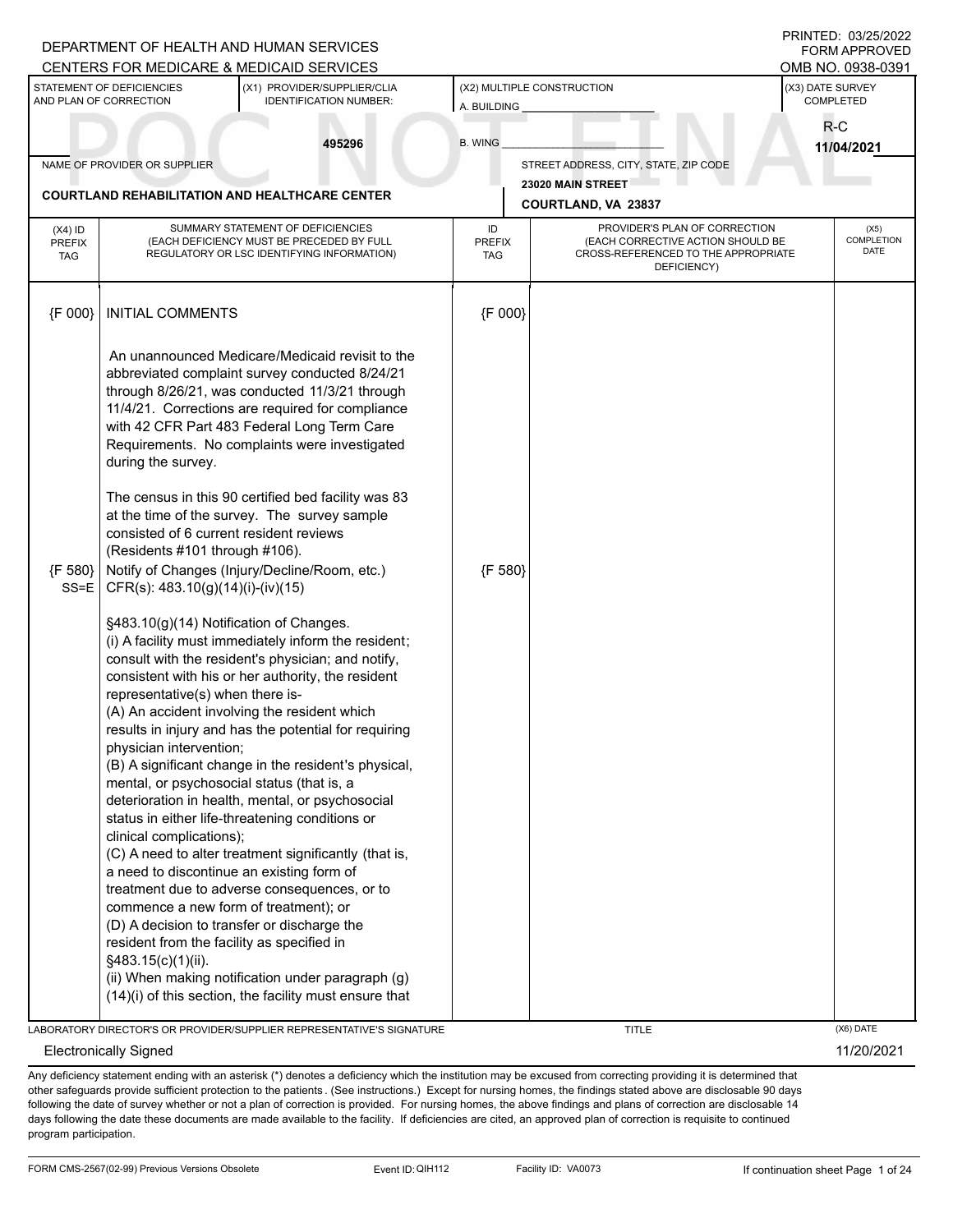|                                          |                                                                                                                                                                                                                                                                                               | DEPARTMENT OF HEALTH AND HUMAN SERVICES<br>CENTERS FOR MEDICARE & MEDICAID SERVICES                                                                                                                                                                                                                                                                                                                                                                                                                                                                                                                                                                                                                                                                          |                                   |                                                                                                                          |                               | PRINTED: 03/25/2022<br><b>FORM APPROVED</b><br>OMB NO. 0938-0391 |
|------------------------------------------|-----------------------------------------------------------------------------------------------------------------------------------------------------------------------------------------------------------------------------------------------------------------------------------------------|--------------------------------------------------------------------------------------------------------------------------------------------------------------------------------------------------------------------------------------------------------------------------------------------------------------------------------------------------------------------------------------------------------------------------------------------------------------------------------------------------------------------------------------------------------------------------------------------------------------------------------------------------------------------------------------------------------------------------------------------------------------|-----------------------------------|--------------------------------------------------------------------------------------------------------------------------|-------------------------------|------------------------------------------------------------------|
|                                          | STATEMENT OF DEFICIENCIES<br>AND PLAN OF CORRECTION                                                                                                                                                                                                                                           | (X1) PROVIDER/SUPPLIER/CLIA<br><b>IDENTIFICATION NUMBER:</b>                                                                                                                                                                                                                                                                                                                                                                                                                                                                                                                                                                                                                                                                                                 | A. BUILDING                       | (X2) MULTIPLE CONSTRUCTION                                                                                               | (X3) DATE SURVEY<br>COMPLETED |                                                                  |
|                                          |                                                                                                                                                                                                                                                                                               | 495296                                                                                                                                                                                                                                                                                                                                                                                                                                                                                                                                                                                                                                                                                                                                                       | <b>B. WING</b>                    |                                                                                                                          |                               | $R-C$<br>11/04/2021                                              |
|                                          | NAME OF PROVIDER OR SUPPLIER                                                                                                                                                                                                                                                                  |                                                                                                                                                                                                                                                                                                                                                                                                                                                                                                                                                                                                                                                                                                                                                              |                                   | STREET ADDRESS, CITY, STATE, ZIP CODE                                                                                    |                               |                                                                  |
|                                          | <b>COURTLAND REHABILITATION AND HEALTHCARE CENTER</b>                                                                                                                                                                                                                                         |                                                                                                                                                                                                                                                                                                                                                                                                                                                                                                                                                                                                                                                                                                                                                              |                                   | 23020 MAIN STREET                                                                                                        |                               |                                                                  |
|                                          |                                                                                                                                                                                                                                                                                               |                                                                                                                                                                                                                                                                                                                                                                                                                                                                                                                                                                                                                                                                                                                                                              |                                   | COURTLAND, VA 23837                                                                                                      |                               |                                                                  |
| $(X4)$ ID<br><b>PREFIX</b><br><b>TAG</b> |                                                                                                                                                                                                                                                                                               | SUMMARY STATEMENT OF DEFICIENCIES<br>(EACH DEFICIENCY MUST BE PRECEDED BY FULL<br>REGULATORY OR LSC IDENTIFYING INFORMATION)                                                                                                                                                                                                                                                                                                                                                                                                                                                                                                                                                                                                                                 | ID<br><b>PREFIX</b><br><b>TAG</b> | PROVIDER'S PLAN OF CORRECTION<br>(EACH CORRECTIVE ACTION SHOULD BE<br>CROSS-REFERENCED TO THE APPROPRIATE<br>DEFICIENCY) |                               | (X5)<br><b>COMPLETION</b><br><b>DATE</b>                         |
| {F 000}                                  | <b>INITIAL COMMENTS</b>                                                                                                                                                                                                                                                                       |                                                                                                                                                                                                                                                                                                                                                                                                                                                                                                                                                                                                                                                                                                                                                              | {F 000}                           |                                                                                                                          |                               |                                                                  |
|                                          | during the survey.                                                                                                                                                                                                                                                                            | An unannounced Medicare/Medicaid revisit to the<br>abbreviated complaint survey conducted 8/24/21<br>through 8/26/21, was conducted 11/3/21 through<br>11/4/21. Corrections are required for compliance<br>with 42 CFR Part 483 Federal Long Term Care<br>Requirements. No complaints were investigated                                                                                                                                                                                                                                                                                                                                                                                                                                                      |                                   |                                                                                                                          |                               |                                                                  |
| {F 580}<br>SS=E                          | consisted of 6 current resident reviews<br>(Residents #101 through #106).<br>CFR(s): 483.10(g)(14)(i)-(iv)(15)                                                                                                                                                                                | The census in this 90 certified bed facility was 83<br>at the time of the survey. The survey sample<br>Notify of Changes (Injury/Decline/Room, etc.)                                                                                                                                                                                                                                                                                                                                                                                                                                                                                                                                                                                                         | {F 580}                           |                                                                                                                          |                               |                                                                  |
|                                          | §483.10(g)(14) Notification of Changes.<br>representative(s) when there is-<br>physician intervention;<br>mental, or psychosocial status (that is, a<br>clinical complications);<br>commence a new form of treatment); or<br>resident from the facility as specified in<br>§483.15(c)(1)(ii). | (i) A facility must immediately inform the resident;<br>consult with the resident's physician; and notify,<br>consistent with his or her authority, the resident<br>(A) An accident involving the resident which<br>results in injury and has the potential for requiring<br>(B) A significant change in the resident's physical,<br>deterioration in health, mental, or psychosocial<br>status in either life-threatening conditions or<br>(C) A need to alter treatment significantly (that is,<br>a need to discontinue an existing form of<br>treatment due to adverse consequences, or to<br>(D) A decision to transfer or discharge the<br>(ii) When making notification under paragraph (g)<br>(14)(i) of this section, the facility must ensure that |                                   |                                                                                                                          |                               |                                                                  |
|                                          |                                                                                                                                                                                                                                                                                               | LABORATORY DIRECTOR'S OR PROVIDER/SUPPLIER REPRESENTATIVE'S SIGNATURE                                                                                                                                                                                                                                                                                                                                                                                                                                                                                                                                                                                                                                                                                        |                                   | <b>TITLE</b>                                                                                                             |                               | (X6) DATE                                                        |

Electronically Signed 11/20/2021

Any deficiency statement ending with an asterisk (\*) denotes a deficiency which the institution may be excused from correcting providing it is determined that other safeguards provide sufficient protection to the patients . (See instructions.) Except for nursing homes, the findings stated above are disclosable 90 days following the date of survey whether or not a plan of correction is provided. For nursing homes, the above findings and plans of correction are disclosable 14 days following the date these documents are made available to the facility. If deficiencies are cited, an approved plan of correction is requisite to continued program participation.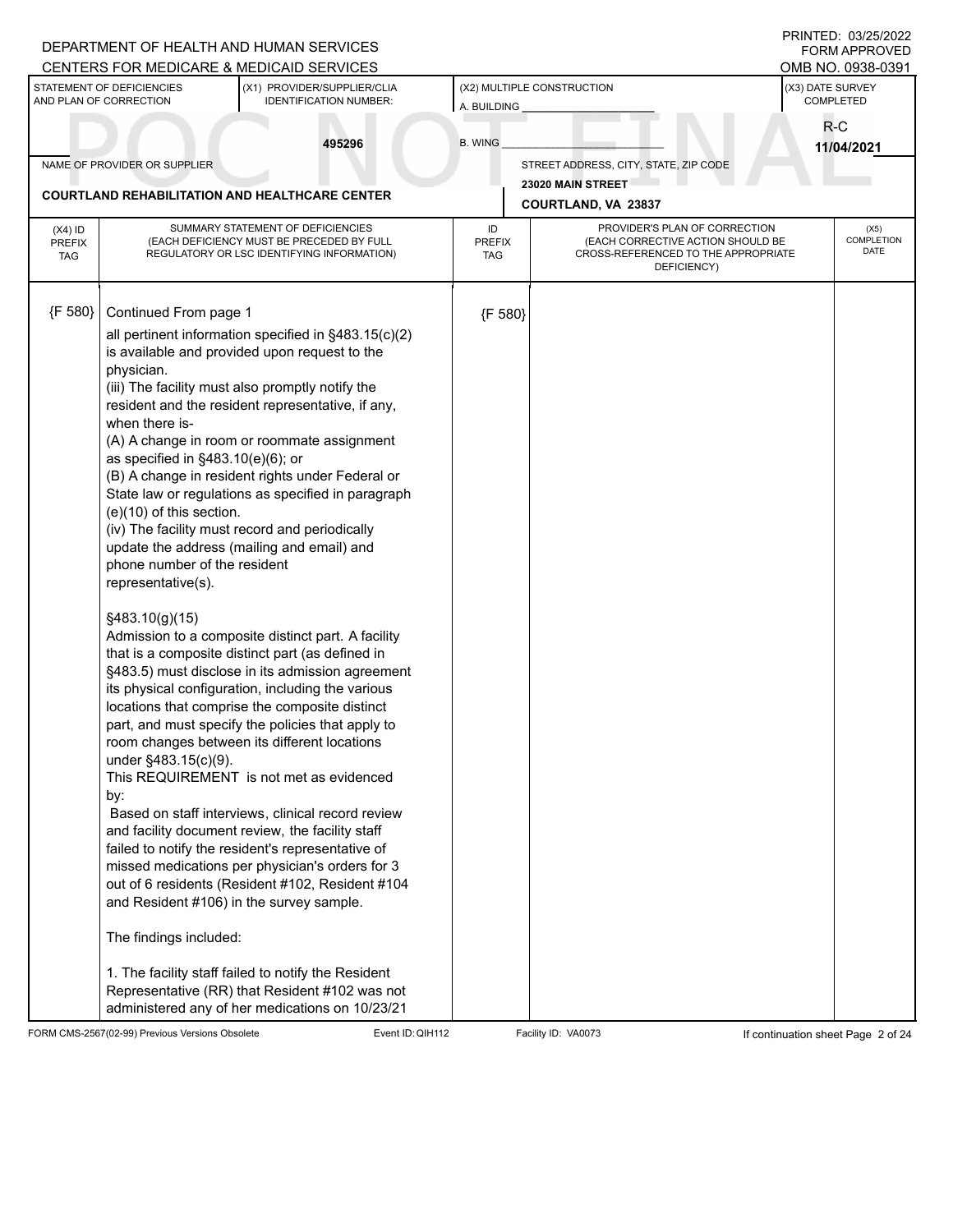|                                          |                                                                                                                                                                                                                                     | DEPARTMENT OF HEALTH AND HUMAN SERVICES<br>CENTERS FOR MEDICARE & MEDICAID SERVICES                                                                                                                                                                                                                                                                                                                                                                                                                                                                                                                                                                                                                                                                                                                                                                                                                                                                                                                                                                                                                                                                                                                                                                                                                                                                                        |                                   |                                                                                                                          |                               | PRINTED: 03/25/2022<br><b>FORM APPROVED</b><br>OMB NO. 0938-0391 |
|------------------------------------------|-------------------------------------------------------------------------------------------------------------------------------------------------------------------------------------------------------------------------------------|----------------------------------------------------------------------------------------------------------------------------------------------------------------------------------------------------------------------------------------------------------------------------------------------------------------------------------------------------------------------------------------------------------------------------------------------------------------------------------------------------------------------------------------------------------------------------------------------------------------------------------------------------------------------------------------------------------------------------------------------------------------------------------------------------------------------------------------------------------------------------------------------------------------------------------------------------------------------------------------------------------------------------------------------------------------------------------------------------------------------------------------------------------------------------------------------------------------------------------------------------------------------------------------------------------------------------------------------------------------------------|-----------------------------------|--------------------------------------------------------------------------------------------------------------------------|-------------------------------|------------------------------------------------------------------|
|                                          | STATEMENT OF DEFICIENCIES<br>AND PLAN OF CORRECTION                                                                                                                                                                                 | (X1) PROVIDER/SUPPLIER/CLIA<br><b>IDENTIFICATION NUMBER:</b>                                                                                                                                                                                                                                                                                                                                                                                                                                                                                                                                                                                                                                                                                                                                                                                                                                                                                                                                                                                                                                                                                                                                                                                                                                                                                                               | A. BUILDING                       | (X2) MULTIPLE CONSTRUCTION                                                                                               | (X3) DATE SURVEY<br>COMPLETED |                                                                  |
|                                          |                                                                                                                                                                                                                                     | 495296                                                                                                                                                                                                                                                                                                                                                                                                                                                                                                                                                                                                                                                                                                                                                                                                                                                                                                                                                                                                                                                                                                                                                                                                                                                                                                                                                                     | <b>B. WING</b>                    |                                                                                                                          | R-C                           | 11/04/2021                                                       |
|                                          | NAME OF PROVIDER OR SUPPLIER                                                                                                                                                                                                        |                                                                                                                                                                                                                                                                                                                                                                                                                                                                                                                                                                                                                                                                                                                                                                                                                                                                                                                                                                                                                                                                                                                                                                                                                                                                                                                                                                            |                                   | STREET ADDRESS, CITY, STATE, ZIP CODE                                                                                    |                               |                                                                  |
|                                          |                                                                                                                                                                                                                                     | <b>COURTLAND REHABILITATION AND HEALTHCARE CENTER</b>                                                                                                                                                                                                                                                                                                                                                                                                                                                                                                                                                                                                                                                                                                                                                                                                                                                                                                                                                                                                                                                                                                                                                                                                                                                                                                                      |                                   | 23020 MAIN STREET                                                                                                        |                               |                                                                  |
|                                          |                                                                                                                                                                                                                                     |                                                                                                                                                                                                                                                                                                                                                                                                                                                                                                                                                                                                                                                                                                                                                                                                                                                                                                                                                                                                                                                                                                                                                                                                                                                                                                                                                                            |                                   | COURTLAND, VA 23837                                                                                                      |                               |                                                                  |
| $(X4)$ ID<br><b>PREFIX</b><br><b>TAG</b> |                                                                                                                                                                                                                                     | SUMMARY STATEMENT OF DEFICIENCIES<br>(EACH DEFICIENCY MUST BE PRECEDED BY FULL<br>REGULATORY OR LSC IDENTIFYING INFORMATION)                                                                                                                                                                                                                                                                                                                                                                                                                                                                                                                                                                                                                                                                                                                                                                                                                                                                                                                                                                                                                                                                                                                                                                                                                                               | ID<br><b>PREFIX</b><br><b>TAG</b> | PROVIDER'S PLAN OF CORRECTION<br>(EACH CORRECTIVE ACTION SHOULD BE<br>CROSS-REFERENCED TO THE APPROPRIATE<br>DEFICIENCY) |                               | (X5)<br>COMPLETION<br><b>DATE</b>                                |
| {F 580}                                  | Continued From page 1                                                                                                                                                                                                               |                                                                                                                                                                                                                                                                                                                                                                                                                                                                                                                                                                                                                                                                                                                                                                                                                                                                                                                                                                                                                                                                                                                                                                                                                                                                                                                                                                            | {F 580}                           |                                                                                                                          |                               |                                                                  |
|                                          | physician.<br>when there is-<br>as specified in $§483.10(e)(6)$ ; or<br>$(e)(10)$ of this section.<br>phone number of the resident<br>representative(s).<br>§483.10(g)(15)<br>under §483.15(c)(9).<br>by:<br>The findings included: | all pertinent information specified in §483.15(c)(2)<br>is available and provided upon request to the<br>(iii) The facility must also promptly notify the<br>resident and the resident representative, if any,<br>(A) A change in room or roommate assignment<br>(B) A change in resident rights under Federal or<br>State law or regulations as specified in paragraph<br>(iv) The facility must record and periodically<br>update the address (mailing and email) and<br>Admission to a composite distinct part. A facility<br>that is a composite distinct part (as defined in<br>§483.5) must disclose in its admission agreement<br>its physical configuration, including the various<br>locations that comprise the composite distinct<br>part, and must specify the policies that apply to<br>room changes between its different locations<br>This REQUIREMENT is not met as evidenced<br>Based on staff interviews, clinical record review<br>and facility document review, the facility staff<br>failed to notify the resident's representative of<br>missed medications per physician's orders for 3<br>out of 6 residents (Resident #102, Resident #104<br>and Resident #106) in the survey sample.<br>1. The facility staff failed to notify the Resident<br>Representative (RR) that Resident #102 was not<br>administered any of her medications on 10/23/21 |                                   |                                                                                                                          |                               |                                                                  |

FORM CMS-2567(02-99) Previous Versions Obsolete Event ID: QIH112 Facility ID: VA0073 If continuation sheet Page 2 of 24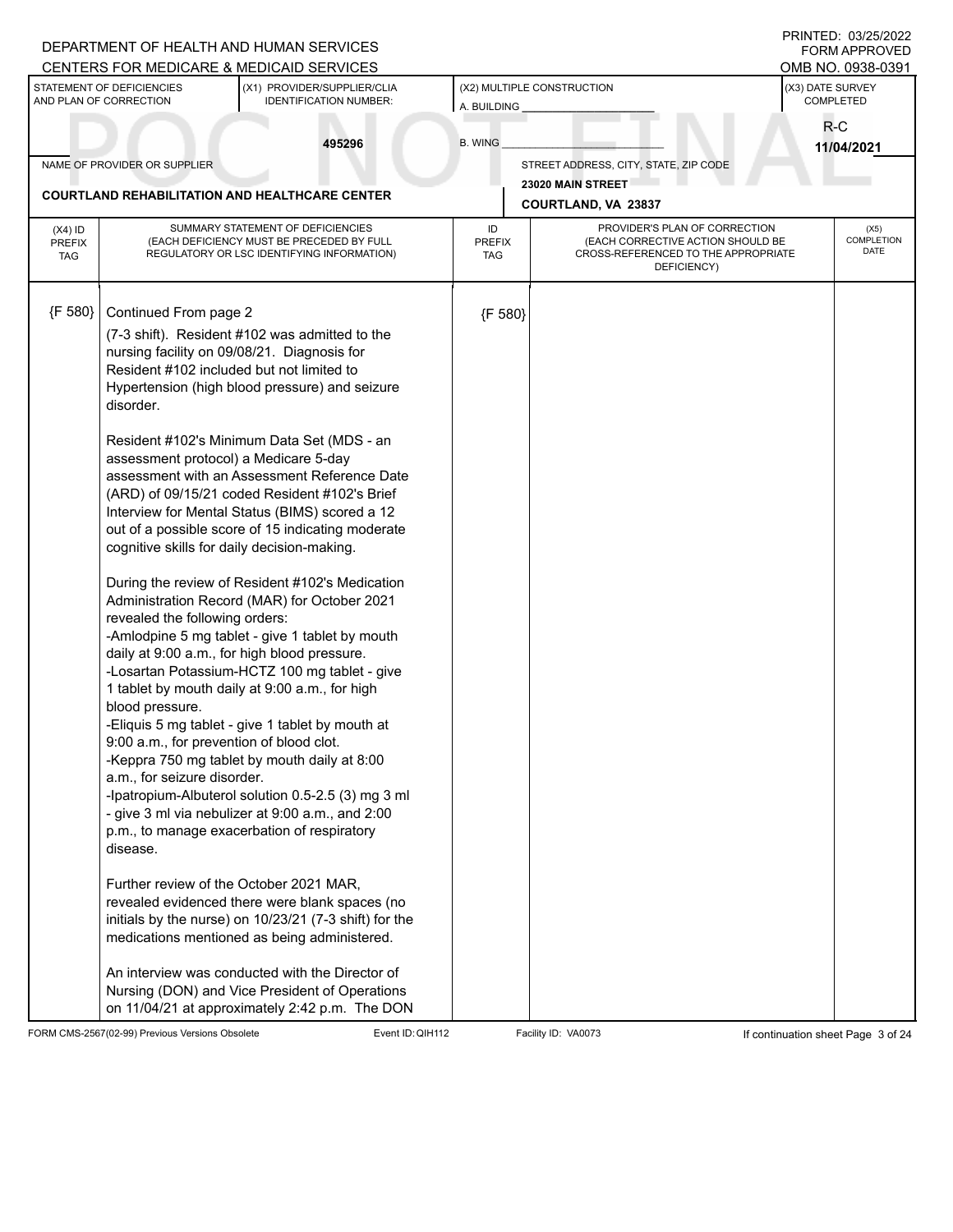|                                          |                                                                                                                                          | DEPARTMENT OF HEALTH AND HUMAN SERVICES<br>CENTERS FOR MEDICARE & MEDICAID SERVICES                                                                                                                                                                                                                                                                                                                                                                                                                                                                                                                                                                                                                                                                                                                                                                                                                                              |                            |                                                                                                                          |                               | PRINTED: 03/25/2022<br><b>FORM APPROVED</b><br>OMB NO. 0938-0391 |
|------------------------------------------|------------------------------------------------------------------------------------------------------------------------------------------|----------------------------------------------------------------------------------------------------------------------------------------------------------------------------------------------------------------------------------------------------------------------------------------------------------------------------------------------------------------------------------------------------------------------------------------------------------------------------------------------------------------------------------------------------------------------------------------------------------------------------------------------------------------------------------------------------------------------------------------------------------------------------------------------------------------------------------------------------------------------------------------------------------------------------------|----------------------------|--------------------------------------------------------------------------------------------------------------------------|-------------------------------|------------------------------------------------------------------|
|                                          | STATEMENT OF DEFICIENCIES<br>AND PLAN OF CORRECTION                                                                                      | (X1) PROVIDER/SUPPLIER/CLIA<br><b>IDENTIFICATION NUMBER:</b>                                                                                                                                                                                                                                                                                                                                                                                                                                                                                                                                                                                                                                                                                                                                                                                                                                                                     | A. BUILDING                | (X2) MULTIPLE CONSTRUCTION                                                                                               | (X3) DATE SURVEY<br>COMPLETED |                                                                  |
|                                          |                                                                                                                                          | 495296                                                                                                                                                                                                                                                                                                                                                                                                                                                                                                                                                                                                                                                                                                                                                                                                                                                                                                                           | <b>B. WING</b>             |                                                                                                                          | R-C                           | 11/04/2021                                                       |
|                                          | NAME OF PROVIDER OR SUPPLIER                                                                                                             |                                                                                                                                                                                                                                                                                                                                                                                                                                                                                                                                                                                                                                                                                                                                                                                                                                                                                                                                  |                            | STREET ADDRESS, CITY, STATE, ZIP CODE                                                                                    |                               |                                                                  |
|                                          |                                                                                                                                          | <b>COURTLAND REHABILITATION AND HEALTHCARE CENTER</b>                                                                                                                                                                                                                                                                                                                                                                                                                                                                                                                                                                                                                                                                                                                                                                                                                                                                            |                            | 23020 MAIN STREET<br>COURTLAND, VA 23837                                                                                 |                               |                                                                  |
|                                          |                                                                                                                                          |                                                                                                                                                                                                                                                                                                                                                                                                                                                                                                                                                                                                                                                                                                                                                                                                                                                                                                                                  |                            |                                                                                                                          |                               |                                                                  |
| $(X4)$ ID<br><b>PREFIX</b><br><b>TAG</b> |                                                                                                                                          | SUMMARY STATEMENT OF DEFICIENCIES<br>(EACH DEFICIENCY MUST BE PRECEDED BY FULL<br>REGULATORY OR LSC IDENTIFYING INFORMATION)                                                                                                                                                                                                                                                                                                                                                                                                                                                                                                                                                                                                                                                                                                                                                                                                     | ID<br><b>PREFIX</b><br>TAG | PROVIDER'S PLAN OF CORRECTION<br>(EACH CORRECTIVE ACTION SHOULD BE<br>CROSS-REFERENCED TO THE APPROPRIATE<br>DEFICIENCY) |                               | (X5)<br>COMPLETION<br>DATE                                       |
| {F 580}                                  | Continued From page 2                                                                                                                    |                                                                                                                                                                                                                                                                                                                                                                                                                                                                                                                                                                                                                                                                                                                                                                                                                                                                                                                                  | {F 580}                    |                                                                                                                          |                               |                                                                  |
|                                          | disorder.                                                                                                                                | (7-3 shift). Resident #102 was admitted to the<br>nursing facility on 09/08/21. Diagnosis for<br>Resident #102 included but not limited to<br>Hypertension (high blood pressure) and seizure                                                                                                                                                                                                                                                                                                                                                                                                                                                                                                                                                                                                                                                                                                                                     |                            |                                                                                                                          |                               |                                                                  |
|                                          | assessment protocol) a Medicare 5-day<br>cognitive skills for daily decision-making.                                                     | Resident #102's Minimum Data Set (MDS - an<br>assessment with an Assessment Reference Date<br>(ARD) of 09/15/21 coded Resident #102's Brief<br>Interview for Mental Status (BIMS) scored a 12<br>out of a possible score of 15 indicating moderate                                                                                                                                                                                                                                                                                                                                                                                                                                                                                                                                                                                                                                                                               |                            |                                                                                                                          |                               |                                                                  |
|                                          | revealed the following orders:<br>blood pressure.<br>9:00 a.m., for prevention of blood clot.<br>a.m., for seizure disorder.<br>disease. | During the review of Resident #102's Medication<br>Administration Record (MAR) for October 2021<br>-Amlodpine 5 mg tablet - give 1 tablet by mouth<br>daily at 9:00 a.m., for high blood pressure.<br>-Losartan Potassium-HCTZ 100 mg tablet - give<br>1 tablet by mouth daily at 9:00 a.m., for high<br>-Eliquis 5 mg tablet - give 1 tablet by mouth at<br>-Keppra 750 mg tablet by mouth daily at 8:00<br>-Ipatropium-Albuterol solution 0.5-2.5 (3) mg 3 ml<br>- give 3 ml via nebulizer at 9:00 a.m., and 2:00<br>p.m., to manage exacerbation of respiratory<br>Further review of the October 2021 MAR,<br>revealed evidenced there were blank spaces (no<br>initials by the nurse) on 10/23/21 (7-3 shift) for the<br>medications mentioned as being administered.<br>An interview was conducted with the Director of<br>Nursing (DON) and Vice President of Operations<br>on 11/04/21 at approximately 2:42 p.m. The DON |                            |                                                                                                                          |                               |                                                                  |

FORM CMS-2567(02-99) Previous Versions Obsolete Event ID: QIH112 Facility ID: VA0073 If continuation sheet Page 3 of 24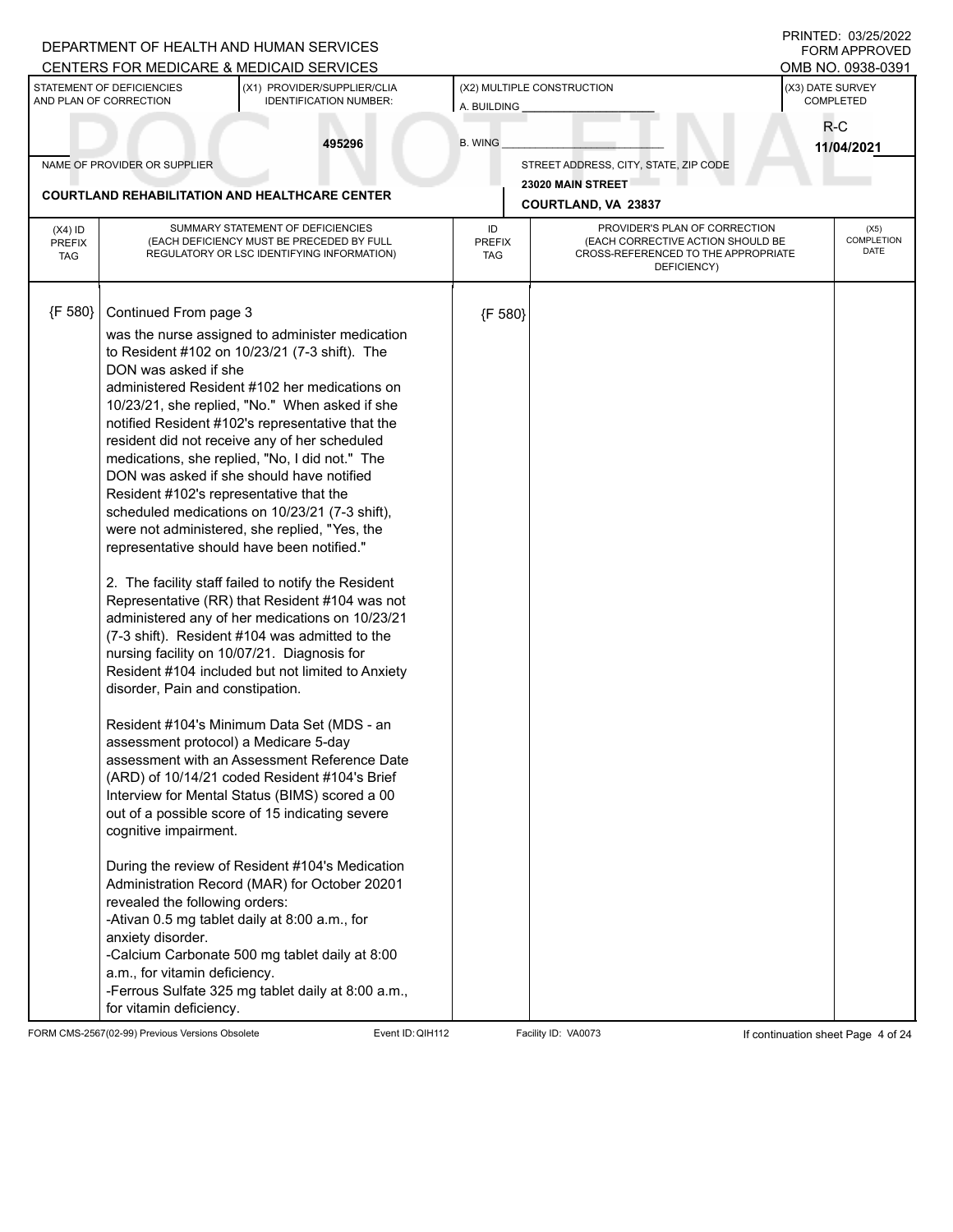|                                          |                                                                                                                                                                                                                                                                                                                   | DEPARTMENT OF HEALTH AND HUMAN SERVICES<br>CENTERS FOR MEDICARE & MEDICAID SERVICES                                                                                                                                                                                                                                                                                                                                                                                                                                                                                                                                                                                                                                                                                                                                                                                                                                                                                                                                                                                                                                                                                                                                                                                                                                                                                                         |                                   |                                                                                                                          | PRINTED: 03/25/2022<br><b>FORM APPROVED</b><br>OMB NO. 0938-0391 |  |
|------------------------------------------|-------------------------------------------------------------------------------------------------------------------------------------------------------------------------------------------------------------------------------------------------------------------------------------------------------------------|---------------------------------------------------------------------------------------------------------------------------------------------------------------------------------------------------------------------------------------------------------------------------------------------------------------------------------------------------------------------------------------------------------------------------------------------------------------------------------------------------------------------------------------------------------------------------------------------------------------------------------------------------------------------------------------------------------------------------------------------------------------------------------------------------------------------------------------------------------------------------------------------------------------------------------------------------------------------------------------------------------------------------------------------------------------------------------------------------------------------------------------------------------------------------------------------------------------------------------------------------------------------------------------------------------------------------------------------------------------------------------------------|-----------------------------------|--------------------------------------------------------------------------------------------------------------------------|------------------------------------------------------------------|--|
|                                          | STATEMENT OF DEFICIENCIES<br>AND PLAN OF CORRECTION                                                                                                                                                                                                                                                               | (X1) PROVIDER/SUPPLIER/CLIA<br><b>IDENTIFICATION NUMBER:</b>                                                                                                                                                                                                                                                                                                                                                                                                                                                                                                                                                                                                                                                                                                                                                                                                                                                                                                                                                                                                                                                                                                                                                                                                                                                                                                                                | A. BUILDING                       | (X2) MULTIPLE CONSTRUCTION                                                                                               | (X3) DATE SURVEY<br>COMPLETED                                    |  |
|                                          |                                                                                                                                                                                                                                                                                                                   | 495296                                                                                                                                                                                                                                                                                                                                                                                                                                                                                                                                                                                                                                                                                                                                                                                                                                                                                                                                                                                                                                                                                                                                                                                                                                                                                                                                                                                      | <b>B. WING</b>                    |                                                                                                                          | R-C<br>11/04/2021                                                |  |
|                                          | NAME OF PROVIDER OR SUPPLIER                                                                                                                                                                                                                                                                                      |                                                                                                                                                                                                                                                                                                                                                                                                                                                                                                                                                                                                                                                                                                                                                                                                                                                                                                                                                                                                                                                                                                                                                                                                                                                                                                                                                                                             |                                   | STREET ADDRESS, CITY, STATE, ZIP CODE                                                                                    |                                                                  |  |
|                                          |                                                                                                                                                                                                                                                                                                                   | <b>COURTLAND REHABILITATION AND HEALTHCARE CENTER</b>                                                                                                                                                                                                                                                                                                                                                                                                                                                                                                                                                                                                                                                                                                                                                                                                                                                                                                                                                                                                                                                                                                                                                                                                                                                                                                                                       |                                   | 23020 MAIN STREET<br>COURTLAND, VA 23837                                                                                 |                                                                  |  |
| $(X4)$ ID<br><b>PREFIX</b><br><b>TAG</b> |                                                                                                                                                                                                                                                                                                                   | SUMMARY STATEMENT OF DEFICIENCIES<br>(EACH DEFICIENCY MUST BE PRECEDED BY FULL<br>REGULATORY OR LSC IDENTIFYING INFORMATION)                                                                                                                                                                                                                                                                                                                                                                                                                                                                                                                                                                                                                                                                                                                                                                                                                                                                                                                                                                                                                                                                                                                                                                                                                                                                | ID<br><b>PREFIX</b><br><b>TAG</b> | PROVIDER'S PLAN OF CORRECTION<br>(EACH CORRECTIVE ACTION SHOULD BE<br>CROSS-REFERENCED TO THE APPROPRIATE<br>DEFICIENCY) | (X5)<br><b>COMPLETION</b><br>DATE                                |  |
| {F 580}                                  | Continued From page 3<br>DON was asked if she<br>Resident #102's representative that the<br>disorder, Pain and constipation.<br>assessment protocol) a Medicare 5-day<br>cognitive impairment.<br>revealed the following orders:<br>anxiety disorder.<br>a.m., for vitamin deficiency.<br>for vitamin deficiency. | was the nurse assigned to administer medication<br>to Resident #102 on 10/23/21 (7-3 shift). The<br>administered Resident #102 her medications on<br>10/23/21, she replied, "No." When asked if she<br>notified Resident #102's representative that the<br>resident did not receive any of her scheduled<br>medications, she replied, "No, I did not." The<br>DON was asked if she should have notified<br>scheduled medications on 10/23/21 (7-3 shift),<br>were not administered, she replied, "Yes, the<br>representative should have been notified."<br>2. The facility staff failed to notify the Resident<br>Representative (RR) that Resident #104 was not<br>administered any of her medications on 10/23/21<br>(7-3 shift). Resident #104 was admitted to the<br>nursing facility on 10/07/21. Diagnosis for<br>Resident #104 included but not limited to Anxiety<br>Resident #104's Minimum Data Set (MDS - an<br>assessment with an Assessment Reference Date<br>(ARD) of 10/14/21 coded Resident #104's Brief<br>Interview for Mental Status (BIMS) scored a 00<br>out of a possible score of 15 indicating severe<br>During the review of Resident #104's Medication<br>Administration Record (MAR) for October 20201<br>-Ativan 0.5 mg tablet daily at 8:00 a.m., for<br>-Calcium Carbonate 500 mg tablet daily at 8:00<br>-Ferrous Sulfate 325 mg tablet daily at 8:00 a.m., | {F 580}                           |                                                                                                                          |                                                                  |  |

FORM CMS-2567(02-99) Previous Versions Obsolete Event ID: QIH112 Facility ID: VA0073 If continuation sheet Page 4 of 24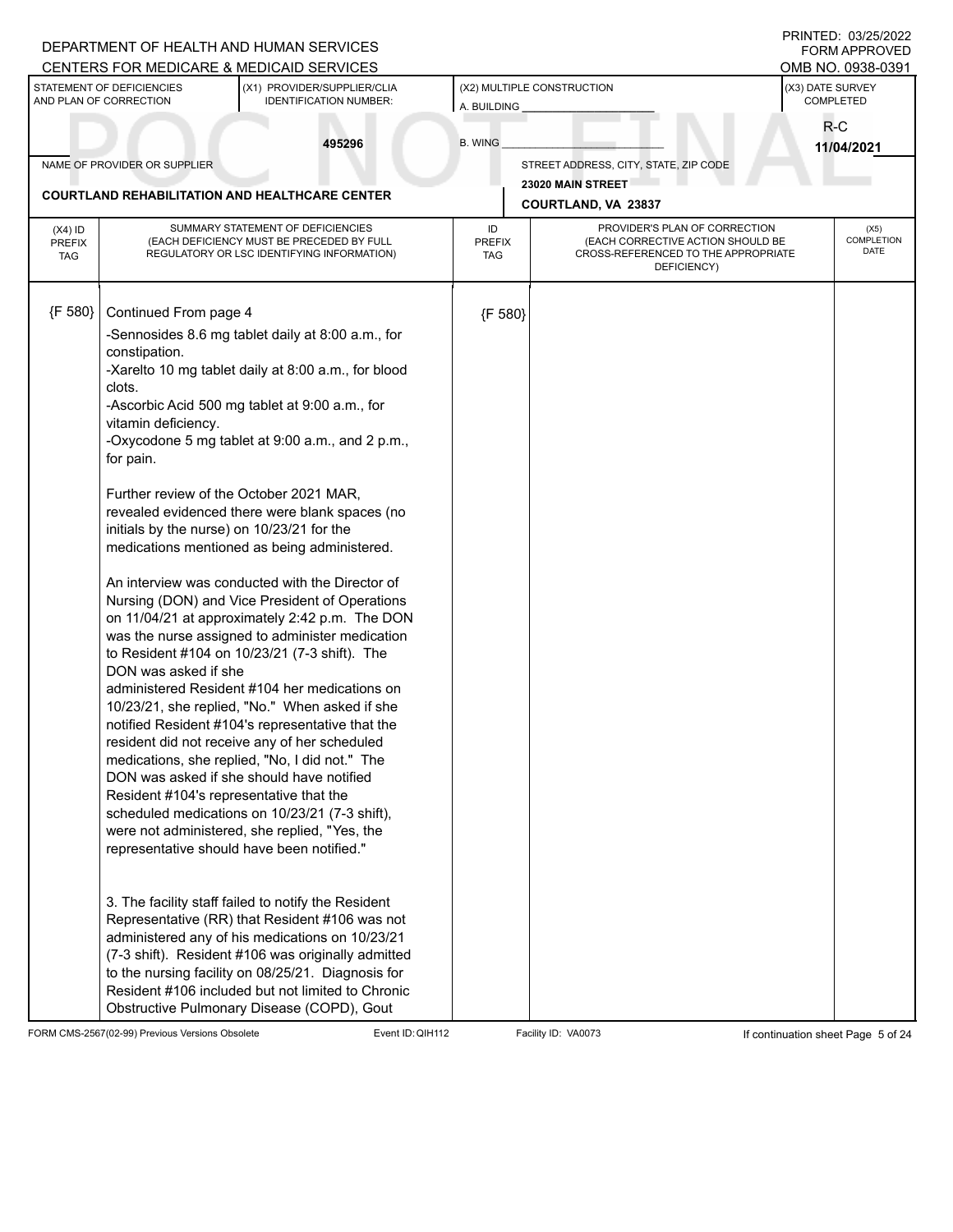|                                          |                                                     | DEPARTMENT OF HEALTH AND HUMAN SERVICES<br><b>CENTERS FOR MEDICARE &amp; MEDICAID SERVICES</b>                                                                                                                                                                                                                                                                          |                                           |                                                                                                                          |                               | PRINTED: 03/25/2022<br><b>FORM APPROVED</b><br>OMB NO. 0938-0391 |
|------------------------------------------|-----------------------------------------------------|-------------------------------------------------------------------------------------------------------------------------------------------------------------------------------------------------------------------------------------------------------------------------------------------------------------------------------------------------------------------------|-------------------------------------------|--------------------------------------------------------------------------------------------------------------------------|-------------------------------|------------------------------------------------------------------|
|                                          | STATEMENT OF DEFICIENCIES<br>AND PLAN OF CORRECTION | (X1) PROVIDER/SUPPLIER/CLIA<br><b>IDENTIFICATION NUMBER:</b>                                                                                                                                                                                                                                                                                                            | (X2) MULTIPLE CONSTRUCTION<br>A. BUILDING |                                                                                                                          | (X3) DATE SURVEY<br>COMPLETED |                                                                  |
|                                          |                                                     | 495296                                                                                                                                                                                                                                                                                                                                                                  | <b>B. WING</b>                            |                                                                                                                          | $R-C$                         | 11/04/2021                                                       |
|                                          | NAME OF PROVIDER OR SUPPLIER                        |                                                                                                                                                                                                                                                                                                                                                                         |                                           | STREET ADDRESS, CITY, STATE, ZIP CODE                                                                                    |                               |                                                                  |
|                                          |                                                     | <b>COURTLAND REHABILITATION AND HEALTHCARE CENTER</b>                                                                                                                                                                                                                                                                                                                   |                                           | 23020 MAIN STREET                                                                                                        |                               |                                                                  |
|                                          |                                                     |                                                                                                                                                                                                                                                                                                                                                                         |                                           | <b>COURTLAND, VA 23837</b>                                                                                               |                               |                                                                  |
| $(X4)$ ID<br><b>PREFIX</b><br><b>TAG</b> |                                                     | SUMMARY STATEMENT OF DEFICIENCIES<br>(EACH DEFICIENCY MUST BE PRECEDED BY FULL<br>REGULATORY OR LSC IDENTIFYING INFORMATION)                                                                                                                                                                                                                                            | ID<br><b>PREFIX</b><br><b>TAG</b>         | PROVIDER'S PLAN OF CORRECTION<br>(EACH CORRECTIVE ACTION SHOULD BE<br>CROSS-REFERENCED TO THE APPROPRIATE<br>DEFICIENCY) |                               | (X5)<br>COMPLETION<br>DATE                                       |
| {F 580}                                  | Continued From page 4                               |                                                                                                                                                                                                                                                                                                                                                                         | {F 580}                                   |                                                                                                                          |                               |                                                                  |
|                                          | constipation.                                       | -Sennosides 8.6 mg tablet daily at 8:00 a.m., for                                                                                                                                                                                                                                                                                                                       |                                           |                                                                                                                          |                               |                                                                  |
|                                          | clots.                                              | -Xarelto 10 mg tablet daily at 8:00 a.m., for blood                                                                                                                                                                                                                                                                                                                     |                                           |                                                                                                                          |                               |                                                                  |
|                                          | vitamin deficiency.                                 | -Ascorbic Acid 500 mg tablet at 9:00 a.m., for                                                                                                                                                                                                                                                                                                                          |                                           |                                                                                                                          |                               |                                                                  |
|                                          | for pain.                                           | -Oxycodone 5 mg tablet at 9:00 a.m., and 2 p.m.,                                                                                                                                                                                                                                                                                                                        |                                           |                                                                                                                          |                               |                                                                  |
|                                          | initials by the nurse) on 10/23/21 for the          | Further review of the October 2021 MAR,<br>revealed evidenced there were blank spaces (no<br>medications mentioned as being administered.                                                                                                                                                                                                                               |                                           |                                                                                                                          |                               |                                                                  |
|                                          |                                                     | An interview was conducted with the Director of<br>Nursing (DON) and Vice President of Operations<br>on 11/04/21 at approximately 2:42 p.m. The DON<br>was the nurse assigned to administer medication<br>to Resident #104 on 10/23/21 (7-3 shift). The                                                                                                                 |                                           |                                                                                                                          |                               |                                                                  |
|                                          | DON was asked if she                                | administered Resident #104 her medications on<br>10/23/21, she replied, "No." When asked if she<br>notified Resident #104's representative that the                                                                                                                                                                                                                     |                                           |                                                                                                                          |                               |                                                                  |
|                                          | Resident #104's representative that the             | resident did not receive any of her scheduled<br>medications, she replied, "No, I did not." The<br>DON was asked if she should have notified                                                                                                                                                                                                                            |                                           |                                                                                                                          |                               |                                                                  |
|                                          |                                                     | scheduled medications on 10/23/21 (7-3 shift),<br>were not administered, she replied, "Yes, the<br>representative should have been notified."                                                                                                                                                                                                                           |                                           |                                                                                                                          |                               |                                                                  |
|                                          |                                                     | 3. The facility staff failed to notify the Resident<br>Representative (RR) that Resident #106 was not<br>administered any of his medications on 10/23/21<br>(7-3 shift). Resident #106 was originally admitted<br>to the nursing facility on 08/25/21. Diagnosis for<br>Resident #106 included but not limited to Chronic<br>Obstructive Pulmonary Disease (COPD), Gout |                                           |                                                                                                                          |                               |                                                                  |

FORM CMS-2567(02-99) Previous Versions Obsolete Event ID: QIH112 Facility ID: VA0073 If continuation sheet Page 5 of 24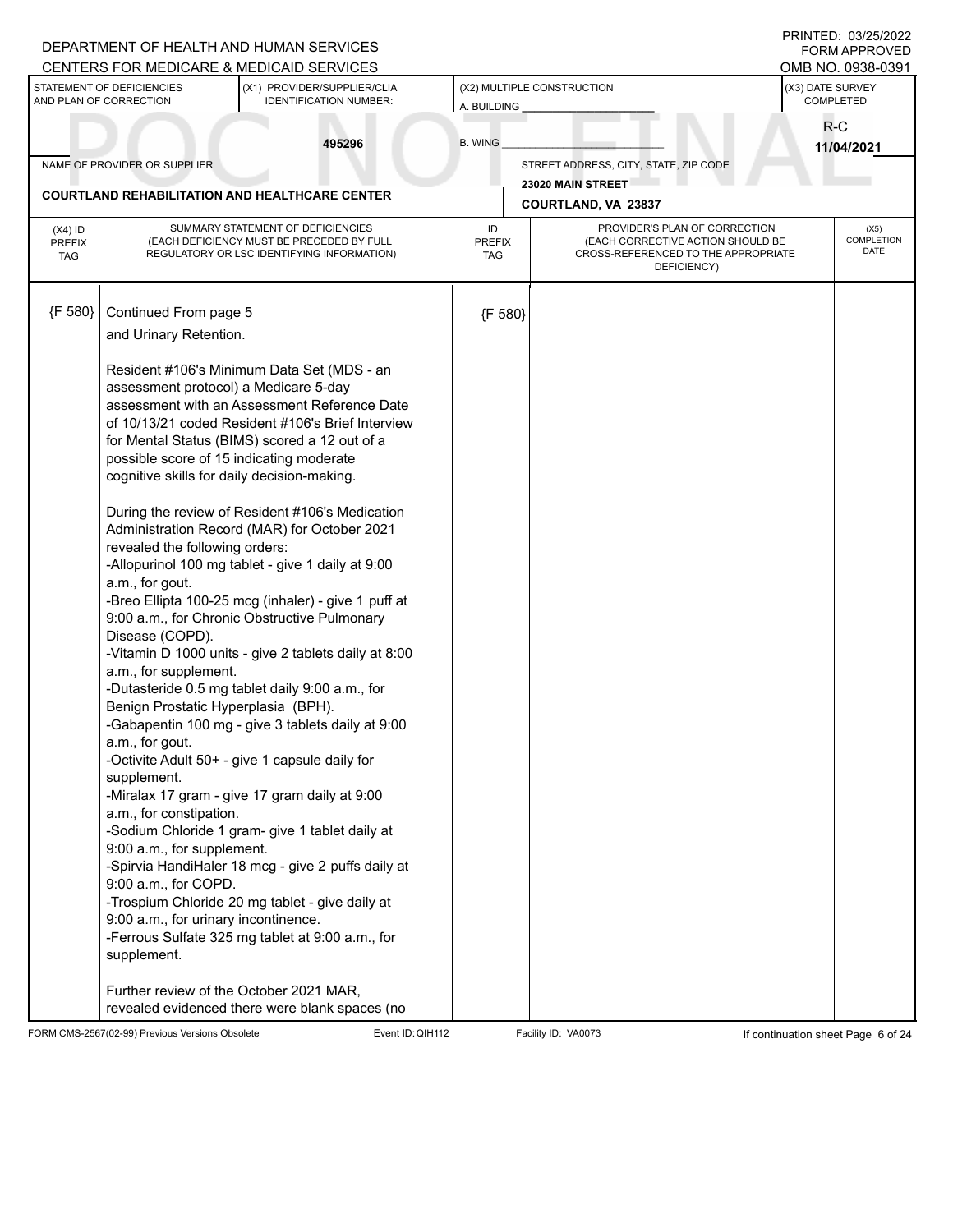|                                          |                                                                                                                                                                                                                                                                                                                                                                                                                                                                                               | DEPARTMENT OF HEALTH AND HUMAN SERVICES<br>CENTERS FOR MEDICARE & MEDICAID SERVICES                                                                                                                                                                                                                                                                                                                                                                                                                                                                                                                                                                                                                                                                                                                                                                                                                                                                |                             |                                                                                         |                               | PRINTED: 03/25/2022<br><b>FORM APPROVED</b><br>OMB NO. 0938-0391 |
|------------------------------------------|-----------------------------------------------------------------------------------------------------------------------------------------------------------------------------------------------------------------------------------------------------------------------------------------------------------------------------------------------------------------------------------------------------------------------------------------------------------------------------------------------|----------------------------------------------------------------------------------------------------------------------------------------------------------------------------------------------------------------------------------------------------------------------------------------------------------------------------------------------------------------------------------------------------------------------------------------------------------------------------------------------------------------------------------------------------------------------------------------------------------------------------------------------------------------------------------------------------------------------------------------------------------------------------------------------------------------------------------------------------------------------------------------------------------------------------------------------------|-----------------------------|-----------------------------------------------------------------------------------------|-------------------------------|------------------------------------------------------------------|
|                                          | STATEMENT OF DEFICIENCIES<br>AND PLAN OF CORRECTION                                                                                                                                                                                                                                                                                                                                                                                                                                           | (X1) PROVIDER/SUPPLIER/CLIA<br><b>IDENTIFICATION NUMBER:</b>                                                                                                                                                                                                                                                                                                                                                                                                                                                                                                                                                                                                                                                                                                                                                                                                                                                                                       | A. BUILDING                 | (X2) MULTIPLE CONSTRUCTION                                                              | (X3) DATE SURVEY<br>COMPLETED |                                                                  |
|                                          |                                                                                                                                                                                                                                                                                                                                                                                                                                                                                               | 495296                                                                                                                                                                                                                                                                                                                                                                                                                                                                                                                                                                                                                                                                                                                                                                                                                                                                                                                                             | <b>B. WING</b>              |                                                                                         | R-C                           | 11/04/2021                                                       |
|                                          | NAME OF PROVIDER OR SUPPLIER                                                                                                                                                                                                                                                                                                                                                                                                                                                                  |                                                                                                                                                                                                                                                                                                                                                                                                                                                                                                                                                                                                                                                                                                                                                                                                                                                                                                                                                    |                             | STREET ADDRESS, CITY, STATE, ZIP CODE                                                   |                               |                                                                  |
|                                          |                                                                                                                                                                                                                                                                                                                                                                                                                                                                                               | <b>COURTLAND REHABILITATION AND HEALTHCARE CENTER</b>                                                                                                                                                                                                                                                                                                                                                                                                                                                                                                                                                                                                                                                                                                                                                                                                                                                                                              |                             | 23020 MAIN STREET<br><b>COURTLAND, VA 23837</b>                                         |                               |                                                                  |
|                                          |                                                                                                                                                                                                                                                                                                                                                                                                                                                                                               | SUMMARY STATEMENT OF DEFICIENCIES                                                                                                                                                                                                                                                                                                                                                                                                                                                                                                                                                                                                                                                                                                                                                                                                                                                                                                                  | ID                          | PROVIDER'S PLAN OF CORRECTION                                                           |                               | (X5)                                                             |
| $(X4)$ ID<br><b>PREFIX</b><br><b>TAG</b> |                                                                                                                                                                                                                                                                                                                                                                                                                                                                                               | (EACH DEFICIENCY MUST BE PRECEDED BY FULL<br>REGULATORY OR LSC IDENTIFYING INFORMATION)                                                                                                                                                                                                                                                                                                                                                                                                                                                                                                                                                                                                                                                                                                                                                                                                                                                            | <b>PREFIX</b><br><b>TAG</b> | (EACH CORRECTIVE ACTION SHOULD BE<br>CROSS-REFERENCED TO THE APPROPRIATE<br>DEFICIENCY) |                               | <b>COMPLETION</b><br>DATE                                        |
| {F 580}                                  | Continued From page 5                                                                                                                                                                                                                                                                                                                                                                                                                                                                         |                                                                                                                                                                                                                                                                                                                                                                                                                                                                                                                                                                                                                                                                                                                                                                                                                                                                                                                                                    | {F 580}                     |                                                                                         |                               |                                                                  |
|                                          | and Urinary Retention.                                                                                                                                                                                                                                                                                                                                                                                                                                                                        |                                                                                                                                                                                                                                                                                                                                                                                                                                                                                                                                                                                                                                                                                                                                                                                                                                                                                                                                                    |                             |                                                                                         |                               |                                                                  |
|                                          | assessment protocol) a Medicare 5-day<br>possible score of 15 indicating moderate<br>cognitive skills for daily decision-making.<br>revealed the following orders:<br>a.m., for gout.<br>Disease (COPD).<br>a.m., for supplement.<br>Benign Prostatic Hyperplasia (BPH).<br>a.m., for gout.<br>supplement.<br>a.m., for constipation.<br>9:00 a.m., for supplement.<br>9:00 a.m., for COPD.<br>9:00 a.m., for urinary incontinence.<br>supplement.<br>Further review of the October 2021 MAR, | Resident #106's Minimum Data Set (MDS - an<br>assessment with an Assessment Reference Date<br>of 10/13/21 coded Resident #106's Brief Interview<br>for Mental Status (BIMS) scored a 12 out of a<br>During the review of Resident #106's Medication<br>Administration Record (MAR) for October 2021<br>-Allopurinol 100 mg tablet - give 1 daily at 9:00<br>-Breo Ellipta 100-25 mcg (inhaler) - give 1 puff at<br>9:00 a.m., for Chronic Obstructive Pulmonary<br>-Vitamin D 1000 units - give 2 tablets daily at 8:00<br>-Dutasteride 0.5 mg tablet daily 9:00 a.m., for<br>-Gabapentin 100 mg - give 3 tablets daily at 9:00<br>-Octivite Adult 50+ - give 1 capsule daily for<br>-Miralax 17 gram - give 17 gram daily at 9:00<br>-Sodium Chloride 1 gram- give 1 tablet daily at<br>-Spirvia HandiHaler 18 mcg - give 2 puffs daily at<br>-Trospium Chloride 20 mg tablet - give daily at<br>-Ferrous Sulfate 325 mg tablet at 9:00 a.m., for |                             |                                                                                         |                               |                                                                  |
|                                          |                                                                                                                                                                                                                                                                                                                                                                                                                                                                                               | revealed evidenced there were blank spaces (no                                                                                                                                                                                                                                                                                                                                                                                                                                                                                                                                                                                                                                                                                                                                                                                                                                                                                                     |                             |                                                                                         |                               |                                                                  |

FORM CMS-2567(02-99) Previous Versions Obsolete Event ID: QIH112 Facility ID: VA0073 If continuation sheet Page 6 of 24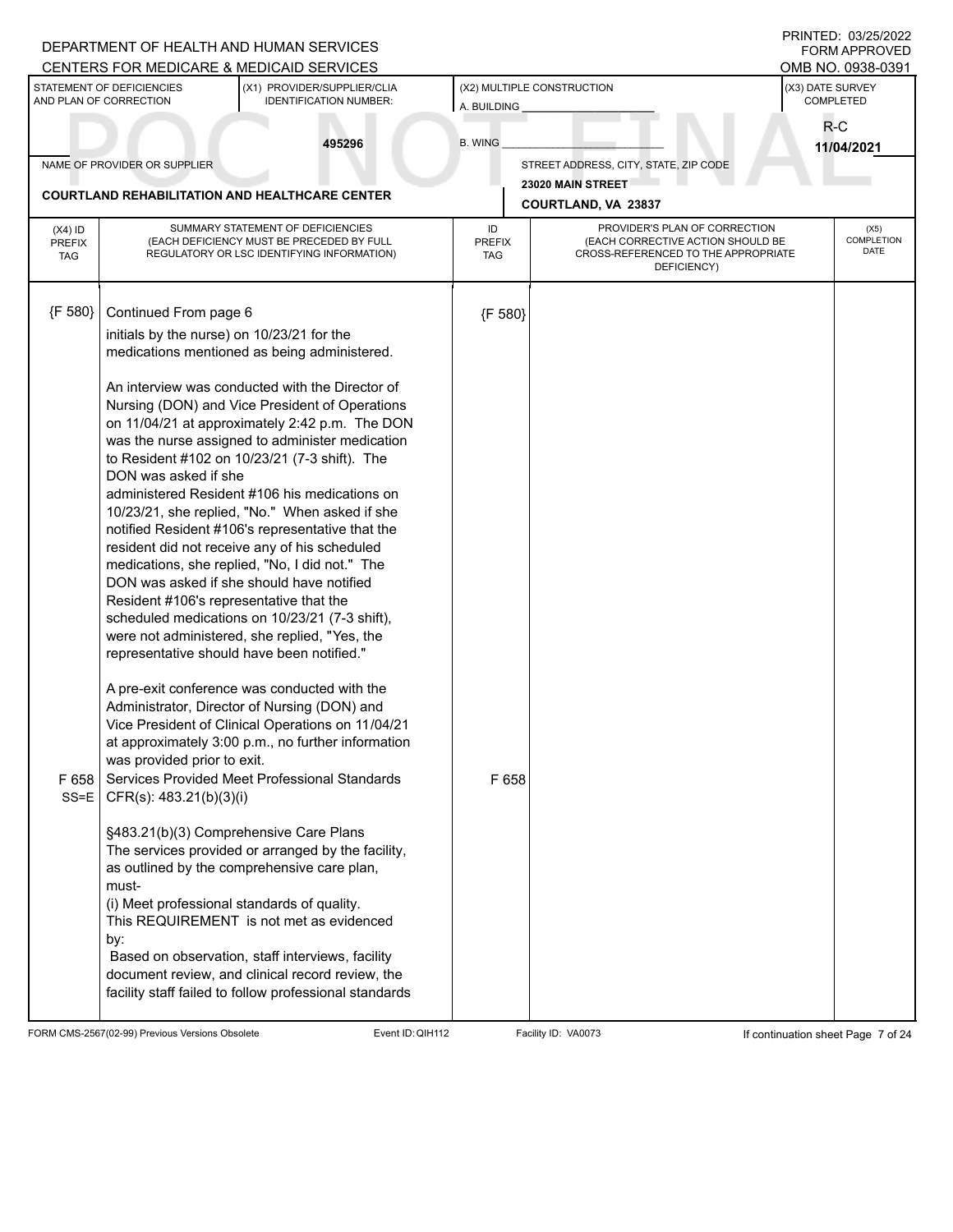|                                          |                                                                                                                                    | DEPARTMENT OF HEALTH AND HUMAN SERVICES<br>CENTERS FOR MEDICARE & MEDICAID SERVICES                                                                                                                                                                                                                                                                                                                                                                                                                                                                                                                                                                                                                                                                                                                                                                                                                                                                                                                                                                                                                                                                                                                                   |                                           |                                                                                                                          |                               | PRINTED: 03/25/2022<br><b>FORM APPROVED</b><br>OMB NO. 0938-0391 |
|------------------------------------------|------------------------------------------------------------------------------------------------------------------------------------|-----------------------------------------------------------------------------------------------------------------------------------------------------------------------------------------------------------------------------------------------------------------------------------------------------------------------------------------------------------------------------------------------------------------------------------------------------------------------------------------------------------------------------------------------------------------------------------------------------------------------------------------------------------------------------------------------------------------------------------------------------------------------------------------------------------------------------------------------------------------------------------------------------------------------------------------------------------------------------------------------------------------------------------------------------------------------------------------------------------------------------------------------------------------------------------------------------------------------|-------------------------------------------|--------------------------------------------------------------------------------------------------------------------------|-------------------------------|------------------------------------------------------------------|
|                                          | STATEMENT OF DEFICIENCIES<br>AND PLAN OF CORRECTION                                                                                | (X1) PROVIDER/SUPPLIER/CLIA<br><b>IDENTIFICATION NUMBER:</b>                                                                                                                                                                                                                                                                                                                                                                                                                                                                                                                                                                                                                                                                                                                                                                                                                                                                                                                                                                                                                                                                                                                                                          | (X2) MULTIPLE CONSTRUCTION<br>A. BUILDING |                                                                                                                          | (X3) DATE SURVEY<br>COMPLETED |                                                                  |
|                                          |                                                                                                                                    | 495296                                                                                                                                                                                                                                                                                                                                                                                                                                                                                                                                                                                                                                                                                                                                                                                                                                                                                                                                                                                                                                                                                                                                                                                                                | <b>B. WING</b>                            |                                                                                                                          |                               | R-C<br>11/04/2021                                                |
|                                          | NAME OF PROVIDER OR SUPPLIER                                                                                                       |                                                                                                                                                                                                                                                                                                                                                                                                                                                                                                                                                                                                                                                                                                                                                                                                                                                                                                                                                                                                                                                                                                                                                                                                                       |                                           | STREET ADDRESS, CITY, STATE, ZIP CODE                                                                                    |                               |                                                                  |
|                                          |                                                                                                                                    | <b>COURTLAND REHABILITATION AND HEALTHCARE CENTER</b>                                                                                                                                                                                                                                                                                                                                                                                                                                                                                                                                                                                                                                                                                                                                                                                                                                                                                                                                                                                                                                                                                                                                                                 |                                           | 23020 MAIN STREET<br>COURTLAND, VA 23837                                                                                 |                               |                                                                  |
| $(X4)$ ID<br><b>PREFIX</b><br><b>TAG</b> |                                                                                                                                    | SUMMARY STATEMENT OF DEFICIENCIES<br>(EACH DEFICIENCY MUST BE PRECEDED BY FULL<br>REGULATORY OR LSC IDENTIFYING INFORMATION)                                                                                                                                                                                                                                                                                                                                                                                                                                                                                                                                                                                                                                                                                                                                                                                                                                                                                                                                                                                                                                                                                          | ID<br><b>PREFIX</b><br><b>TAG</b>         | PROVIDER'S PLAN OF CORRECTION<br>(EACH CORRECTIVE ACTION SHOULD BE<br>CROSS-REFERENCED TO THE APPROPRIATE<br>DEFICIENCY) |                               | (X5)<br><b>COMPLETION</b><br>DATE                                |
| ${F 580}$                                | Continued From page 6                                                                                                              |                                                                                                                                                                                                                                                                                                                                                                                                                                                                                                                                                                                                                                                                                                                                                                                                                                                                                                                                                                                                                                                                                                                                                                                                                       | {F 580}                                   |                                                                                                                          |                               |                                                                  |
|                                          | initials by the nurse) on 10/23/21 for the                                                                                         | medications mentioned as being administered.                                                                                                                                                                                                                                                                                                                                                                                                                                                                                                                                                                                                                                                                                                                                                                                                                                                                                                                                                                                                                                                                                                                                                                          |                                           |                                                                                                                          |                               |                                                                  |
| F 658<br>SS=E                            | DON was asked if she<br>Resident #106's representative that the<br>was provided prior to exit.<br>CFR(s): 483.21(b)(3)(i)<br>must- | An interview was conducted with the Director of<br>Nursing (DON) and Vice President of Operations<br>on 11/04/21 at approximately 2:42 p.m. The DON<br>was the nurse assigned to administer medication<br>to Resident #102 on 10/23/21 (7-3 shift). The<br>administered Resident #106 his medications on<br>10/23/21, she replied, "No." When asked if she<br>notified Resident #106's representative that the<br>resident did not receive any of his scheduled<br>medications, she replied, "No, I did not." The<br>DON was asked if she should have notified<br>scheduled medications on 10/23/21 (7-3 shift),<br>were not administered, she replied, "Yes, the<br>representative should have been notified."<br>A pre-exit conference was conducted with the<br>Administrator, Director of Nursing (DON) and<br>Vice President of Clinical Operations on 11/04/21<br>at approximately 3:00 p.m., no further information<br>Services Provided Meet Professional Standards<br>§483.21(b)(3) Comprehensive Care Plans<br>The services provided or arranged by the facility,<br>as outlined by the comprehensive care plan,<br>(i) Meet professional standards of quality.<br>This REQUIREMENT is not met as evidenced | F 658                                     |                                                                                                                          |                               |                                                                  |
|                                          | by:                                                                                                                                | Based on observation, staff interviews, facility<br>document review, and clinical record review, the<br>facility staff failed to follow professional standards                                                                                                                                                                                                                                                                                                                                                                                                                                                                                                                                                                                                                                                                                                                                                                                                                                                                                                                                                                                                                                                        |                                           |                                                                                                                          |                               |                                                                  |

FORM CMS-2567(02-99) Previous Versions Obsolete Event ID: QIH112 Facility ID: VA0073 If continuation sheet Page 7 of 24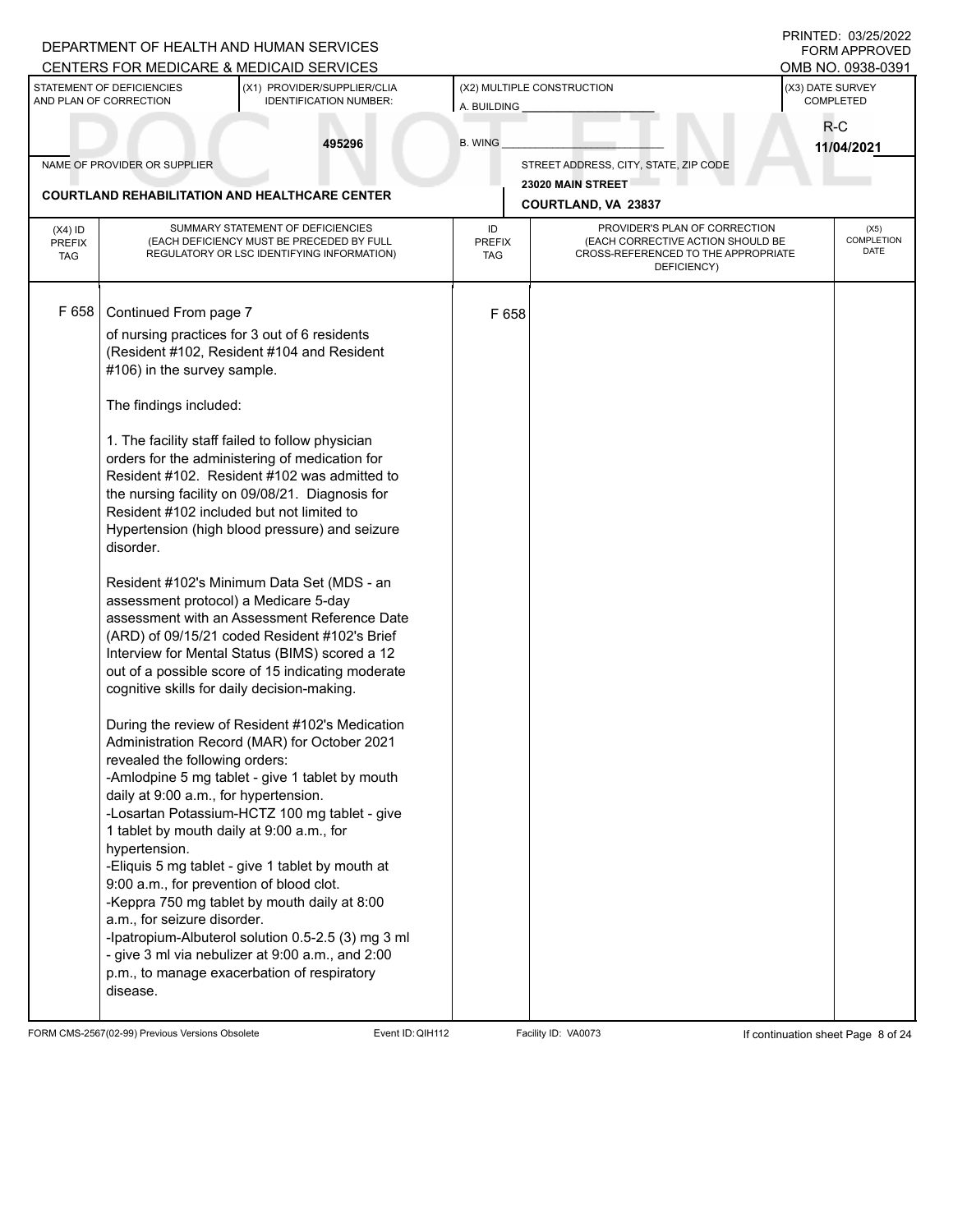|                                          |                                                                                                                                                                                                                              | DEPARTMENT OF HEALTH AND HUMAN SERVICES<br>CENTERS FOR MEDICARE & MEDICAID SERVICES                                                                                                                                                                                                                                                                                                                                                                              |                                   |                                                                                                                          | PRINTED: 03/25/2022<br><b>FORM APPROVED</b><br>OMB NO. 0938-0391 |  |
|------------------------------------------|------------------------------------------------------------------------------------------------------------------------------------------------------------------------------------------------------------------------------|------------------------------------------------------------------------------------------------------------------------------------------------------------------------------------------------------------------------------------------------------------------------------------------------------------------------------------------------------------------------------------------------------------------------------------------------------------------|-----------------------------------|--------------------------------------------------------------------------------------------------------------------------|------------------------------------------------------------------|--|
|                                          | STATEMENT OF DEFICIENCIES<br>AND PLAN OF CORRECTION                                                                                                                                                                          | (X1) PROVIDER/SUPPLIER/CLIA<br><b>IDENTIFICATION NUMBER:</b>                                                                                                                                                                                                                                                                                                                                                                                                     | A. BUILDING                       | (X2) MULTIPLE CONSTRUCTION                                                                                               | (X3) DATE SURVEY<br>COMPLETED                                    |  |
|                                          |                                                                                                                                                                                                                              | 495296                                                                                                                                                                                                                                                                                                                                                                                                                                                           | <b>B. WING</b>                    |                                                                                                                          | $R-C$<br>11/04/2021                                              |  |
|                                          | NAME OF PROVIDER OR SUPPLIER                                                                                                                                                                                                 |                                                                                                                                                                                                                                                                                                                                                                                                                                                                  |                                   | STREET ADDRESS, CITY, STATE, ZIP CODE                                                                                    |                                                                  |  |
|                                          |                                                                                                                                                                                                                              | <b>COURTLAND REHABILITATION AND HEALTHCARE CENTER</b>                                                                                                                                                                                                                                                                                                                                                                                                            |                                   | 23020 MAIN STREET                                                                                                        |                                                                  |  |
|                                          |                                                                                                                                                                                                                              |                                                                                                                                                                                                                                                                                                                                                                                                                                                                  |                                   | COURTLAND, VA 23837                                                                                                      |                                                                  |  |
| $(X4)$ ID<br><b>PREFIX</b><br><b>TAG</b> |                                                                                                                                                                                                                              | SUMMARY STATEMENT OF DEFICIENCIES<br>(EACH DEFICIENCY MUST BE PRECEDED BY FULL<br>REGULATORY OR LSC IDENTIFYING INFORMATION)                                                                                                                                                                                                                                                                                                                                     | ID<br><b>PREFIX</b><br><b>TAG</b> | PROVIDER'S PLAN OF CORRECTION<br>(EACH CORRECTIVE ACTION SHOULD BE<br>CROSS-REFERENCED TO THE APPROPRIATE<br>DEFICIENCY) | (X5)<br><b>COMPLETION</b><br>DATE                                |  |
| F 658                                    | Continued From page 7                                                                                                                                                                                                        |                                                                                                                                                                                                                                                                                                                                                                                                                                                                  | F 658                             |                                                                                                                          |                                                                  |  |
|                                          | #106) in the survey sample.                                                                                                                                                                                                  | of nursing practices for 3 out of 6 residents<br>(Resident #102, Resident #104 and Resident                                                                                                                                                                                                                                                                                                                                                                      |                                   |                                                                                                                          |                                                                  |  |
|                                          | The findings included:                                                                                                                                                                                                       |                                                                                                                                                                                                                                                                                                                                                                                                                                                                  |                                   |                                                                                                                          |                                                                  |  |
|                                          | Resident #102 included but not limited to<br>disorder.                                                                                                                                                                       | 1. The facility staff failed to follow physician<br>orders for the administering of medication for<br>Resident #102. Resident #102 was admitted to<br>the nursing facility on 09/08/21. Diagnosis for<br>Hypertension (high blood pressure) and seizure                                                                                                                                                                                                          |                                   |                                                                                                                          |                                                                  |  |
|                                          | assessment protocol) a Medicare 5-day<br>cognitive skills for daily decision-making.                                                                                                                                         | Resident #102's Minimum Data Set (MDS - an<br>assessment with an Assessment Reference Date<br>(ARD) of 09/15/21 coded Resident #102's Brief<br>Interview for Mental Status (BIMS) scored a 12<br>out of a possible score of 15 indicating moderate                                                                                                                                                                                                               |                                   |                                                                                                                          |                                                                  |  |
|                                          | revealed the following orders:<br>daily at 9:00 a.m., for hypertension.<br>1 tablet by mouth daily at 9:00 a.m., for<br>hypertension.<br>9:00 a.m., for prevention of blood clot.<br>a.m., for seizure disorder.<br>disease. | During the review of Resident #102's Medication<br>Administration Record (MAR) for October 2021<br>-Amlodpine 5 mg tablet - give 1 tablet by mouth<br>-Losartan Potassium-HCTZ 100 mg tablet - give<br>-Eliquis 5 mg tablet - give 1 tablet by mouth at<br>-Keppra 750 mg tablet by mouth daily at 8:00<br>-Ipatropium-Albuterol solution 0.5-2.5 (3) mg 3 ml<br>- give 3 ml via nebulizer at 9:00 a.m., and 2:00<br>p.m., to manage exacerbation of respiratory |                                   |                                                                                                                          |                                                                  |  |

FORM CMS-2567(02-99) Previous Versions Obsolete Event ID: QIH112 Facility ID: VA0073 If continuation sheet Page 8 of 24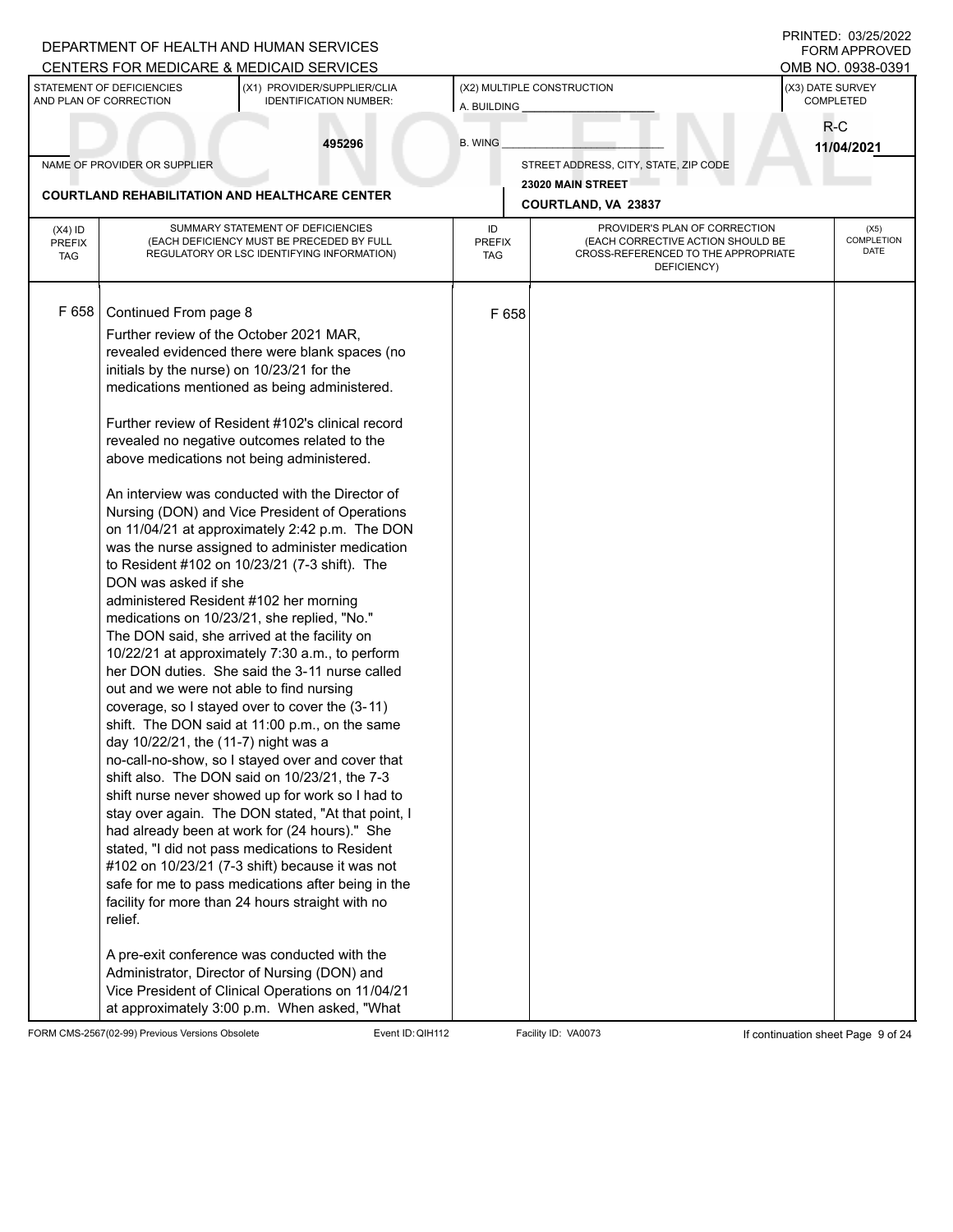|                                          |                                                                                                                                                                                                                                      | DEPARTMENT OF HEALTH AND HUMAN SERVICES<br>CENTERS FOR MEDICARE & MEDICAID SERVICES                                                                                                                                                                                                                                                                                                                                                                                                                                                                                                                                                                                                                                                                                                                                                                                                                                                                                                                                                                                                                                                                                                                                                                                                                                                                                                                                                            |                                           |                                                                                                                          |                               | PRINTED: 03/25/2022<br><b>FORM APPROVED</b><br>OMB NO. 0938-0391 |
|------------------------------------------|--------------------------------------------------------------------------------------------------------------------------------------------------------------------------------------------------------------------------------------|------------------------------------------------------------------------------------------------------------------------------------------------------------------------------------------------------------------------------------------------------------------------------------------------------------------------------------------------------------------------------------------------------------------------------------------------------------------------------------------------------------------------------------------------------------------------------------------------------------------------------------------------------------------------------------------------------------------------------------------------------------------------------------------------------------------------------------------------------------------------------------------------------------------------------------------------------------------------------------------------------------------------------------------------------------------------------------------------------------------------------------------------------------------------------------------------------------------------------------------------------------------------------------------------------------------------------------------------------------------------------------------------------------------------------------------------|-------------------------------------------|--------------------------------------------------------------------------------------------------------------------------|-------------------------------|------------------------------------------------------------------|
|                                          | STATEMENT OF DEFICIENCIES<br>AND PLAN OF CORRECTION                                                                                                                                                                                  | (X1) PROVIDER/SUPPLIER/CLIA<br><b>IDENTIFICATION NUMBER:</b>                                                                                                                                                                                                                                                                                                                                                                                                                                                                                                                                                                                                                                                                                                                                                                                                                                                                                                                                                                                                                                                                                                                                                                                                                                                                                                                                                                                   | (X2) MULTIPLE CONSTRUCTION<br>A. BUILDING |                                                                                                                          | (X3) DATE SURVEY<br>COMPLETED |                                                                  |
|                                          |                                                                                                                                                                                                                                      | 495296                                                                                                                                                                                                                                                                                                                                                                                                                                                                                                                                                                                                                                                                                                                                                                                                                                                                                                                                                                                                                                                                                                                                                                                                                                                                                                                                                                                                                                         | <b>B. WING</b>                            |                                                                                                                          | $R-C$                         | 11/04/2021                                                       |
|                                          | NAME OF PROVIDER OR SUPPLIER                                                                                                                                                                                                         |                                                                                                                                                                                                                                                                                                                                                                                                                                                                                                                                                                                                                                                                                                                                                                                                                                                                                                                                                                                                                                                                                                                                                                                                                                                                                                                                                                                                                                                |                                           | STREET ADDRESS, CITY, STATE, ZIP CODE                                                                                    |                               |                                                                  |
|                                          |                                                                                                                                                                                                                                      | <b>COURTLAND REHABILITATION AND HEALTHCARE CENTER</b>                                                                                                                                                                                                                                                                                                                                                                                                                                                                                                                                                                                                                                                                                                                                                                                                                                                                                                                                                                                                                                                                                                                                                                                                                                                                                                                                                                                          |                                           | 23020 MAIN STREET                                                                                                        |                               |                                                                  |
|                                          |                                                                                                                                                                                                                                      |                                                                                                                                                                                                                                                                                                                                                                                                                                                                                                                                                                                                                                                                                                                                                                                                                                                                                                                                                                                                                                                                                                                                                                                                                                                                                                                                                                                                                                                |                                           | <b>COURTLAND, VA 23837</b>                                                                                               |                               |                                                                  |
| $(X4)$ ID<br><b>PREFIX</b><br><b>TAG</b> |                                                                                                                                                                                                                                      | SUMMARY STATEMENT OF DEFICIENCIES<br>(EACH DEFICIENCY MUST BE PRECEDED BY FULL<br>REGULATORY OR LSC IDENTIFYING INFORMATION)                                                                                                                                                                                                                                                                                                                                                                                                                                                                                                                                                                                                                                                                                                                                                                                                                                                                                                                                                                                                                                                                                                                                                                                                                                                                                                                   | ID<br><b>PREFIX</b><br><b>TAG</b>         | PROVIDER'S PLAN OF CORRECTION<br>(EACH CORRECTIVE ACTION SHOULD BE<br>CROSS-REFERENCED TO THE APPROPRIATE<br>DEFICIENCY) |                               | (X5)<br>COMPLETION<br>DATE                                       |
| F 658                                    | Continued From page 8<br>initials by the nurse) on 10/23/21 for the<br>DON was asked if she<br>administered Resident #102 her morning<br>out and we were not able to find nursing<br>day 10/22/21, the (11-7) night was a<br>relief. | Further review of the October 2021 MAR,<br>revealed evidenced there were blank spaces (no<br>medications mentioned as being administered.<br>Further review of Resident #102's clinical record<br>revealed no negative outcomes related to the<br>above medications not being administered.<br>An interview was conducted with the Director of<br>Nursing (DON) and Vice President of Operations<br>on 11/04/21 at approximately 2:42 p.m. The DON<br>was the nurse assigned to administer medication<br>to Resident #102 on 10/23/21 (7-3 shift). The<br>medications on 10/23/21, she replied, "No."<br>The DON said, she arrived at the facility on<br>10/22/21 at approximately 7:30 a.m., to perform<br>her DON duties. She said the 3-11 nurse called<br>coverage, so I stayed over to cover the (3-11)<br>shift. The DON said at 11:00 p.m., on the same<br>no-call-no-show, so I stayed over and cover that<br>shift also. The DON said on 10/23/21, the 7-3<br>shift nurse never showed up for work so I had to<br>stay over again. The DON stated, "At that point, I<br>had already been at work for (24 hours)." She<br>stated, "I did not pass medications to Resident<br>#102 on 10/23/21 (7-3 shift) because it was not<br>safe for me to pass medications after being in the<br>facility for more than 24 hours straight with no<br>A pre-exit conference was conducted with the<br>Administrator, Director of Nursing (DON) and | F 658                                     |                                                                                                                          |                               |                                                                  |
|                                          |                                                                                                                                                                                                                                      | Vice President of Clinical Operations on 11/04/21<br>at approximately 3:00 p.m. When asked, "What                                                                                                                                                                                                                                                                                                                                                                                                                                                                                                                                                                                                                                                                                                                                                                                                                                                                                                                                                                                                                                                                                                                                                                                                                                                                                                                                              |                                           |                                                                                                                          |                               |                                                                  |

FORM CMS-2567(02-99) Previous Versions Obsolete Event ID: QIH112 Facility ID: VA0073 If continuation sheet Page 9 of 24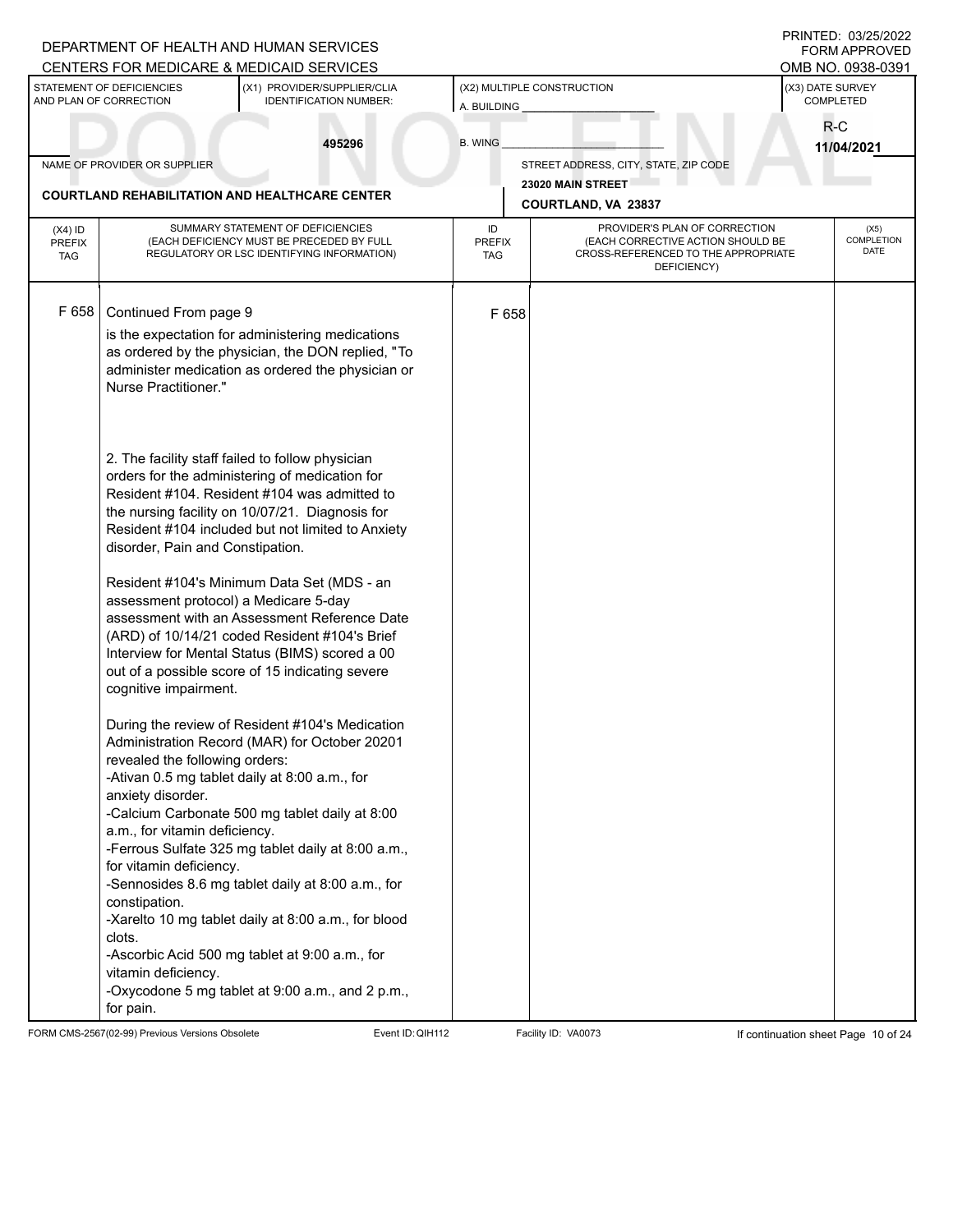|                                          |                                                                                                                                                                   | DEPARTMENT OF HEALTH AND HUMAN SERVICES<br>CENTERS FOR MEDICARE & MEDICAID SERVICES                                                                                                                                                                                                                                                                                                                                     |                                           |                                                                                                                          | PRINTED: 03/25/2022<br><b>FORM APPROVED</b><br>OMB NO. 0938-0391 |  |
|------------------------------------------|-------------------------------------------------------------------------------------------------------------------------------------------------------------------|-------------------------------------------------------------------------------------------------------------------------------------------------------------------------------------------------------------------------------------------------------------------------------------------------------------------------------------------------------------------------------------------------------------------------|-------------------------------------------|--------------------------------------------------------------------------------------------------------------------------|------------------------------------------------------------------|--|
|                                          | STATEMENT OF DEFICIENCIES<br>AND PLAN OF CORRECTION                                                                                                               | (X1) PROVIDER/SUPPLIER/CLIA<br><b>IDENTIFICATION NUMBER:</b>                                                                                                                                                                                                                                                                                                                                                            | (X2) MULTIPLE CONSTRUCTION<br>A. BUILDING |                                                                                                                          | (X3) DATE SURVEY<br>COMPLETED                                    |  |
|                                          |                                                                                                                                                                   | 495296                                                                                                                                                                                                                                                                                                                                                                                                                  | <b>B. WING</b>                            |                                                                                                                          | $R-C$                                                            |  |
|                                          | NAME OF PROVIDER OR SUPPLIER                                                                                                                                      |                                                                                                                                                                                                                                                                                                                                                                                                                         |                                           | STREET ADDRESS, CITY, STATE, ZIP CODE                                                                                    | 11/04/2021                                                       |  |
|                                          |                                                                                                                                                                   |                                                                                                                                                                                                                                                                                                                                                                                                                         |                                           | 23020 MAIN STREET                                                                                                        |                                                                  |  |
|                                          |                                                                                                                                                                   | <b>COURTLAND REHABILITATION AND HEALTHCARE CENTER</b>                                                                                                                                                                                                                                                                                                                                                                   |                                           | COURTLAND, VA 23837                                                                                                      |                                                                  |  |
| $(X4)$ ID<br><b>PREFIX</b><br><b>TAG</b> |                                                                                                                                                                   | SUMMARY STATEMENT OF DEFICIENCIES<br>(EACH DEFICIENCY MUST BE PRECEDED BY FULL<br>REGULATORY OR LSC IDENTIFYING INFORMATION)                                                                                                                                                                                                                                                                                            | ID<br><b>PREFIX</b><br><b>TAG</b>         | PROVIDER'S PLAN OF CORRECTION<br>(EACH CORRECTIVE ACTION SHOULD BE<br>CROSS-REFERENCED TO THE APPROPRIATE<br>DEFICIENCY) | (X5)<br><b>COMPLETION</b><br><b>DATE</b>                         |  |
| F 658                                    | Continued From page 9                                                                                                                                             |                                                                                                                                                                                                                                                                                                                                                                                                                         | F 658                                     |                                                                                                                          |                                                                  |  |
|                                          | Nurse Practitioner."                                                                                                                                              | is the expectation for administering medications<br>as ordered by the physician, the DON replied, "To<br>administer medication as ordered the physician or                                                                                                                                                                                                                                                              |                                           |                                                                                                                          |                                                                  |  |
|                                          | disorder, Pain and Constipation.                                                                                                                                  | 2. The facility staff failed to follow physician<br>orders for the administering of medication for<br>Resident #104. Resident #104 was admitted to<br>the nursing facility on 10/07/21. Diagnosis for<br>Resident #104 included but not limited to Anxiety                                                                                                                                                              |                                           |                                                                                                                          |                                                                  |  |
|                                          | assessment protocol) a Medicare 5-day<br>cognitive impairment.                                                                                                    | Resident #104's Minimum Data Set (MDS - an<br>assessment with an Assessment Reference Date<br>(ARD) of 10/14/21 coded Resident #104's Brief<br>Interview for Mental Status (BIMS) scored a 00<br>out of a possible score of 15 indicating severe                                                                                                                                                                        |                                           |                                                                                                                          |                                                                  |  |
|                                          | revealed the following orders:<br>anxiety disorder.<br>a.m., for vitamin deficiency.<br>for vitamin deficiency.<br>constipation.<br>clots.<br>vitamin deficiency. | During the review of Resident #104's Medication<br>Administration Record (MAR) for October 20201<br>-Ativan 0.5 mg tablet daily at 8:00 a.m., for<br>-Calcium Carbonate 500 mg tablet daily at 8:00<br>-Ferrous Sulfate 325 mg tablet daily at 8:00 a.m.,<br>-Sennosides 8.6 mg tablet daily at 8:00 a.m., for<br>-Xarelto 10 mg tablet daily at 8:00 a.m., for blood<br>-Ascorbic Acid 500 mg tablet at 9:00 a.m., for |                                           |                                                                                                                          |                                                                  |  |
|                                          | for pain.                                                                                                                                                         | -Oxycodone 5 mg tablet at 9:00 a.m., and 2 p.m.,                                                                                                                                                                                                                                                                                                                                                                        |                                           |                                                                                                                          |                                                                  |  |

FORM CMS-2567(02-99) Previous Versions Obsolete Event ID:QIH112 Facility ID: VA0073 If continuation sheet Page 10 of 24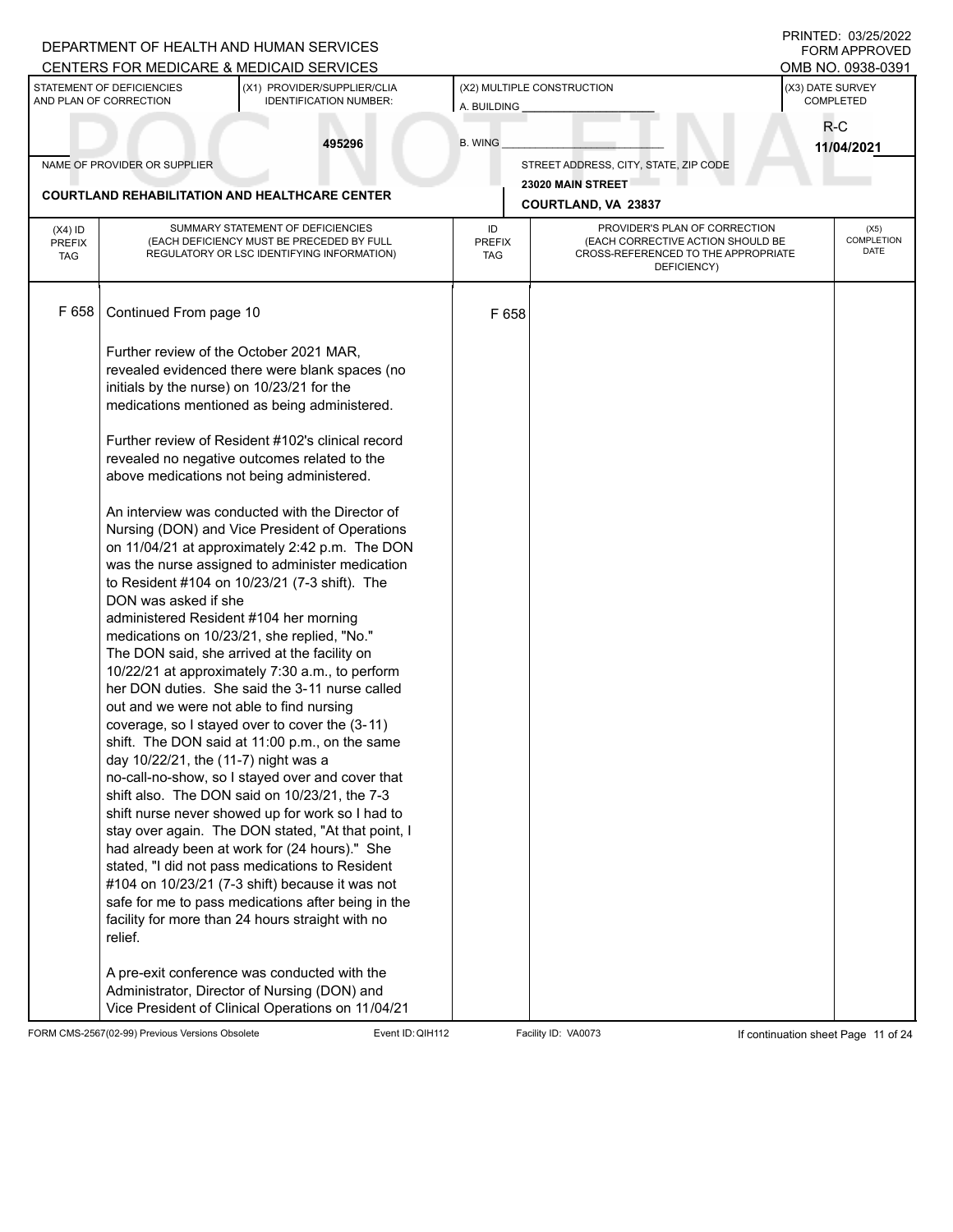|                             |                                                     | DEPARTMENT OF HEALTH AND HUMAN SERVICES<br>CENTERS FOR MEDICARE & MEDICAID SERVICES                |                             |                                                                                         | PRINTED: 03/25/2022<br><b>FORM APPROVED</b><br>OMB NO. 0938-0391 |  |
|-----------------------------|-----------------------------------------------------|----------------------------------------------------------------------------------------------------|-----------------------------|-----------------------------------------------------------------------------------------|------------------------------------------------------------------|--|
|                             | STATEMENT OF DEFICIENCIES<br>AND PLAN OF CORRECTION | (X1) PROVIDER/SUPPLIER/CLIA<br><b>IDENTIFICATION NUMBER:</b>                                       | A. BUILDING                 | (X2) MULTIPLE CONSTRUCTION                                                              | (X3) DATE SURVEY<br>COMPLETED                                    |  |
|                             |                                                     | 495296                                                                                             | <b>B. WING</b>              |                                                                                         | R-C<br>11/04/2021                                                |  |
|                             | NAME OF PROVIDER OR SUPPLIER                        |                                                                                                    |                             | STREET ADDRESS, CITY, STATE, ZIP CODE                                                   |                                                                  |  |
|                             |                                                     | <b>COURTLAND REHABILITATION AND HEALTHCARE CENTER</b>                                              |                             | 23020 MAIN STREET<br>COURTLAND, VA 23837                                                |                                                                  |  |
| $(X4)$ ID                   |                                                     | SUMMARY STATEMENT OF DEFICIENCIES                                                                  | ID                          | PROVIDER'S PLAN OF CORRECTION                                                           | (X5)                                                             |  |
| <b>PREFIX</b><br><b>TAG</b> |                                                     | (EACH DEFICIENCY MUST BE PRECEDED BY FULL<br>REGULATORY OR LSC IDENTIFYING INFORMATION)            | <b>PREFIX</b><br><b>TAG</b> | (EACH CORRECTIVE ACTION SHOULD BE<br>CROSS-REFERENCED TO THE APPROPRIATE<br>DEFICIENCY) | COMPLETION<br>DATE                                               |  |
| F 658                       | Continued From page 10                              |                                                                                                    | F 658                       |                                                                                         |                                                                  |  |
|                             |                                                     | Further review of the October 2021 MAR,                                                            |                             |                                                                                         |                                                                  |  |
|                             |                                                     | revealed evidenced there were blank spaces (no                                                     |                             |                                                                                         |                                                                  |  |
|                             | initials by the nurse) on 10/23/21 for the          | medications mentioned as being administered.                                                       |                             |                                                                                         |                                                                  |  |
|                             |                                                     | Further review of Resident #102's clinical record                                                  |                             |                                                                                         |                                                                  |  |
|                             |                                                     | revealed no negative outcomes related to the                                                       |                             |                                                                                         |                                                                  |  |
|                             |                                                     | above medications not being administered.                                                          |                             |                                                                                         |                                                                  |  |
|                             |                                                     | An interview was conducted with the Director of                                                    |                             |                                                                                         |                                                                  |  |
|                             |                                                     | Nursing (DON) and Vice President of Operations                                                     |                             |                                                                                         |                                                                  |  |
|                             |                                                     | on 11/04/21 at approximately 2:42 p.m. The DON<br>was the nurse assigned to administer medication  |                             |                                                                                         |                                                                  |  |
|                             |                                                     | to Resident #104 on 10/23/21 (7-3 shift). The                                                      |                             |                                                                                         |                                                                  |  |
|                             | DON was asked if she                                | administered Resident #104 her morning                                                             |                             |                                                                                         |                                                                  |  |
|                             |                                                     | medications on 10/23/21, she replied, "No."                                                        |                             |                                                                                         |                                                                  |  |
|                             |                                                     | The DON said, she arrived at the facility on                                                       |                             |                                                                                         |                                                                  |  |
|                             |                                                     | 10/22/21 at approximately 7:30 a.m., to perform<br>her DON duties. She said the 3-11 nurse called  |                             |                                                                                         |                                                                  |  |
|                             |                                                     | out and we were not able to find nursing                                                           |                             |                                                                                         |                                                                  |  |
|                             |                                                     | coverage, so I stayed over to cover the (3-11)                                                     |                             |                                                                                         |                                                                  |  |
|                             | day 10/22/21, the (11-7) night was a                | shift. The DON said at 11:00 p.m., on the same                                                     |                             |                                                                                         |                                                                  |  |
|                             |                                                     | no-call-no-show, so I stayed over and cover that                                                   |                             |                                                                                         |                                                                  |  |
|                             |                                                     | shift also. The DON said on 10/23/21, the 7-3<br>shift nurse never showed up for work so I had to  |                             |                                                                                         |                                                                  |  |
|                             |                                                     | stay over again. The DON stated, "At that point, I                                                 |                             |                                                                                         |                                                                  |  |
|                             |                                                     | had already been at work for (24 hours)." She                                                      |                             |                                                                                         |                                                                  |  |
|                             |                                                     | stated, "I did not pass medications to Resident<br>#104 on 10/23/21 (7-3 shift) because it was not |                             |                                                                                         |                                                                  |  |
|                             |                                                     | safe for me to pass medications after being in the                                                 |                             |                                                                                         |                                                                  |  |
|                             | relief.                                             | facility for more than 24 hours straight with no                                                   |                             |                                                                                         |                                                                  |  |
|                             |                                                     | A pre-exit conference was conducted with the                                                       |                             |                                                                                         |                                                                  |  |
|                             |                                                     | Administrator, Director of Nursing (DON) and<br>Vice President of Clinical Operations on 11/04/21  |                             |                                                                                         |                                                                  |  |

FORM CMS-2567(02-99) Previous Versions Obsolete Event ID:QIH112 Facility ID: VA0073 If continuation sheet Page 11 of 24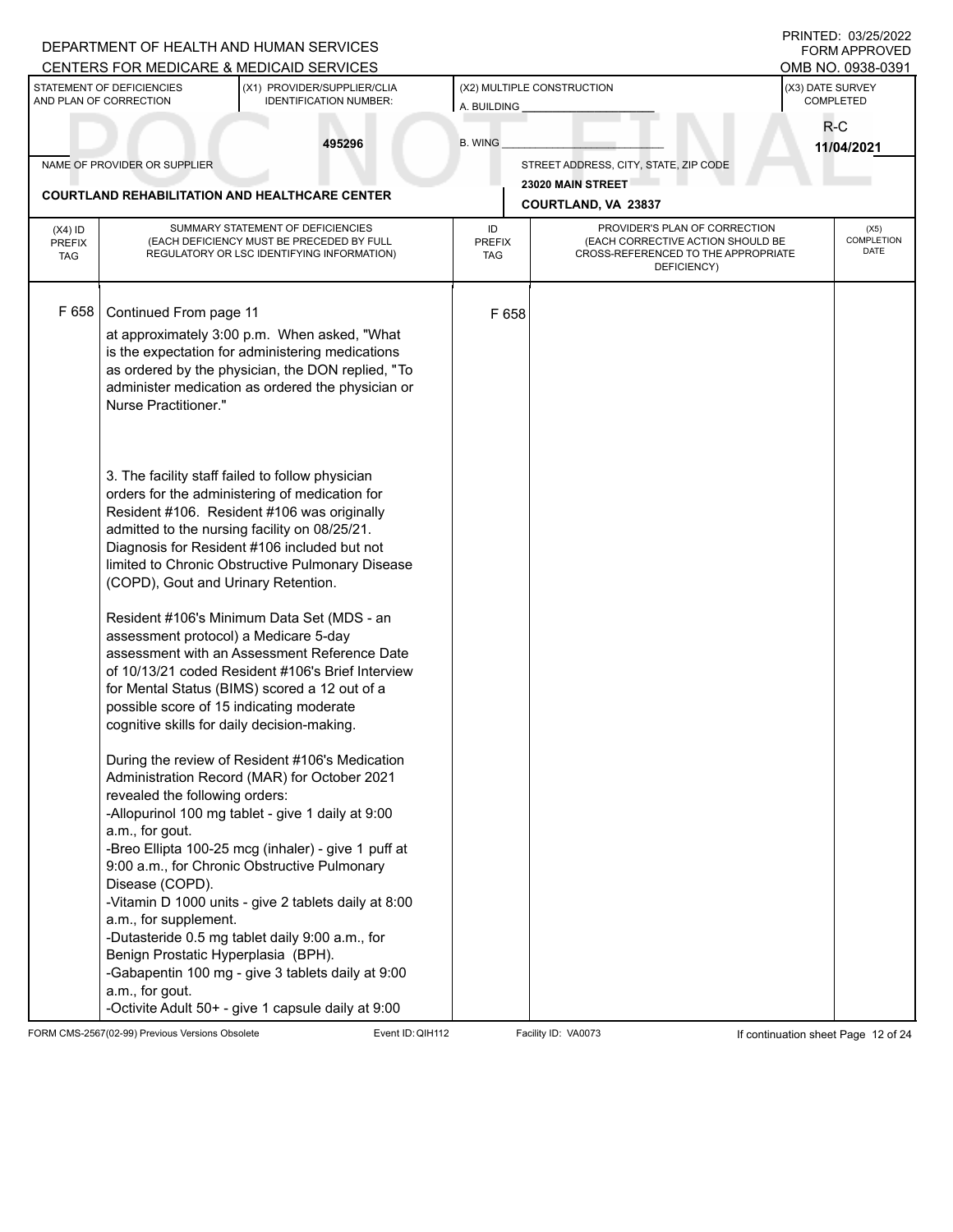|                                   |                                                                                                                                                                                                                                                                                                                                    | DEPARTMENT OF HEALTH AND HUMAN SERVICES<br>CENTERS FOR MEDICARE & MEDICAID SERVICES                                                                                                                                                                                                                                                                                                                                                                                                                                                                                                                                                                                                                                                                                                                                                                                                                                                                                                             |                                   |                                                                                                                          | PRINTED: 03/25/2022<br><b>FORM APPROVED</b><br>OMB NO. 0938-0391 |  |
|-----------------------------------|------------------------------------------------------------------------------------------------------------------------------------------------------------------------------------------------------------------------------------------------------------------------------------------------------------------------------------|-------------------------------------------------------------------------------------------------------------------------------------------------------------------------------------------------------------------------------------------------------------------------------------------------------------------------------------------------------------------------------------------------------------------------------------------------------------------------------------------------------------------------------------------------------------------------------------------------------------------------------------------------------------------------------------------------------------------------------------------------------------------------------------------------------------------------------------------------------------------------------------------------------------------------------------------------------------------------------------------------|-----------------------------------|--------------------------------------------------------------------------------------------------------------------------|------------------------------------------------------------------|--|
|                                   | STATEMENT OF DEFICIENCIES<br>AND PLAN OF CORRECTION                                                                                                                                                                                                                                                                                | (X1) PROVIDER/SUPPLIER/CLIA<br><b>IDENTIFICATION NUMBER:</b>                                                                                                                                                                                                                                                                                                                                                                                                                                                                                                                                                                                                                                                                                                                                                                                                                                                                                                                                    | A. BUILDING                       | (X2) MULTIPLE CONSTRUCTION                                                                                               | (X3) DATE SURVEY<br>COMPLETED                                    |  |
|                                   |                                                                                                                                                                                                                                                                                                                                    | 495296                                                                                                                                                                                                                                                                                                                                                                                                                                                                                                                                                                                                                                                                                                                                                                                                                                                                                                                                                                                          | <b>B. WING</b>                    |                                                                                                                          | $R-C$<br>11/04/2021                                              |  |
|                                   | NAME OF PROVIDER OR SUPPLIER                                                                                                                                                                                                                                                                                                       |                                                                                                                                                                                                                                                                                                                                                                                                                                                                                                                                                                                                                                                                                                                                                                                                                                                                                                                                                                                                 |                                   | STREET ADDRESS, CITY, STATE, ZIP CODE                                                                                    |                                                                  |  |
|                                   |                                                                                                                                                                                                                                                                                                                                    | <b>COURTLAND REHABILITATION AND HEALTHCARE CENTER</b>                                                                                                                                                                                                                                                                                                                                                                                                                                                                                                                                                                                                                                                                                                                                                                                                                                                                                                                                           |                                   | 23020 MAIN STREET<br>COURTLAND, VA 23837                                                                                 |                                                                  |  |
| $(X4)$ ID<br>PREFIX<br><b>TAG</b> |                                                                                                                                                                                                                                                                                                                                    | SUMMARY STATEMENT OF DEFICIENCIES<br>(EACH DEFICIENCY MUST BE PRECEDED BY FULL<br>REGULATORY OR LSC IDENTIFYING INFORMATION)                                                                                                                                                                                                                                                                                                                                                                                                                                                                                                                                                                                                                                                                                                                                                                                                                                                                    | ID<br><b>PREFIX</b><br><b>TAG</b> | PROVIDER'S PLAN OF CORRECTION<br>(EACH CORRECTIVE ACTION SHOULD BE<br>CROSS-REFERENCED TO THE APPROPRIATE<br>DEFICIENCY) | (X5)<br><b>COMPLETION</b><br>DATE                                |  |
| F 658                             | Continued From page 11<br>Nurse Practitioner."                                                                                                                                                                                                                                                                                     | at approximately 3:00 p.m. When asked, "What<br>is the expectation for administering medications<br>as ordered by the physician, the DON replied, "To<br>administer medication as ordered the physician or                                                                                                                                                                                                                                                                                                                                                                                                                                                                                                                                                                                                                                                                                                                                                                                      | F 658                             |                                                                                                                          |                                                                  |  |
|                                   | (COPD), Gout and Urinary Retention.<br>assessment protocol) a Medicare 5-day<br>possible score of 15 indicating moderate<br>cognitive skills for daily decision-making.<br>revealed the following orders:<br>a.m., for gout.<br>Disease (COPD).<br>a.m., for supplement.<br>Benign Prostatic Hyperplasia (BPH).<br>a.m., for gout. | 3. The facility staff failed to follow physician<br>orders for the administering of medication for<br>Resident #106. Resident #106 was originally<br>admitted to the nursing facility on 08/25/21.<br>Diagnosis for Resident #106 included but not<br>limited to Chronic Obstructive Pulmonary Disease<br>Resident #106's Minimum Data Set (MDS - an<br>assessment with an Assessment Reference Date<br>of 10/13/21 coded Resident #106's Brief Interview<br>for Mental Status (BIMS) scored a 12 out of a<br>During the review of Resident #106's Medication<br>Administration Record (MAR) for October 2021<br>-Allopurinol 100 mg tablet - give 1 daily at 9:00<br>-Breo Ellipta 100-25 mcg (inhaler) - give 1 puff at<br>9:00 a.m., for Chronic Obstructive Pulmonary<br>-Vitamin D 1000 units - give 2 tablets daily at 8:00<br>-Dutasteride 0.5 mg tablet daily 9:00 a.m., for<br>-Gabapentin 100 mg - give 3 tablets daily at 9:00<br>-Octivite Adult 50+ - give 1 capsule daily at 9:00 |                                   |                                                                                                                          |                                                                  |  |

FORM CMS-2567(02-99) Previous Versions Obsolete Event ID:QIH112 Facility ID: VA0073 If continuation sheet Page 12 of 24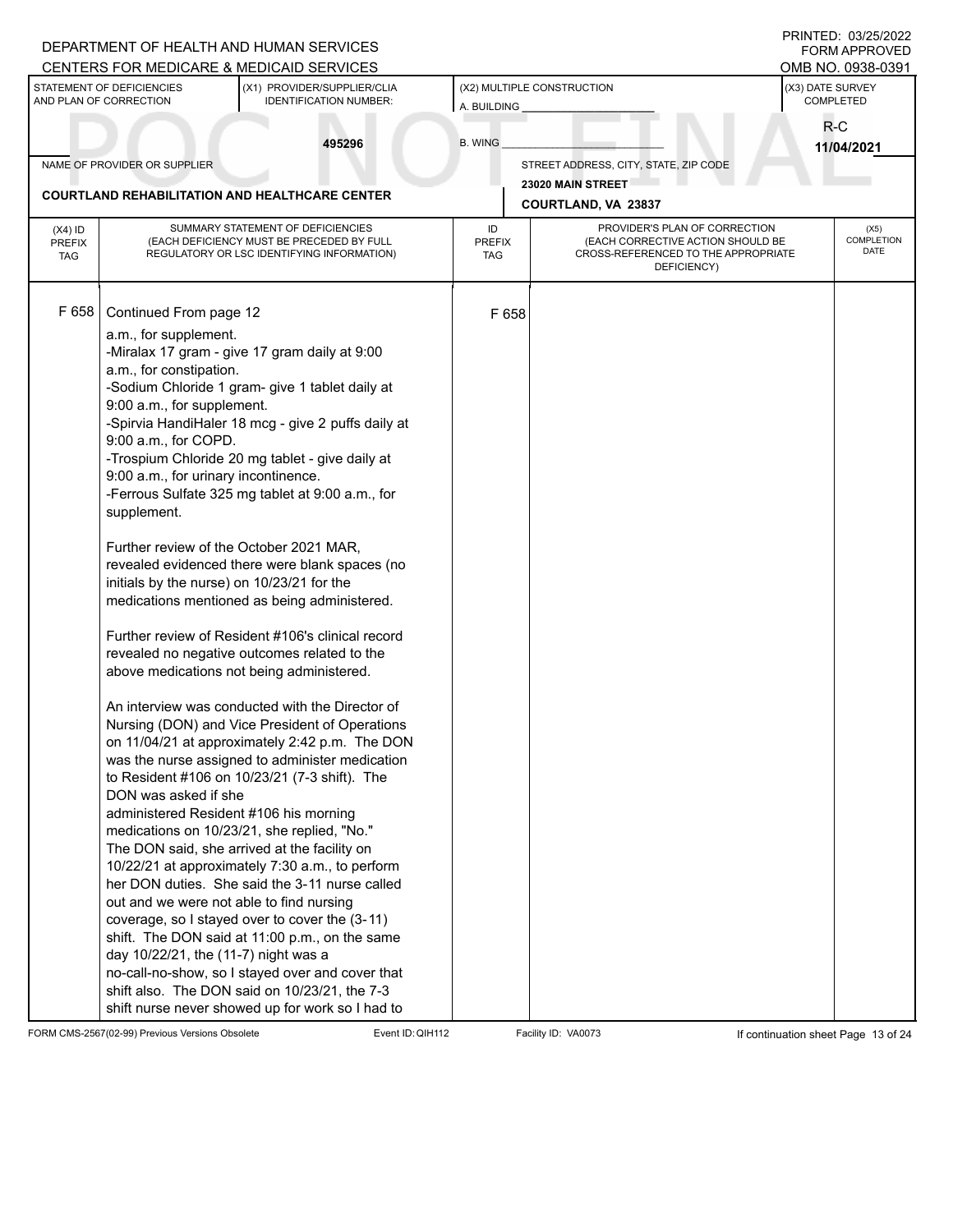|                                          |                                                     | DEPARTMENT OF HEALTH AND HUMAN SERVICES<br>CENTERS FOR MEDICARE & MEDICAID SERVICES                                          |                                   |                                                                                                                          | PRINTED: 03/25/2022<br>OMB NO. 0938-0391 | <b>FORM APPROVED</b>       |
|------------------------------------------|-----------------------------------------------------|------------------------------------------------------------------------------------------------------------------------------|-----------------------------------|--------------------------------------------------------------------------------------------------------------------------|------------------------------------------|----------------------------|
|                                          | STATEMENT OF DEFICIENCIES<br>AND PLAN OF CORRECTION | (X1) PROVIDER/SUPPLIER/CLIA<br><b>IDENTIFICATION NUMBER:</b>                                                                 | A. BUILDING                       | (X2) MULTIPLE CONSTRUCTION                                                                                               | (X3) DATE SURVEY<br>COMPLETED            |                            |
|                                          |                                                     | 495296                                                                                                                       | <b>B. WING</b>                    |                                                                                                                          | R-C                                      |                            |
|                                          | NAME OF PROVIDER OR SUPPLIER                        |                                                                                                                              |                                   | STREET ADDRESS, CITY, STATE, ZIP CODE                                                                                    | 11/04/2021                               |                            |
|                                          |                                                     |                                                                                                                              |                                   | 23020 MAIN STREET                                                                                                        |                                          |                            |
|                                          |                                                     | <b>COURTLAND REHABILITATION AND HEALTHCARE CENTER</b>                                                                        |                                   | COURTLAND, VA 23837                                                                                                      |                                          |                            |
| $(X4)$ ID<br><b>PREFIX</b><br><b>TAG</b> |                                                     | SUMMARY STATEMENT OF DEFICIENCIES<br>(EACH DEFICIENCY MUST BE PRECEDED BY FULL<br>REGULATORY OR LSC IDENTIFYING INFORMATION) | ID<br><b>PREFIX</b><br><b>TAG</b> | PROVIDER'S PLAN OF CORRECTION<br>(EACH CORRECTIVE ACTION SHOULD BE<br>CROSS-REFERENCED TO THE APPROPRIATE<br>DEFICIENCY) |                                          | (X5)<br>COMPLETION<br>DATE |
| F 658                                    | Continued From page 12                              |                                                                                                                              | F 658                             |                                                                                                                          |                                          |                            |
|                                          | a.m., for supplement.                               |                                                                                                                              |                                   |                                                                                                                          |                                          |                            |
|                                          |                                                     | -Miralax 17 gram - give 17 gram daily at 9:00                                                                                |                                   |                                                                                                                          |                                          |                            |
|                                          | a.m., for constipation.                             |                                                                                                                              |                                   |                                                                                                                          |                                          |                            |
|                                          | 9:00 a.m., for supplement.                          | -Sodium Chloride 1 gram- give 1 tablet daily at                                                                              |                                   |                                                                                                                          |                                          |                            |
|                                          |                                                     | -Spirvia HandiHaler 18 mcg - give 2 puffs daily at                                                                           |                                   |                                                                                                                          |                                          |                            |
|                                          | 9:00 a.m., for COPD.                                |                                                                                                                              |                                   |                                                                                                                          |                                          |                            |
|                                          |                                                     | -Trospium Chloride 20 mg tablet - give daily at                                                                              |                                   |                                                                                                                          |                                          |                            |
|                                          | 9:00 a.m., for urinary incontinence.                |                                                                                                                              |                                   |                                                                                                                          |                                          |                            |
|                                          | supplement.                                         | -Ferrous Sulfate 325 mg tablet at 9:00 a.m., for                                                                             |                                   |                                                                                                                          |                                          |                            |
|                                          |                                                     | Further review of the October 2021 MAR,                                                                                      |                                   |                                                                                                                          |                                          |                            |
|                                          |                                                     | revealed evidenced there were blank spaces (no                                                                               |                                   |                                                                                                                          |                                          |                            |
|                                          | initials by the nurse) on 10/23/21 for the          |                                                                                                                              |                                   |                                                                                                                          |                                          |                            |
|                                          |                                                     | medications mentioned as being administered.                                                                                 |                                   |                                                                                                                          |                                          |                            |
|                                          |                                                     | Further review of Resident #106's clinical record                                                                            |                                   |                                                                                                                          |                                          |                            |
|                                          |                                                     | revealed no negative outcomes related to the                                                                                 |                                   |                                                                                                                          |                                          |                            |
|                                          |                                                     | above medications not being administered.                                                                                    |                                   |                                                                                                                          |                                          |                            |
|                                          |                                                     | An interview was conducted with the Director of                                                                              |                                   |                                                                                                                          |                                          |                            |
|                                          |                                                     | Nursing (DON) and Vice President of Operations                                                                               |                                   |                                                                                                                          |                                          |                            |
|                                          |                                                     | on 11/04/21 at approximately 2:42 p.m. The DON                                                                               |                                   |                                                                                                                          |                                          |                            |
|                                          |                                                     | was the nurse assigned to administer medication                                                                              |                                   |                                                                                                                          |                                          |                            |
|                                          | DON was asked if she                                | to Resident #106 on 10/23/21 (7-3 shift). The                                                                                |                                   |                                                                                                                          |                                          |                            |
|                                          |                                                     | administered Resident #106 his morning                                                                                       |                                   |                                                                                                                          |                                          |                            |
|                                          |                                                     | medications on 10/23/21, she replied, "No."                                                                                  |                                   |                                                                                                                          |                                          |                            |
|                                          |                                                     | The DON said, she arrived at the facility on                                                                                 |                                   |                                                                                                                          |                                          |                            |
|                                          |                                                     | 10/22/21 at approximately 7:30 a.m., to perform<br>her DON duties. She said the 3-11 nurse called                            |                                   |                                                                                                                          |                                          |                            |
|                                          | out and we were not able to find nursing            |                                                                                                                              |                                   |                                                                                                                          |                                          |                            |
|                                          |                                                     | coverage, so I stayed over to cover the (3-11)                                                                               |                                   |                                                                                                                          |                                          |                            |
|                                          |                                                     | shift. The DON said at 11:00 p.m., on the same                                                                               |                                   |                                                                                                                          |                                          |                            |
|                                          | day 10/22/21, the (11-7) night was a                |                                                                                                                              |                                   |                                                                                                                          |                                          |                            |
|                                          |                                                     | no-call-no-show, so I stayed over and cover that                                                                             |                                   |                                                                                                                          |                                          |                            |
|                                          |                                                     | shift also. The DON said on 10/23/21, the 7-3<br>shift nurse never showed up for work so I had to                            |                                   |                                                                                                                          |                                          |                            |

FORM CMS-2567(02-99) Previous Versions Obsolete Event ID:QIH112 Facility ID: VA0073 If continuation sheet Page 13 of 24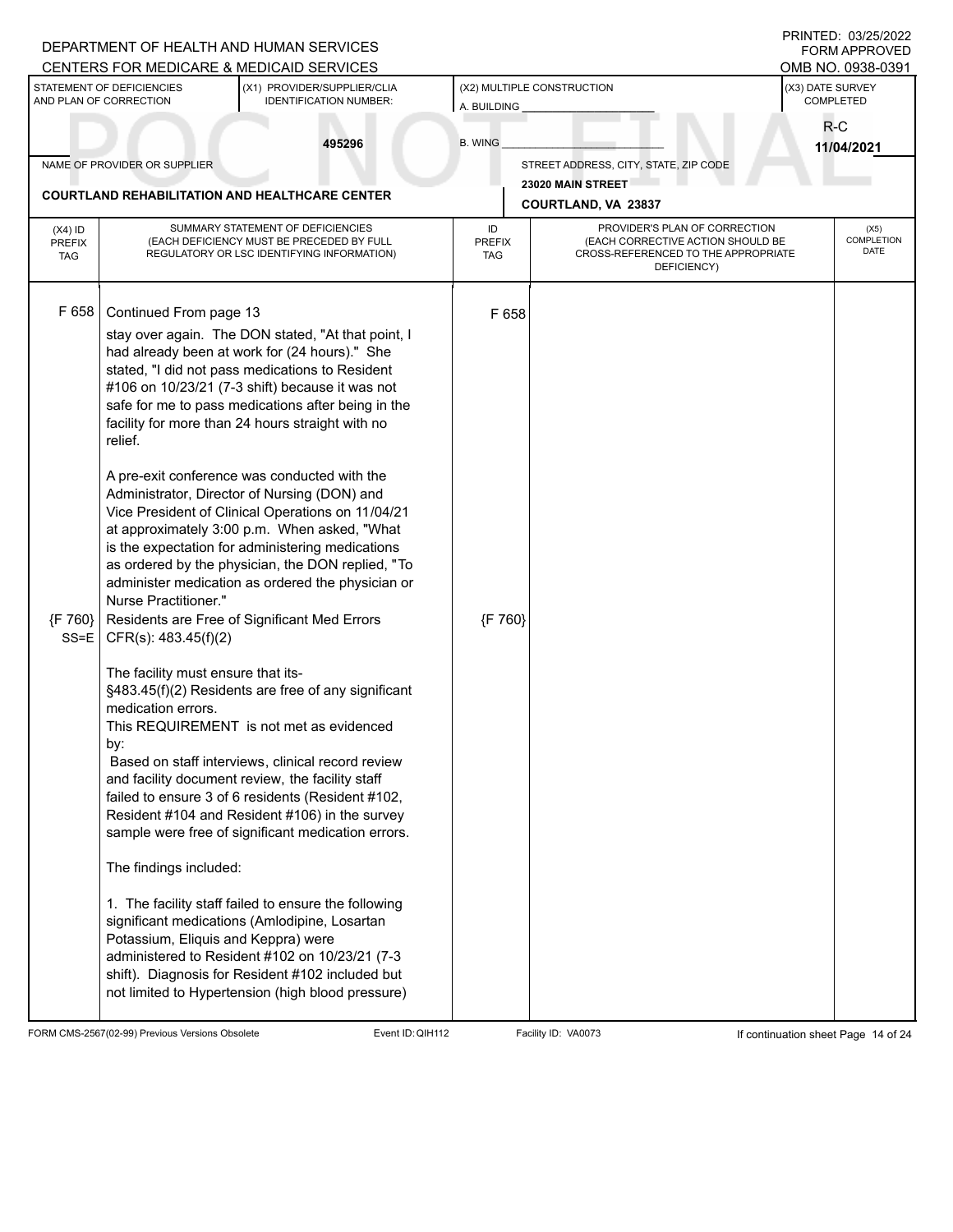|                                          |                                                                                                                                                                                | DEPARTMENT OF HEALTH AND HUMAN SERVICES<br>CENTERS FOR MEDICARE & MEDICAID SERVICES                                                                                                                                                                                                                                                                                                                                                                                                                                                                                                                                                                                                                                                                                                                                                                                                                                                                                                                                                                                                                                                                                                                                      |                            |                                                                                                                          |                               | PRINTED: 03/25/2022<br><b>FORM APPROVED</b><br>OMB NO. 0938-0391 |
|------------------------------------------|--------------------------------------------------------------------------------------------------------------------------------------------------------------------------------|--------------------------------------------------------------------------------------------------------------------------------------------------------------------------------------------------------------------------------------------------------------------------------------------------------------------------------------------------------------------------------------------------------------------------------------------------------------------------------------------------------------------------------------------------------------------------------------------------------------------------------------------------------------------------------------------------------------------------------------------------------------------------------------------------------------------------------------------------------------------------------------------------------------------------------------------------------------------------------------------------------------------------------------------------------------------------------------------------------------------------------------------------------------------------------------------------------------------------|----------------------------|--------------------------------------------------------------------------------------------------------------------------|-------------------------------|------------------------------------------------------------------|
|                                          | STATEMENT OF DEFICIENCIES<br>AND PLAN OF CORRECTION                                                                                                                            | (X1) PROVIDER/SUPPLIER/CLIA<br><b>IDENTIFICATION NUMBER:</b>                                                                                                                                                                                                                                                                                                                                                                                                                                                                                                                                                                                                                                                                                                                                                                                                                                                                                                                                                                                                                                                                                                                                                             | A. BUILDING                | (X2) MULTIPLE CONSTRUCTION                                                                                               | (X3) DATE SURVEY<br>COMPLETED |                                                                  |
|                                          |                                                                                                                                                                                | 495296                                                                                                                                                                                                                                                                                                                                                                                                                                                                                                                                                                                                                                                                                                                                                                                                                                                                                                                                                                                                                                                                                                                                                                                                                   | <b>B. WING</b>             |                                                                                                                          | R-C                           | 11/04/2021                                                       |
|                                          | NAME OF PROVIDER OR SUPPLIER                                                                                                                                                   |                                                                                                                                                                                                                                                                                                                                                                                                                                                                                                                                                                                                                                                                                                                                                                                                                                                                                                                                                                                                                                                                                                                                                                                                                          |                            | STREET ADDRESS, CITY, STATE, ZIP CODE                                                                                    |                               |                                                                  |
|                                          |                                                                                                                                                                                | <b>COURTLAND REHABILITATION AND HEALTHCARE CENTER</b>                                                                                                                                                                                                                                                                                                                                                                                                                                                                                                                                                                                                                                                                                                                                                                                                                                                                                                                                                                                                                                                                                                                                                                    |                            | 23020 MAIN STREET<br>COURTLAND, VA 23837                                                                                 |                               |                                                                  |
| $(X4)$ ID<br><b>PREFIX</b><br><b>TAG</b> |                                                                                                                                                                                | SUMMARY STATEMENT OF DEFICIENCIES<br>(EACH DEFICIENCY MUST BE PRECEDED BY FULL<br>REGULATORY OR LSC IDENTIFYING INFORMATION)                                                                                                                                                                                                                                                                                                                                                                                                                                                                                                                                                                                                                                                                                                                                                                                                                                                                                                                                                                                                                                                                                             | ID<br><b>PREFIX</b><br>TAG | PROVIDER'S PLAN OF CORRECTION<br>(EACH CORRECTIVE ACTION SHOULD BE<br>CROSS-REFERENCED TO THE APPROPRIATE<br>DEFICIENCY) |                               | (X5)<br><b>COMPLETION</b><br>DATE                                |
| F 658<br>{F 760}<br>$SS = E$             | Continued From page 13<br>relief.<br>Nurse Practitioner."<br>CFR(s): 483.45(f)(2)<br>The facility must ensure that its-<br>medication errors.<br>by:<br>The findings included: | stay over again. The DON stated, "At that point, I<br>had already been at work for (24 hours)." She<br>stated, "I did not pass medications to Resident<br>#106 on 10/23/21 (7-3 shift) because it was not<br>safe for me to pass medications after being in the<br>facility for more than 24 hours straight with no<br>A pre-exit conference was conducted with the<br>Administrator, Director of Nursing (DON) and<br>Vice President of Clinical Operations on 11/04/21<br>at approximately 3:00 p.m. When asked, "What<br>is the expectation for administering medications<br>as ordered by the physician, the DON replied, "To<br>administer medication as ordered the physician or<br>Residents are Free of Significant Med Errors<br>§483.45(f)(2) Residents are free of any significant<br>This REQUIREMENT is not met as evidenced<br>Based on staff interviews, clinical record review<br>and facility document review, the facility staff<br>failed to ensure 3 of 6 residents (Resident #102,<br>Resident #104 and Resident #106) in the survey<br>sample were free of significant medication errors.<br>1. The facility staff failed to ensure the following<br>significant medications (Amlodipine, Losartan | F 658<br>{F 760}           |                                                                                                                          |                               |                                                                  |
|                                          | Potassium, Eliquis and Keppra) were                                                                                                                                            | administered to Resident #102 on 10/23/21 (7-3<br>shift). Diagnosis for Resident #102 included but<br>not limited to Hypertension (high blood pressure)                                                                                                                                                                                                                                                                                                                                                                                                                                                                                                                                                                                                                                                                                                                                                                                                                                                                                                                                                                                                                                                                  |                            |                                                                                                                          |                               |                                                                  |

FORM CMS-2567(02-99) Previous Versions Obsolete Event ID:QIH112 Facility ID: VA0073 If continuation sheet Page 14 of 24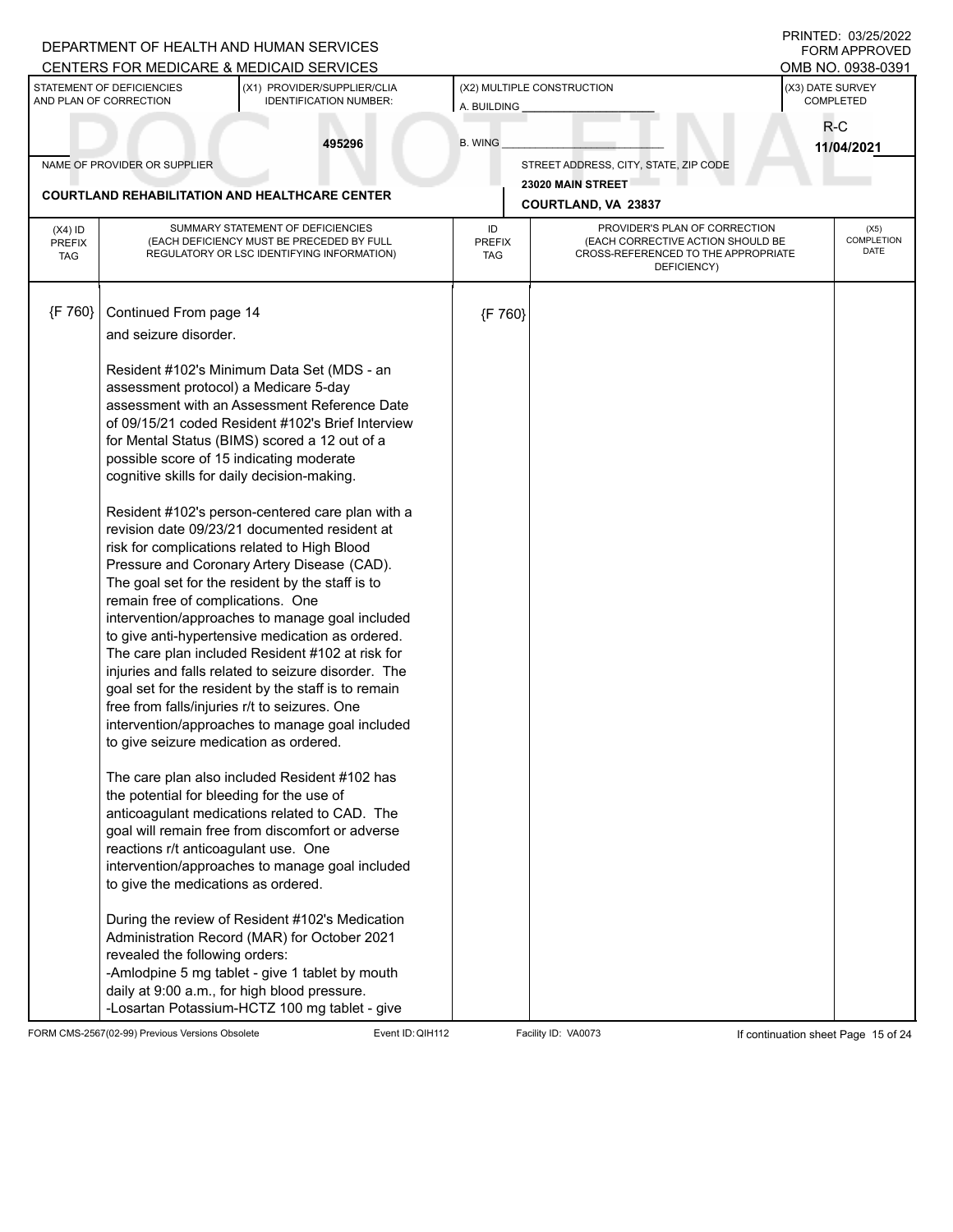|                                          |                                                                                                                                                                                                                                                                  | DEPARTMENT OF HEALTH AND HUMAN SERVICES<br>CENTERS FOR MEDICARE & MEDICAID SERVICES                                                                                                                                                                                                                                                                                                                                                                                                                                                                                                                                                                                                                                                                                                  |                      |                                                                                         | PRINTED: 03/25/2022<br><b>FORM APPROVED</b><br>OMB NO. 0938-0391 |  |
|------------------------------------------|------------------------------------------------------------------------------------------------------------------------------------------------------------------------------------------------------------------------------------------------------------------|--------------------------------------------------------------------------------------------------------------------------------------------------------------------------------------------------------------------------------------------------------------------------------------------------------------------------------------------------------------------------------------------------------------------------------------------------------------------------------------------------------------------------------------------------------------------------------------------------------------------------------------------------------------------------------------------------------------------------------------------------------------------------------------|----------------------|-----------------------------------------------------------------------------------------|------------------------------------------------------------------|--|
|                                          | STATEMENT OF DEFICIENCIES<br>AND PLAN OF CORRECTION                                                                                                                                                                                                              | (X1) PROVIDER/SUPPLIER/CLIA<br><b>IDENTIFICATION NUMBER:</b>                                                                                                                                                                                                                                                                                                                                                                                                                                                                                                                                                                                                                                                                                                                         | A. BUILDING          | (X2) MULTIPLE CONSTRUCTION                                                              | (X3) DATE SURVEY<br>COMPLETED                                    |  |
|                                          |                                                                                                                                                                                                                                                                  | 495296                                                                                                                                                                                                                                                                                                                                                                                                                                                                                                                                                                                                                                                                                                                                                                               | <b>B. WING</b>       |                                                                                         | R-C<br>11/04/2021                                                |  |
|                                          | NAME OF PROVIDER OR SUPPLIER                                                                                                                                                                                                                                     |                                                                                                                                                                                                                                                                                                                                                                                                                                                                                                                                                                                                                                                                                                                                                                                      |                      | STREET ADDRESS, CITY, STATE, ZIP CODE                                                   |                                                                  |  |
|                                          |                                                                                                                                                                                                                                                                  | <b>COURTLAND REHABILITATION AND HEALTHCARE CENTER</b>                                                                                                                                                                                                                                                                                                                                                                                                                                                                                                                                                                                                                                                                                                                                |                      | 23020 MAIN STREET<br>COURTLAND, VA 23837                                                |                                                                  |  |
|                                          |                                                                                                                                                                                                                                                                  | SUMMARY STATEMENT OF DEFICIENCIES                                                                                                                                                                                                                                                                                                                                                                                                                                                                                                                                                                                                                                                                                                                                                    | ID                   | PROVIDER'S PLAN OF CORRECTION                                                           | (X5)                                                             |  |
| $(X4)$ ID<br><b>PREFIX</b><br><b>TAG</b> |                                                                                                                                                                                                                                                                  | (EACH DEFICIENCY MUST BE PRECEDED BY FULL<br>REGULATORY OR LSC IDENTIFYING INFORMATION)                                                                                                                                                                                                                                                                                                                                                                                                                                                                                                                                                                                                                                                                                              | <b>PREFIX</b><br>TAG | (EACH CORRECTIVE ACTION SHOULD BE<br>CROSS-REFERENCED TO THE APPROPRIATE<br>DEFICIENCY) | <b>COMPLETION</b><br>DATE                                        |  |
| {F 760}                                  | Continued From page 14                                                                                                                                                                                                                                           |                                                                                                                                                                                                                                                                                                                                                                                                                                                                                                                                                                                                                                                                                                                                                                                      | {F 760}              |                                                                                         |                                                                  |  |
|                                          | and seizure disorder.                                                                                                                                                                                                                                            |                                                                                                                                                                                                                                                                                                                                                                                                                                                                                                                                                                                                                                                                                                                                                                                      |                      |                                                                                         |                                                                  |  |
|                                          | assessment protocol) a Medicare 5-day<br>possible score of 15 indicating moderate<br>cognitive skills for daily decision-making.<br>remain free of complications. One<br>free from falls/injuries r/t to seizures. One<br>to give seizure medication as ordered. | Resident #102's Minimum Data Set (MDS - an<br>assessment with an Assessment Reference Date<br>of 09/15/21 coded Resident #102's Brief Interview<br>for Mental Status (BIMS) scored a 12 out of a<br>Resident #102's person-centered care plan with a<br>revision date 09/23/21 documented resident at<br>risk for complications related to High Blood<br>Pressure and Coronary Artery Disease (CAD).<br>The goal set for the resident by the staff is to<br>intervention/approaches to manage goal included<br>to give anti-hypertensive medication as ordered.<br>The care plan included Resident #102 at risk for<br>injuries and falls related to seizure disorder. The<br>goal set for the resident by the staff is to remain<br>intervention/approaches to manage goal included |                      |                                                                                         |                                                                  |  |
|                                          | the potential for bleeding for the use of<br>reactions r/t anticoagulant use. One<br>to give the medications as ordered.<br>revealed the following orders:                                                                                                       | The care plan also included Resident #102 has<br>anticoagulant medications related to CAD. The<br>goal will remain free from discomfort or adverse<br>intervention/approaches to manage goal included<br>During the review of Resident #102's Medication<br>Administration Record (MAR) for October 2021<br>-Amlodpine 5 mg tablet - give 1 tablet by mouth                                                                                                                                                                                                                                                                                                                                                                                                                          |                      |                                                                                         |                                                                  |  |
|                                          |                                                                                                                                                                                                                                                                  | daily at 9:00 a.m., for high blood pressure.<br>-Losartan Potassium-HCTZ 100 mg tablet - give                                                                                                                                                                                                                                                                                                                                                                                                                                                                                                                                                                                                                                                                                        |                      |                                                                                         |                                                                  |  |

FORM CMS-2567(02-99) Previous Versions Obsolete Event ID:QIH112 Facility ID: VA0073 If continuation sheet Page 15 of 24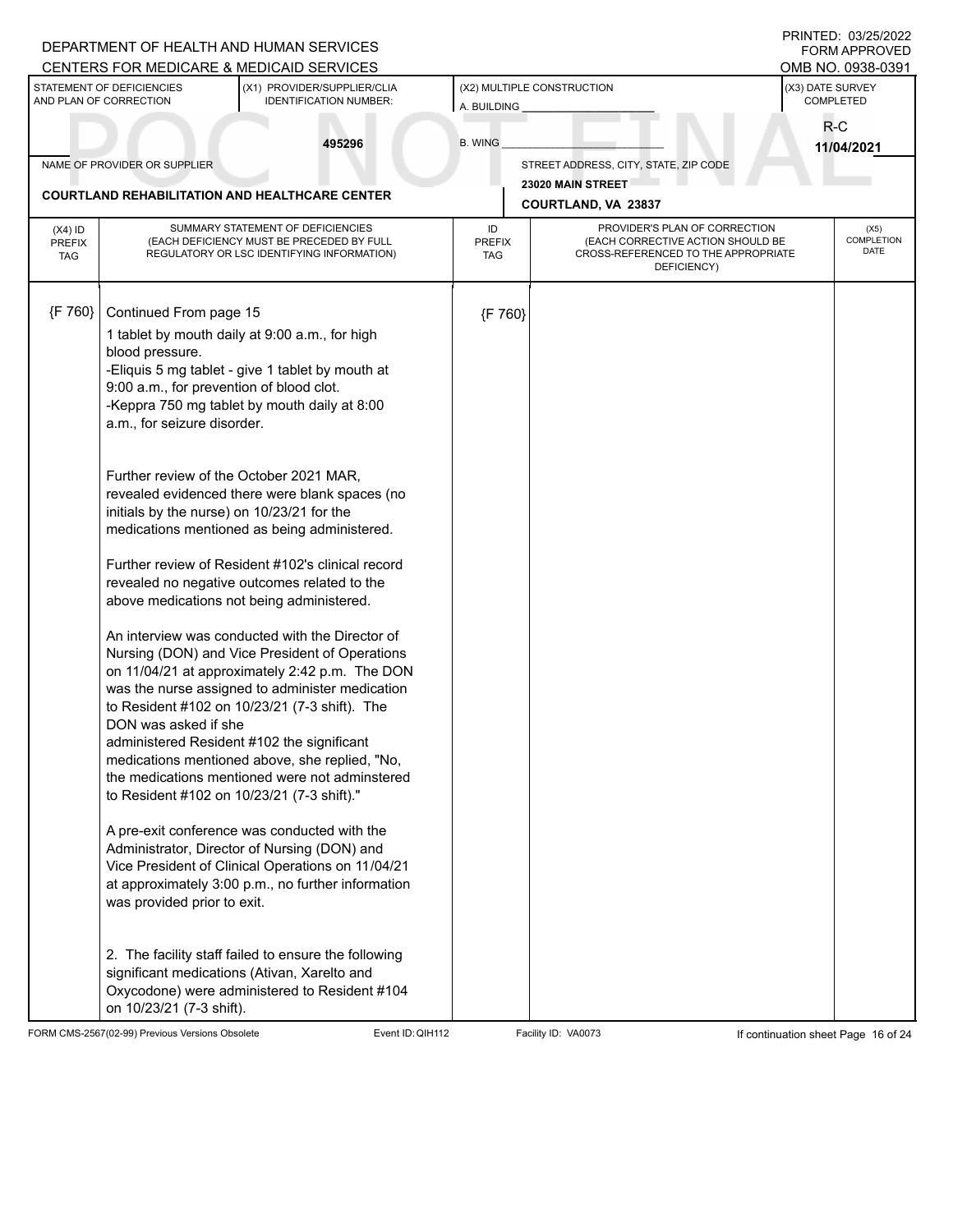|                                          |                                                                                                                                                                                            | DEPARTMENT OF HEALTH AND HUMAN SERVICES<br>CENTERS FOR MEDICARE & MEDICAID SERVICES                                                                                                                                                                                                                                                                                                                                                                                                                                                                                                                                                                                                                                                                                                                                                                                                                                                                          |                                           |                                                                                                                          |                     | PRINTED: 03/25/2022<br><b>FORM APPROVED</b><br>OMB NO. 0938-0391 |
|------------------------------------------|--------------------------------------------------------------------------------------------------------------------------------------------------------------------------------------------|--------------------------------------------------------------------------------------------------------------------------------------------------------------------------------------------------------------------------------------------------------------------------------------------------------------------------------------------------------------------------------------------------------------------------------------------------------------------------------------------------------------------------------------------------------------------------------------------------------------------------------------------------------------------------------------------------------------------------------------------------------------------------------------------------------------------------------------------------------------------------------------------------------------------------------------------------------------|-------------------------------------------|--------------------------------------------------------------------------------------------------------------------------|---------------------|------------------------------------------------------------------|
|                                          | STATEMENT OF DEFICIENCIES<br>AND PLAN OF CORRECTION                                                                                                                                        | (X1) PROVIDER/SUPPLIER/CLIA<br><b>IDENTIFICATION NUMBER:</b>                                                                                                                                                                                                                                                                                                                                                                                                                                                                                                                                                                                                                                                                                                                                                                                                                                                                                                 | (X2) MULTIPLE CONSTRUCTION<br>A. BUILDING | (X3) DATE SURVEY<br>COMPLETED                                                                                            |                     |                                                                  |
|                                          |                                                                                                                                                                                            | 495296                                                                                                                                                                                                                                                                                                                                                                                                                                                                                                                                                                                                                                                                                                                                                                                                                                                                                                                                                       | <b>B. WING</b>                            |                                                                                                                          | $R-C$<br>11/04/2021 |                                                                  |
|                                          | NAME OF PROVIDER OR SUPPLIER                                                                                                                                                               |                                                                                                                                                                                                                                                                                                                                                                                                                                                                                                                                                                                                                                                                                                                                                                                                                                                                                                                                                              |                                           | STREET ADDRESS, CITY, STATE, ZIP CODE                                                                                    |                     |                                                                  |
|                                          |                                                                                                                                                                                            | <b>COURTLAND REHABILITATION AND HEALTHCARE CENTER</b>                                                                                                                                                                                                                                                                                                                                                                                                                                                                                                                                                                                                                                                                                                                                                                                                                                                                                                        |                                           | 23020 MAIN STREET<br><b>COURTLAND, VA 23837</b>                                                                          |                     |                                                                  |
| $(X4)$ ID<br><b>PREFIX</b><br><b>TAG</b> |                                                                                                                                                                                            | SUMMARY STATEMENT OF DEFICIENCIES<br>(EACH DEFICIENCY MUST BE PRECEDED BY FULL<br>REGULATORY OR LSC IDENTIFYING INFORMATION)                                                                                                                                                                                                                                                                                                                                                                                                                                                                                                                                                                                                                                                                                                                                                                                                                                 | ID<br><b>PREFIX</b><br><b>TAG</b>         | PROVIDER'S PLAN OF CORRECTION<br>(EACH CORRECTIVE ACTION SHOULD BE<br>CROSS-REFERENCED TO THE APPROPRIATE<br>DEFICIENCY) |                     | (X5)<br>COMPLETION<br><b>DATE</b>                                |
| ${F 760}$                                | Continued From page 15<br>blood pressure.<br>9:00 a.m., for prevention of blood clot.<br>a.m., for seizure disorder.<br>initials by the nurse) on 10/23/21 for the<br>DON was asked if she | 1 tablet by mouth daily at 9:00 a.m., for high<br>-Eliquis 5 mg tablet - give 1 tablet by mouth at<br>-Keppra 750 mg tablet by mouth daily at 8:00<br>Further review of the October 2021 MAR,<br>revealed evidenced there were blank spaces (no<br>medications mentioned as being administered.<br>Further review of Resident #102's clinical record<br>revealed no negative outcomes related to the<br>above medications not being administered.<br>An interview was conducted with the Director of<br>Nursing (DON) and Vice President of Operations<br>on 11/04/21 at approximately 2:42 p.m. The DON<br>was the nurse assigned to administer medication<br>to Resident #102 on 10/23/21 (7-3 shift). The<br>administered Resident #102 the significant<br>medications mentioned above, she replied, "No,<br>the medications mentioned were not adminstered<br>to Resident #102 on 10/23/21 (7-3 shift)."<br>A pre-exit conference was conducted with the | {F 760}                                   |                                                                                                                          |                     |                                                                  |
|                                          | was provided prior to exit.                                                                                                                                                                | Administrator, Director of Nursing (DON) and<br>Vice President of Clinical Operations on 11/04/21<br>at approximately 3:00 p.m., no further information<br>2. The facility staff failed to ensure the following<br>significant medications (Ativan, Xarelto and<br>Oxycodone) were administered to Resident #104                                                                                                                                                                                                                                                                                                                                                                                                                                                                                                                                                                                                                                             |                                           |                                                                                                                          |                     |                                                                  |
|                                          | on 10/23/21 (7-3 shift).                                                                                                                                                                   |                                                                                                                                                                                                                                                                                                                                                                                                                                                                                                                                                                                                                                                                                                                                                                                                                                                                                                                                                              |                                           |                                                                                                                          |                     |                                                                  |

FORM CMS-2567(02-99) Previous Versions Obsolete Event ID:QIH112 Facility ID: VA0073 If continuation sheet Page 16 of 24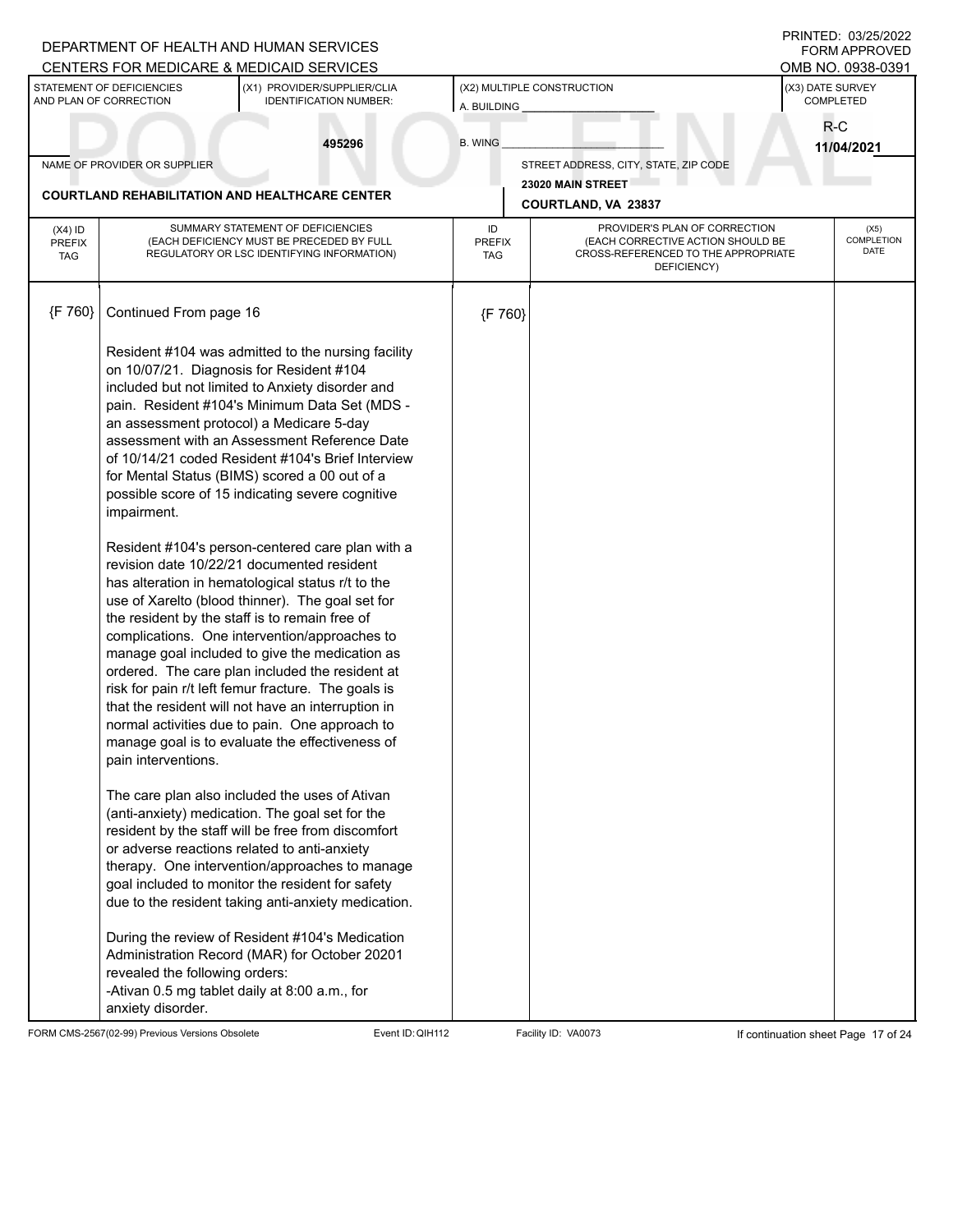|                                          |                                                                                           | DEPARTMENT OF HEALTH AND HUMAN SERVICES<br>CENTERS FOR MEDICARE & MEDICAID SERVICES                                                                                                                                                                                                                                                                                                                                                                                                                                                                                                                                                                                                                                                                                                                                                                                                                                                                                                                                                                                                                                                                                                                                                                                                                                                                                                                                                                                                                                                                                                                                         |                            |                                                                                                                          |                               | PRINTED: 03/25/2022<br><b>FORM APPROVED</b><br>OMB NO. 0938-0391 |
|------------------------------------------|-------------------------------------------------------------------------------------------|-----------------------------------------------------------------------------------------------------------------------------------------------------------------------------------------------------------------------------------------------------------------------------------------------------------------------------------------------------------------------------------------------------------------------------------------------------------------------------------------------------------------------------------------------------------------------------------------------------------------------------------------------------------------------------------------------------------------------------------------------------------------------------------------------------------------------------------------------------------------------------------------------------------------------------------------------------------------------------------------------------------------------------------------------------------------------------------------------------------------------------------------------------------------------------------------------------------------------------------------------------------------------------------------------------------------------------------------------------------------------------------------------------------------------------------------------------------------------------------------------------------------------------------------------------------------------------------------------------------------------------|----------------------------|--------------------------------------------------------------------------------------------------------------------------|-------------------------------|------------------------------------------------------------------|
|                                          | STATEMENT OF DEFICIENCIES<br>AND PLAN OF CORRECTION                                       | (X1) PROVIDER/SUPPLIER/CLIA<br><b>IDENTIFICATION NUMBER:</b>                                                                                                                                                                                                                                                                                                                                                                                                                                                                                                                                                                                                                                                                                                                                                                                                                                                                                                                                                                                                                                                                                                                                                                                                                                                                                                                                                                                                                                                                                                                                                                | A. BUILDING                | (X2) MULTIPLE CONSTRUCTION                                                                                               | (X3) DATE SURVEY<br>COMPLETED |                                                                  |
|                                          |                                                                                           | 495296                                                                                                                                                                                                                                                                                                                                                                                                                                                                                                                                                                                                                                                                                                                                                                                                                                                                                                                                                                                                                                                                                                                                                                                                                                                                                                                                                                                                                                                                                                                                                                                                                      | <b>B. WING</b>             |                                                                                                                          | R-C<br>11/04/2021             |                                                                  |
|                                          | NAME OF PROVIDER OR SUPPLIER                                                              |                                                                                                                                                                                                                                                                                                                                                                                                                                                                                                                                                                                                                                                                                                                                                                                                                                                                                                                                                                                                                                                                                                                                                                                                                                                                                                                                                                                                                                                                                                                                                                                                                             |                            | STREET ADDRESS, CITY, STATE, ZIP CODE                                                                                    |                               |                                                                  |
|                                          |                                                                                           | <b>COURTLAND REHABILITATION AND HEALTHCARE CENTER</b>                                                                                                                                                                                                                                                                                                                                                                                                                                                                                                                                                                                                                                                                                                                                                                                                                                                                                                                                                                                                                                                                                                                                                                                                                                                                                                                                                                                                                                                                                                                                                                       |                            | 23020 MAIN STREET                                                                                                        |                               |                                                                  |
|                                          |                                                                                           |                                                                                                                                                                                                                                                                                                                                                                                                                                                                                                                                                                                                                                                                                                                                                                                                                                                                                                                                                                                                                                                                                                                                                                                                                                                                                                                                                                                                                                                                                                                                                                                                                             |                            | COURTLAND, VA 23837                                                                                                      |                               |                                                                  |
| $(X4)$ ID<br><b>PREFIX</b><br><b>TAG</b> |                                                                                           | SUMMARY STATEMENT OF DEFICIENCIES<br>(EACH DEFICIENCY MUST BE PRECEDED BY FULL<br>REGULATORY OR LSC IDENTIFYING INFORMATION)                                                                                                                                                                                                                                                                                                                                                                                                                                                                                                                                                                                                                                                                                                                                                                                                                                                                                                                                                                                                                                                                                                                                                                                                                                                                                                                                                                                                                                                                                                | ID<br><b>PREFIX</b><br>TAG | PROVIDER'S PLAN OF CORRECTION<br>(EACH CORRECTIVE ACTION SHOULD BE<br>CROSS-REFERENCED TO THE APPROPRIATE<br>DEFICIENCY) |                               | (X5)<br><b>COMPLETION</b><br><b>DATE</b>                         |
| ${F}$ 760}                               | Continued From page 16                                                                    |                                                                                                                                                                                                                                                                                                                                                                                                                                                                                                                                                                                                                                                                                                                                                                                                                                                                                                                                                                                                                                                                                                                                                                                                                                                                                                                                                                                                                                                                                                                                                                                                                             | {F 760}                    |                                                                                                                          |                               |                                                                  |
|                                          | impairment.<br>pain interventions.<br>revealed the following orders:<br>anxiety disorder. | Resident #104 was admitted to the nursing facility<br>on 10/07/21. Diagnosis for Resident #104<br>included but not limited to Anxiety disorder and<br>pain. Resident #104's Minimum Data Set (MDS -<br>an assessment protocol) a Medicare 5-day<br>assessment with an Assessment Reference Date<br>of 10/14/21 coded Resident #104's Brief Interview<br>for Mental Status (BIMS) scored a 00 out of a<br>possible score of 15 indicating severe cognitive<br>Resident #104's person-centered care plan with a<br>revision date 10/22/21 documented resident<br>has alteration in hematological status r/t to the<br>use of Xarelto (blood thinner). The goal set for<br>the resident by the staff is to remain free of<br>complications. One intervention/approaches to<br>manage goal included to give the medication as<br>ordered. The care plan included the resident at<br>risk for pain r/t left femur fracture. The goals is<br>that the resident will not have an interruption in<br>normal activities due to pain. One approach to<br>manage goal is to evaluate the effectiveness of<br>The care plan also included the uses of Ativan<br>(anti-anxiety) medication. The goal set for the<br>resident by the staff will be free from discomfort<br>or adverse reactions related to anti-anxiety<br>therapy. One intervention/approaches to manage<br>goal included to monitor the resident for safety<br>due to the resident taking anti-anxiety medication.<br>During the review of Resident #104's Medication<br>Administration Record (MAR) for October 20201<br>-Ativan 0.5 mg tablet daily at 8:00 a.m., for |                            |                                                                                                                          |                               |                                                                  |

FORM CMS-2567(02-99) Previous Versions Obsolete Event ID:QIH112 Facility ID: VA0073 If continuation sheet Page 17 of 24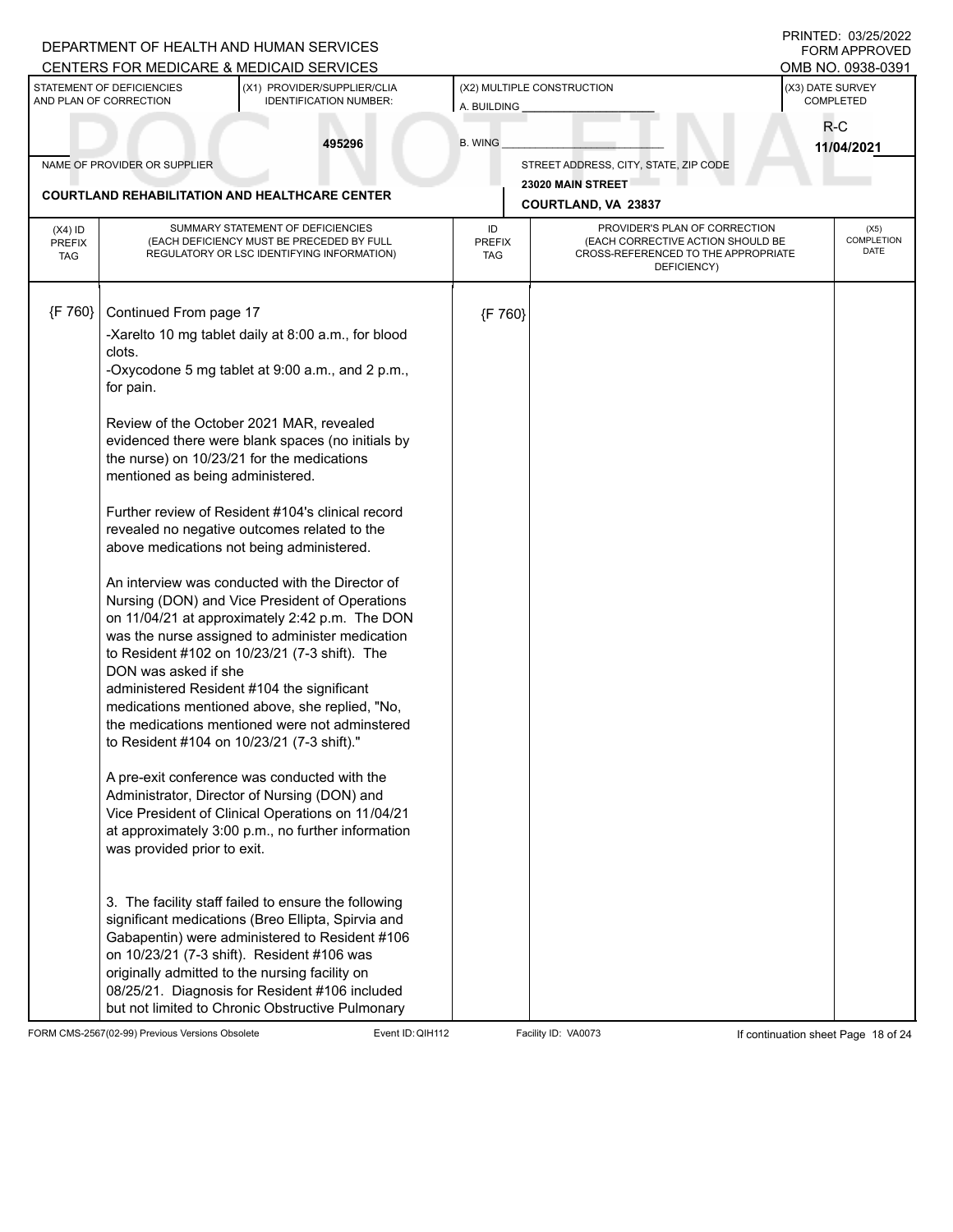|                                          |                                                     | DEPARTMENT OF HEALTH AND HUMAN SERVICES<br>CENTERS FOR MEDICARE & MEDICAID SERVICES                                                                                                                                                                                                                                                                                |                                   |                                                                                                                          |                               | PRINTED: 03/25/2022<br><b>FORM APPROVED</b><br>OMB NO. 0938-0391 |
|------------------------------------------|-----------------------------------------------------|--------------------------------------------------------------------------------------------------------------------------------------------------------------------------------------------------------------------------------------------------------------------------------------------------------------------------------------------------------------------|-----------------------------------|--------------------------------------------------------------------------------------------------------------------------|-------------------------------|------------------------------------------------------------------|
|                                          | STATEMENT OF DEFICIENCIES<br>AND PLAN OF CORRECTION | (X1) PROVIDER/SUPPLIER/CLIA<br><b>IDENTIFICATION NUMBER:</b>                                                                                                                                                                                                                                                                                                       | A. BUILDING                       | (X2) MULTIPLE CONSTRUCTION                                                                                               | (X3) DATE SURVEY<br>COMPLETED |                                                                  |
|                                          |                                                     | 495296                                                                                                                                                                                                                                                                                                                                                             | <b>B. WING</b>                    |                                                                                                                          | R-C                           | 11/04/2021                                                       |
|                                          | NAME OF PROVIDER OR SUPPLIER                        |                                                                                                                                                                                                                                                                                                                                                                    |                                   | STREET ADDRESS, CITY, STATE, ZIP CODE                                                                                    |                               |                                                                  |
|                                          |                                                     | <b>COURTLAND REHABILITATION AND HEALTHCARE CENTER</b>                                                                                                                                                                                                                                                                                                              |                                   | 23020 MAIN STREET<br>COURTLAND, VA 23837                                                                                 |                               |                                                                  |
| $(X4)$ ID<br><b>PREFIX</b><br><b>TAG</b> |                                                     | SUMMARY STATEMENT OF DEFICIENCIES<br>(EACH DEFICIENCY MUST BE PRECEDED BY FULL<br>REGULATORY OR LSC IDENTIFYING INFORMATION)                                                                                                                                                                                                                                       | ID<br><b>PREFIX</b><br><b>TAG</b> | PROVIDER'S PLAN OF CORRECTION<br>(EACH CORRECTIVE ACTION SHOULD BE<br>CROSS-REFERENCED TO THE APPROPRIATE<br>DEFICIENCY) |                               | (X5)<br>COMPLETION<br>DATE                                       |
| {F 760}                                  | Continued From page 17                              |                                                                                                                                                                                                                                                                                                                                                                    | {F 760}                           |                                                                                                                          |                               |                                                                  |
|                                          |                                                     | -Xarelto 10 mg tablet daily at 8:00 a.m., for blood                                                                                                                                                                                                                                                                                                                |                                   |                                                                                                                          |                               |                                                                  |
|                                          | clots.<br>for pain.                                 | -Oxycodone 5 mg tablet at 9:00 a.m., and 2 p.m.,                                                                                                                                                                                                                                                                                                                   |                                   |                                                                                                                          |                               |                                                                  |
|                                          | mentioned as being administered.                    | Review of the October 2021 MAR, revealed<br>evidenced there were blank spaces (no initials by<br>the nurse) on 10/23/21 for the medications                                                                                                                                                                                                                        |                                   |                                                                                                                          |                               |                                                                  |
|                                          |                                                     | Further review of Resident #104's clinical record<br>revealed no negative outcomes related to the<br>above medications not being administered.                                                                                                                                                                                                                     |                                   |                                                                                                                          |                               |                                                                  |
|                                          | DON was asked if she                                | An interview was conducted with the Director of<br>Nursing (DON) and Vice President of Operations<br>on 11/04/21 at approximately 2:42 p.m. The DON<br>was the nurse assigned to administer medication<br>to Resident #102 on 10/23/21 (7-3 shift). The                                                                                                            |                                   |                                                                                                                          |                               |                                                                  |
|                                          |                                                     | administered Resident #104 the significant<br>medications mentioned above, she replied, "No,<br>the medications mentioned were not adminstered<br>to Resident #104 on 10/23/21 (7-3 shift)."                                                                                                                                                                       |                                   |                                                                                                                          |                               |                                                                  |
|                                          | was provided prior to exit.                         | A pre-exit conference was conducted with the<br>Administrator, Director of Nursing (DON) and<br>Vice President of Clinical Operations on 11/04/21<br>at approximately 3:00 p.m., no further information                                                                                                                                                            |                                   |                                                                                                                          |                               |                                                                  |
|                                          |                                                     | 3. The facility staff failed to ensure the following<br>significant medications (Breo Ellipta, Spirvia and<br>Gabapentin) were administered to Resident #106<br>on 10/23/21 (7-3 shift). Resident #106 was<br>originally admitted to the nursing facility on<br>08/25/21. Diagnosis for Resident #106 included<br>but not limited to Chronic Obstructive Pulmonary |                                   |                                                                                                                          |                               |                                                                  |

FORM CMS-2567(02-99) Previous Versions Obsolete Event ID:QIH112 Facility ID: VA0073 If continuation sheet Page 18 of 24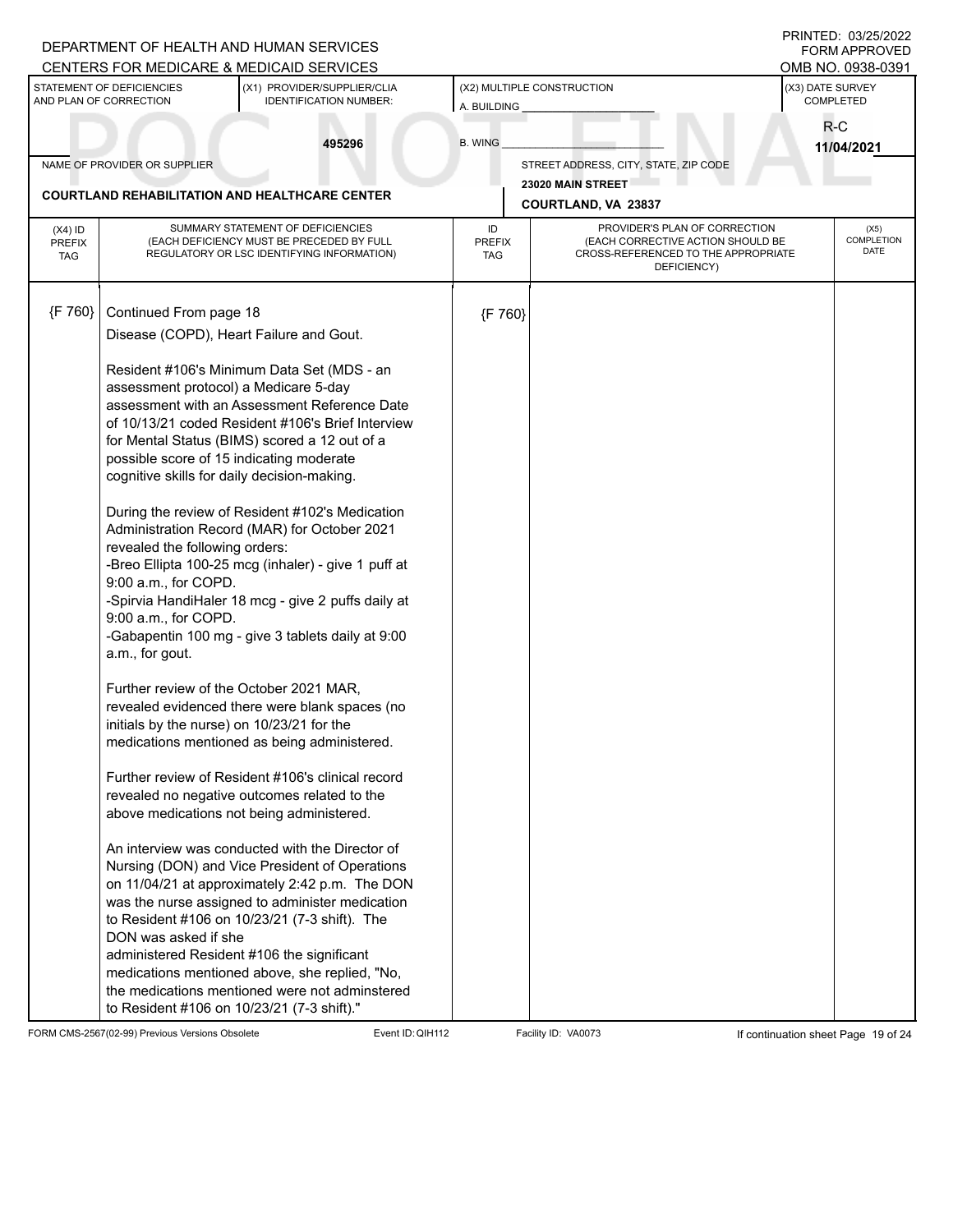|                                          |                                                                                                                                            | DEPARTMENT OF HEALTH AND HUMAN SERVICES<br>CENTERS FOR MEDICARE & MEDICAID SERVICES                                                                                                                                                                                                                                                                                                                                                                                                                                                                                                                         |                                   |                                                                                                                          |                               | PRINTED: 03/25/2022<br><b>FORM APPROVED</b><br>OMB NO. 0938-0391 |
|------------------------------------------|--------------------------------------------------------------------------------------------------------------------------------------------|-------------------------------------------------------------------------------------------------------------------------------------------------------------------------------------------------------------------------------------------------------------------------------------------------------------------------------------------------------------------------------------------------------------------------------------------------------------------------------------------------------------------------------------------------------------------------------------------------------------|-----------------------------------|--------------------------------------------------------------------------------------------------------------------------|-------------------------------|------------------------------------------------------------------|
|                                          | STATEMENT OF DEFICIENCIES<br>AND PLAN OF CORRECTION                                                                                        | (X1) PROVIDER/SUPPLIER/CLIA<br><b>IDENTIFICATION NUMBER:</b>                                                                                                                                                                                                                                                                                                                                                                                                                                                                                                                                                | A. BUILDING                       | (X2) MULTIPLE CONSTRUCTION                                                                                               | (X3) DATE SURVEY<br>COMPLETED |                                                                  |
|                                          |                                                                                                                                            | 495296                                                                                                                                                                                                                                                                                                                                                                                                                                                                                                                                                                                                      | <b>B. WING</b>                    |                                                                                                                          | R-C<br>11/04/2021             |                                                                  |
|                                          | NAME OF PROVIDER OR SUPPLIER                                                                                                               |                                                                                                                                                                                                                                                                                                                                                                                                                                                                                                                                                                                                             |                                   | STREET ADDRESS, CITY, STATE, ZIP CODE                                                                                    |                               |                                                                  |
|                                          |                                                                                                                                            | <b>COURTLAND REHABILITATION AND HEALTHCARE CENTER</b>                                                                                                                                                                                                                                                                                                                                                                                                                                                                                                                                                       |                                   | 23020 MAIN STREET                                                                                                        |                               |                                                                  |
|                                          |                                                                                                                                            |                                                                                                                                                                                                                                                                                                                                                                                                                                                                                                                                                                                                             |                                   | <b>COURTLAND, VA 23837</b>                                                                                               |                               |                                                                  |
| $(X4)$ ID<br><b>PREFIX</b><br><b>TAG</b> |                                                                                                                                            | SUMMARY STATEMENT OF DEFICIENCIES<br>(EACH DEFICIENCY MUST BE PRECEDED BY FULL<br>REGULATORY OR LSC IDENTIFYING INFORMATION)                                                                                                                                                                                                                                                                                                                                                                                                                                                                                | ID<br><b>PREFIX</b><br><b>TAG</b> | PROVIDER'S PLAN OF CORRECTION<br>(EACH CORRECTIVE ACTION SHOULD BE<br>CROSS-REFERENCED TO THE APPROPRIATE<br>DEFICIENCY) |                               | (X5)<br><b>COMPLETION</b><br>DATE                                |
| ${F 760}$                                | Continued From page 18                                                                                                                     |                                                                                                                                                                                                                                                                                                                                                                                                                                                                                                                                                                                                             | {F 760}                           |                                                                                                                          |                               |                                                                  |
|                                          |                                                                                                                                            | Disease (COPD), Heart Failure and Gout.                                                                                                                                                                                                                                                                                                                                                                                                                                                                                                                                                                     |                                   |                                                                                                                          |                               |                                                                  |
|                                          | assessment protocol) a Medicare 5-day<br>revealed the following orders:<br>9:00 a.m., for COPD.<br>9:00 a.m., for COPD.<br>a.m., for gout. | Resident #106's Minimum Data Set (MDS - an<br>assessment with an Assessment Reference Date<br>of 10/13/21 coded Resident #106's Brief Interview<br>for Mental Status (BIMS) scored a 12 out of a<br>possible score of 15 indicating moderate<br>cognitive skills for daily decision-making.<br>During the review of Resident #102's Medication<br>Administration Record (MAR) for October 2021<br>-Breo Ellipta 100-25 mcg (inhaler) - give 1 puff at<br>-Spirvia HandiHaler 18 mcg - give 2 puffs daily at<br>-Gabapentin 100 mg - give 3 tablets daily at 9:00<br>Further review of the October 2021 MAR, |                                   |                                                                                                                          |                               |                                                                  |
|                                          |                                                                                                                                            | revealed evidenced there were blank spaces (no<br>initials by the nurse) on 10/23/21 for the<br>medications mentioned as being administered.                                                                                                                                                                                                                                                                                                                                                                                                                                                                |                                   |                                                                                                                          |                               |                                                                  |
|                                          |                                                                                                                                            | Further review of Resident #106's clinical record<br>revealed no negative outcomes related to the<br>above medications not being administered.                                                                                                                                                                                                                                                                                                                                                                                                                                                              |                                   |                                                                                                                          |                               |                                                                  |
|                                          | DON was asked if she                                                                                                                       | An interview was conducted with the Director of<br>Nursing (DON) and Vice President of Operations<br>on 11/04/21 at approximately 2:42 p.m. The DON<br>was the nurse assigned to administer medication<br>to Resident #106 on 10/23/21 (7-3 shift). The<br>administered Resident #106 the significant<br>medications mentioned above, she replied, "No,<br>the medications mentioned were not adminstered<br>to Resident #106 on 10/23/21 (7-3 shift)."                                                                                                                                                     |                                   |                                                                                                                          |                               |                                                                  |

FORM CMS-2567(02-99) Previous Versions Obsolete Event ID:QIH112 Facility ID: VA0073 If continuation sheet Page 19 of 24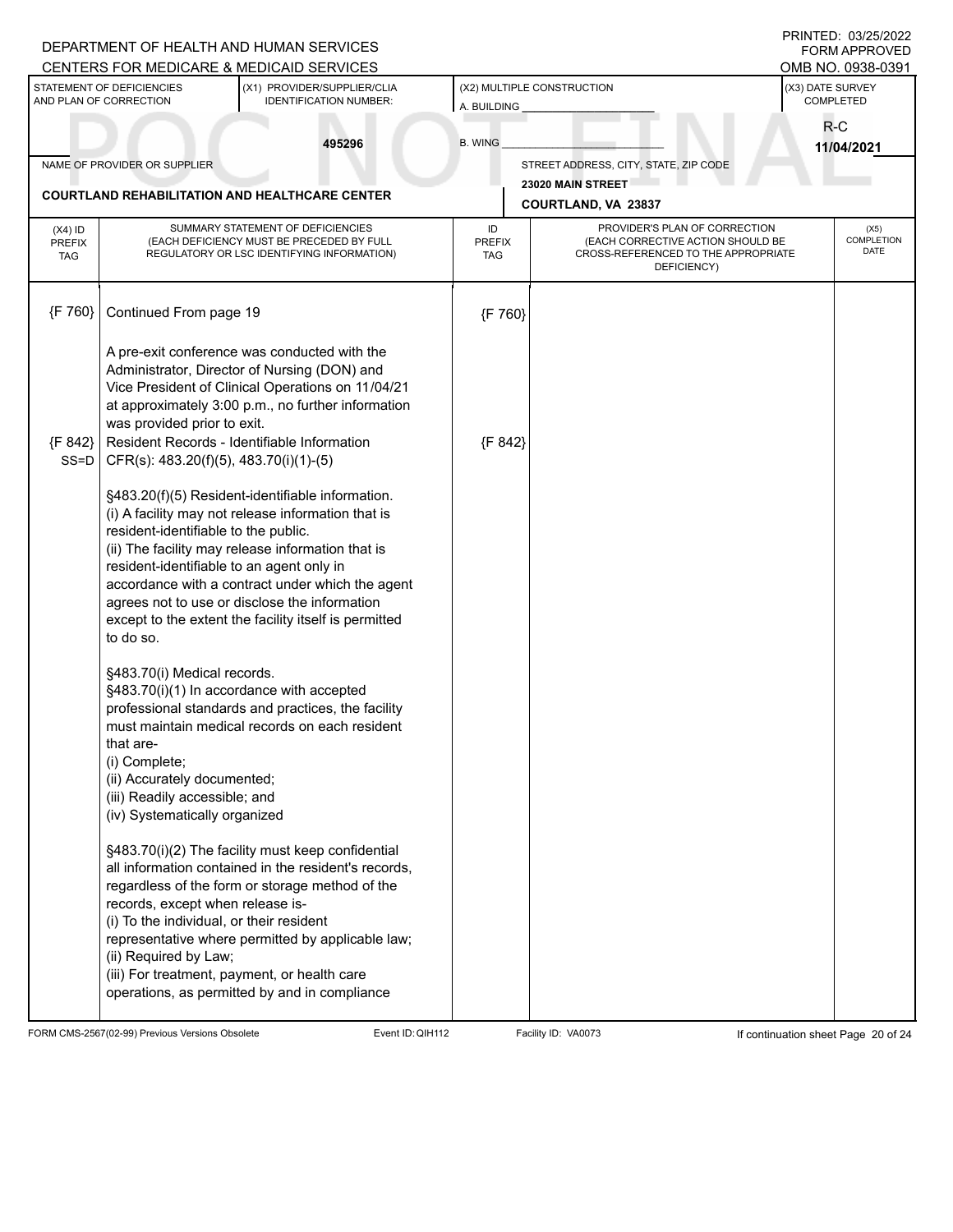|                                          |                                                                                                                                                                                                                                                                     | DEPARTMENT OF HEALTH AND HUMAN SERVICES<br>CENTERS FOR MEDICARE & MEDICAID SERVICES                                                                                                                                                                                                                                                                                                                                                                                                                                                                                                 |                                           |                                                                                                                          |                               | PRINTED: 03/25/2022<br><b>FORM APPROVED</b><br>OMB NO. 0938-0391 |
|------------------------------------------|---------------------------------------------------------------------------------------------------------------------------------------------------------------------------------------------------------------------------------------------------------------------|-------------------------------------------------------------------------------------------------------------------------------------------------------------------------------------------------------------------------------------------------------------------------------------------------------------------------------------------------------------------------------------------------------------------------------------------------------------------------------------------------------------------------------------------------------------------------------------|-------------------------------------------|--------------------------------------------------------------------------------------------------------------------------|-------------------------------|------------------------------------------------------------------|
|                                          | STATEMENT OF DEFICIENCIES<br>AND PLAN OF CORRECTION                                                                                                                                                                                                                 | (X1) PROVIDER/SUPPLIER/CLIA<br><b>IDENTIFICATION NUMBER:</b>                                                                                                                                                                                                                                                                                                                                                                                                                                                                                                                        | (X2) MULTIPLE CONSTRUCTION<br>A. BUILDING |                                                                                                                          | (X3) DATE SURVEY<br>COMPLETED |                                                                  |
|                                          |                                                                                                                                                                                                                                                                     | 495296                                                                                                                                                                                                                                                                                                                                                                                                                                                                                                                                                                              | <b>B. WING</b>                            |                                                                                                                          | $R-C$<br>11/04/2021           |                                                                  |
|                                          | NAME OF PROVIDER OR SUPPLIER                                                                                                                                                                                                                                        |                                                                                                                                                                                                                                                                                                                                                                                                                                                                                                                                                                                     |                                           | STREET ADDRESS, CITY, STATE, ZIP CODE<br>23020 MAIN STREET                                                               |                               |                                                                  |
|                                          |                                                                                                                                                                                                                                                                     | <b>COURTLAND REHABILITATION AND HEALTHCARE CENTER</b>                                                                                                                                                                                                                                                                                                                                                                                                                                                                                                                               |                                           | COURTLAND, VA 23837                                                                                                      |                               |                                                                  |
| $(X4)$ ID<br><b>PREFIX</b><br><b>TAG</b> |                                                                                                                                                                                                                                                                     | SUMMARY STATEMENT OF DEFICIENCIES<br>(EACH DEFICIENCY MUST BE PRECEDED BY FULL<br>REGULATORY OR LSC IDENTIFYING INFORMATION)                                                                                                                                                                                                                                                                                                                                                                                                                                                        | ID<br><b>PREFIX</b><br><b>TAG</b>         | PROVIDER'S PLAN OF CORRECTION<br>(EACH CORRECTIVE ACTION SHOULD BE<br>CROSS-REFERENCED TO THE APPROPRIATE<br>DEFICIENCY) |                               | (X5)<br><b>COMPLETION</b><br>DATE                                |
| ${F 760}$                                | Continued From page 19                                                                                                                                                                                                                                              |                                                                                                                                                                                                                                                                                                                                                                                                                                                                                                                                                                                     | {F 760}                                   |                                                                                                                          |                               |                                                                  |
| {F 842}<br>$SS = D$                      | was provided prior to exit.<br>CFR(s): 483.20(f)(5), 483.70(i)(1)-(5)<br>resident-identifiable to the public.<br>resident-identifiable to an agent only in<br>to do so.                                                                                             | A pre-exit conference was conducted with the<br>Administrator, Director of Nursing (DON) and<br>Vice President of Clinical Operations on 11/04/21<br>at approximately 3:00 p.m., no further information<br>Resident Records - Identifiable Information<br>§483.20(f)(5) Resident-identifiable information.<br>(i) A facility may not release information that is<br>(ii) The facility may release information that is<br>accordance with a contract under which the agent<br>agrees not to use or disclose the information<br>except to the extent the facility itself is permitted | {F 842}                                   |                                                                                                                          |                               |                                                                  |
|                                          | §483.70(i) Medical records.<br>that are-<br>(i) Complete;<br>(ii) Accurately documented;<br>(iii) Readily accessible; and<br>(iv) Systematically organized<br>records, except when release is-<br>(i) To the individual, or their resident<br>(ii) Required by Law; | §483.70(i)(1) In accordance with accepted<br>professional standards and practices, the facility<br>must maintain medical records on each resident<br>§483.70(i)(2) The facility must keep confidential<br>all information contained in the resident's records,<br>regardless of the form or storage method of the<br>representative where permitted by applicable law;<br>(iii) For treatment, payment, or health care<br>operations, as permitted by and in compliance                                                                                                             |                                           |                                                                                                                          |                               |                                                                  |

FORM CMS-2567(02-99) Previous Versions Obsolete Event ID:QIH112 Facility ID: VA0073 If continuation sheet Page 20 of 24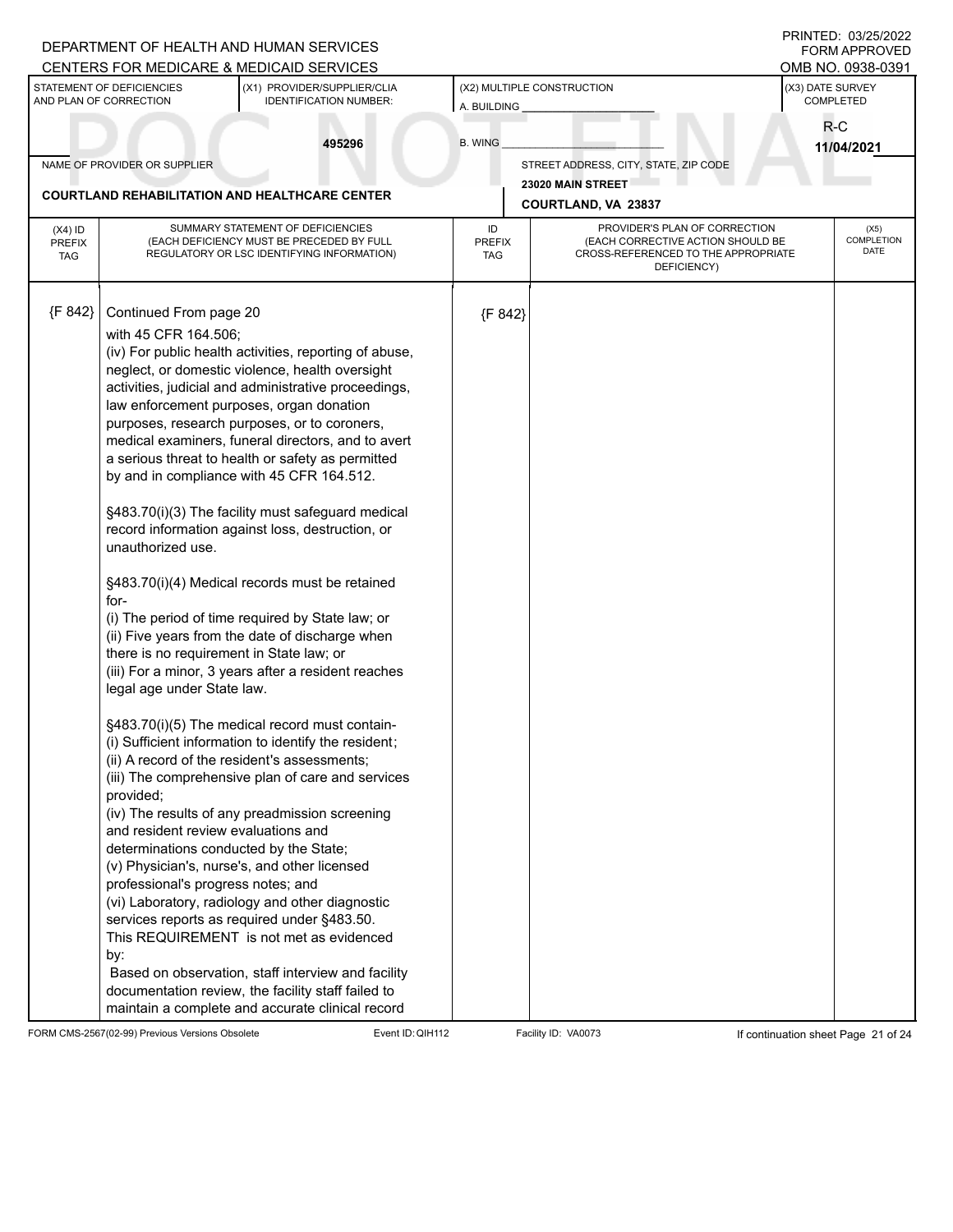|                                          |                                                                                                                                                                                                                                                                                                  | DEPARTMENT OF HEALTH AND HUMAN SERVICES<br>CENTERS FOR MEDICARE & MEDICAID SERVICES                                                                                                                                                                                                                                                                                                                                                                                                                                                                                                                                                                                                                                                                                                                                                                                                                                                                                                                                                                                                                                                                                                                           |                                           |                                                                                                                          | PRINTED: 03/25/2022<br><b>FORM APPROVED</b><br>OMB NO. 0938-0391 |                                   |
|------------------------------------------|--------------------------------------------------------------------------------------------------------------------------------------------------------------------------------------------------------------------------------------------------------------------------------------------------|---------------------------------------------------------------------------------------------------------------------------------------------------------------------------------------------------------------------------------------------------------------------------------------------------------------------------------------------------------------------------------------------------------------------------------------------------------------------------------------------------------------------------------------------------------------------------------------------------------------------------------------------------------------------------------------------------------------------------------------------------------------------------------------------------------------------------------------------------------------------------------------------------------------------------------------------------------------------------------------------------------------------------------------------------------------------------------------------------------------------------------------------------------------------------------------------------------------|-------------------------------------------|--------------------------------------------------------------------------------------------------------------------------|------------------------------------------------------------------|-----------------------------------|
|                                          | STATEMENT OF DEFICIENCIES<br>AND PLAN OF CORRECTION                                                                                                                                                                                                                                              | (X1) PROVIDER/SUPPLIER/CLIA<br><b>IDENTIFICATION NUMBER:</b>                                                                                                                                                                                                                                                                                                                                                                                                                                                                                                                                                                                                                                                                                                                                                                                                                                                                                                                                                                                                                                                                                                                                                  | (X2) MULTIPLE CONSTRUCTION<br>A. BUILDING |                                                                                                                          | (X3) DATE SURVEY<br>COMPLETED                                    |                                   |
|                                          |                                                                                                                                                                                                                                                                                                  | 495296                                                                                                                                                                                                                                                                                                                                                                                                                                                                                                                                                                                                                                                                                                                                                                                                                                                                                                                                                                                                                                                                                                                                                                                                        | <b>B. WING</b>                            |                                                                                                                          | $R-C$<br>11/04/2021                                              |                                   |
|                                          | NAME OF PROVIDER OR SUPPLIER                                                                                                                                                                                                                                                                     |                                                                                                                                                                                                                                                                                                                                                                                                                                                                                                                                                                                                                                                                                                                                                                                                                                                                                                                                                                                                                                                                                                                                                                                                               |                                           | STREET ADDRESS, CITY, STATE, ZIP CODE                                                                                    |                                                                  |                                   |
|                                          |                                                                                                                                                                                                                                                                                                  | <b>COURTLAND REHABILITATION AND HEALTHCARE CENTER</b>                                                                                                                                                                                                                                                                                                                                                                                                                                                                                                                                                                                                                                                                                                                                                                                                                                                                                                                                                                                                                                                                                                                                                         |                                           | 23020 MAIN STREET                                                                                                        |                                                                  |                                   |
|                                          |                                                                                                                                                                                                                                                                                                  |                                                                                                                                                                                                                                                                                                                                                                                                                                                                                                                                                                                                                                                                                                                                                                                                                                                                                                                                                                                                                                                                                                                                                                                                               |                                           | COURTLAND, VA 23837                                                                                                      |                                                                  |                                   |
| $(X4)$ ID<br><b>PREFIX</b><br><b>TAG</b> |                                                                                                                                                                                                                                                                                                  | SUMMARY STATEMENT OF DEFICIENCIES<br>(EACH DEFICIENCY MUST BE PRECEDED BY FULL<br>REGULATORY OR LSC IDENTIFYING INFORMATION)                                                                                                                                                                                                                                                                                                                                                                                                                                                                                                                                                                                                                                                                                                                                                                                                                                                                                                                                                                                                                                                                                  | ID<br><b>PREFIX</b><br><b>TAG</b>         | PROVIDER'S PLAN OF CORRECTION<br>(EACH CORRECTIVE ACTION SHOULD BE<br>CROSS-REFERENCED TO THE APPROPRIATE<br>DEFICIENCY) |                                                                  | (X5)<br><b>COMPLETION</b><br>DATE |
| {F 842}                                  | Continued From page 20<br>with 45 CFR 164.506;<br>unauthorized use.<br>for-<br>there is no requirement in State law; or<br>legal age under State law.<br>provided;<br>and resident review evaluations and<br>determinations conducted by the State;<br>professional's progress notes; and<br>by: | (iv) For public health activities, reporting of abuse,<br>neglect, or domestic violence, health oversight<br>activities, judicial and administrative proceedings,<br>law enforcement purposes, organ donation<br>purposes, research purposes, or to coroners,<br>medical examiners, funeral directors, and to avert<br>a serious threat to health or safety as permitted<br>by and in compliance with 45 CFR 164.512.<br>§483.70(i)(3) The facility must safeguard medical<br>record information against loss, destruction, or<br>§483.70(i)(4) Medical records must be retained<br>(i) The period of time required by State law; or<br>(ii) Five years from the date of discharge when<br>(iii) For a minor, 3 years after a resident reaches<br>§483.70(i)(5) The medical record must contain-<br>(i) Sufficient information to identify the resident;<br>(ii) A record of the resident's assessments;<br>(iii) The comprehensive plan of care and services<br>(iv) The results of any preadmission screening<br>(v) Physician's, nurse's, and other licensed<br>(vi) Laboratory, radiology and other diagnostic<br>services reports as required under §483.50.<br>This REQUIREMENT is not met as evidenced | {F 842}                                   |                                                                                                                          |                                                                  |                                   |
|                                          |                                                                                                                                                                                                                                                                                                  | Based on observation, staff interview and facility<br>documentation review, the facility staff failed to<br>maintain a complete and accurate clinical record                                                                                                                                                                                                                                                                                                                                                                                                                                                                                                                                                                                                                                                                                                                                                                                                                                                                                                                                                                                                                                                  |                                           |                                                                                                                          |                                                                  |                                   |

FORM CMS-2567(02-99) Previous Versions Obsolete Event ID:QIH112 Facility ID: VA0073 If continuation sheet Page 21 of 24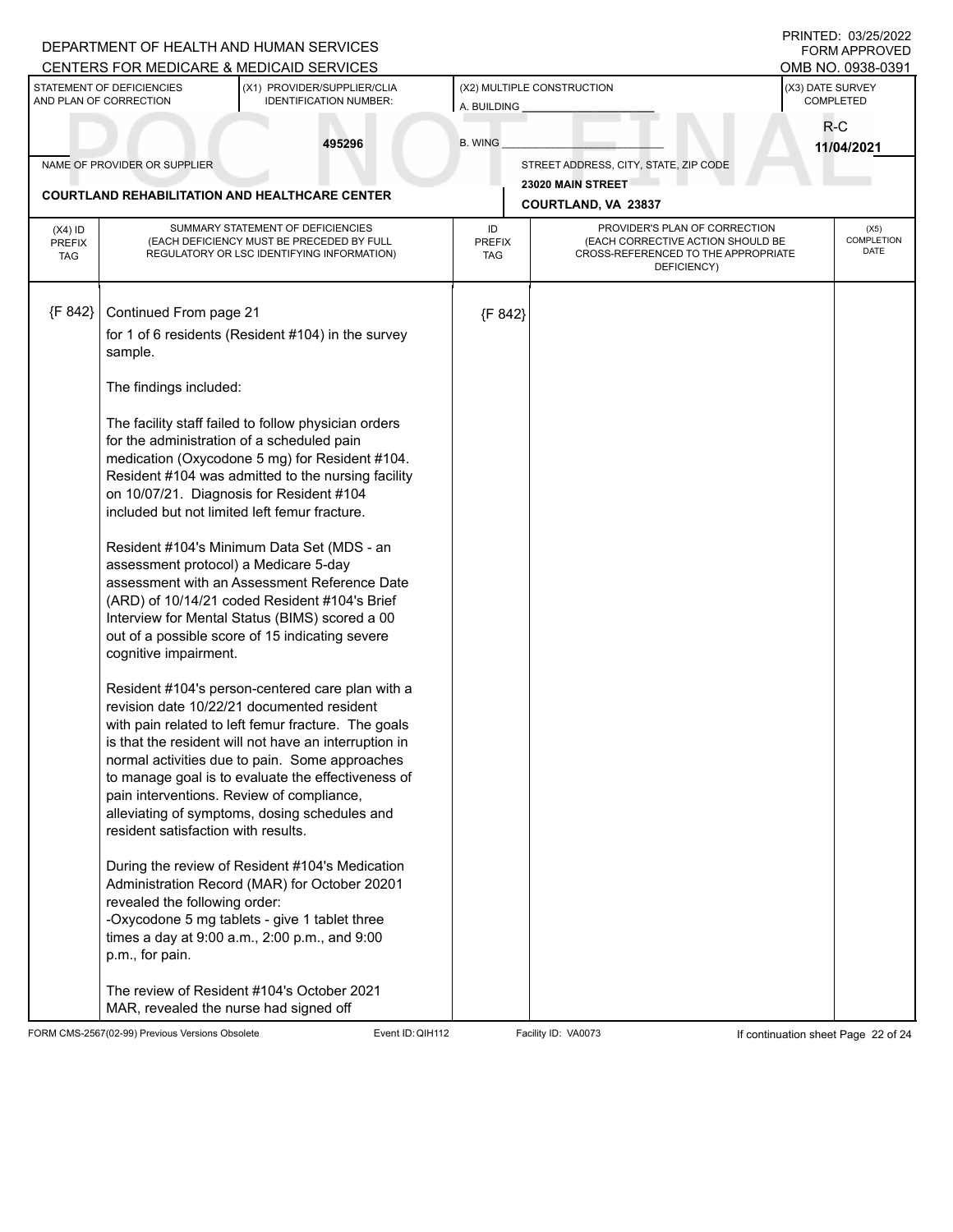|                                          |                                                                                                                                                                                                                                                                                                                     | DEPARTMENT OF HEALTH AND HUMAN SERVICES<br>CENTERS FOR MEDICARE & MEDICAID SERVICES                                                                                                                                                                                                                                                                                                                                                                                                                                                                                                                                                                                                                                                                                                                                                                                                                                                                                                                                                                                                                                                                  |                            |                                                                                                                          |                               | PRINTED: 03/25/2022<br><b>FORM APPROVED</b><br>OMB NO. 0938-0391 |
|------------------------------------------|---------------------------------------------------------------------------------------------------------------------------------------------------------------------------------------------------------------------------------------------------------------------------------------------------------------------|------------------------------------------------------------------------------------------------------------------------------------------------------------------------------------------------------------------------------------------------------------------------------------------------------------------------------------------------------------------------------------------------------------------------------------------------------------------------------------------------------------------------------------------------------------------------------------------------------------------------------------------------------------------------------------------------------------------------------------------------------------------------------------------------------------------------------------------------------------------------------------------------------------------------------------------------------------------------------------------------------------------------------------------------------------------------------------------------------------------------------------------------------|----------------------------|--------------------------------------------------------------------------------------------------------------------------|-------------------------------|------------------------------------------------------------------|
|                                          | STATEMENT OF DEFICIENCIES<br>AND PLAN OF CORRECTION                                                                                                                                                                                                                                                                 | (X1) PROVIDER/SUPPLIER/CLIA<br><b>IDENTIFICATION NUMBER:</b>                                                                                                                                                                                                                                                                                                                                                                                                                                                                                                                                                                                                                                                                                                                                                                                                                                                                                                                                                                                                                                                                                         | A. BUILDING                | (X2) MULTIPLE CONSTRUCTION                                                                                               | (X3) DATE SURVEY<br>COMPLETED |                                                                  |
|                                          |                                                                                                                                                                                                                                                                                                                     | 495296                                                                                                                                                                                                                                                                                                                                                                                                                                                                                                                                                                                                                                                                                                                                                                                                                                                                                                                                                                                                                                                                                                                                               | <b>B. WING</b>             |                                                                                                                          | R-C<br>11/04/2021             |                                                                  |
|                                          | NAME OF PROVIDER OR SUPPLIER                                                                                                                                                                                                                                                                                        |                                                                                                                                                                                                                                                                                                                                                                                                                                                                                                                                                                                                                                                                                                                                                                                                                                                                                                                                                                                                                                                                                                                                                      |                            | STREET ADDRESS, CITY, STATE, ZIP CODE                                                                                    |                               |                                                                  |
|                                          |                                                                                                                                                                                                                                                                                                                     | <b>COURTLAND REHABILITATION AND HEALTHCARE CENTER</b>                                                                                                                                                                                                                                                                                                                                                                                                                                                                                                                                                                                                                                                                                                                                                                                                                                                                                                                                                                                                                                                                                                |                            | 23020 MAIN STREET<br>COURTLAND, VA 23837                                                                                 |                               |                                                                  |
| $(X4)$ ID<br><b>PREFIX</b><br><b>TAG</b> |                                                                                                                                                                                                                                                                                                                     | SUMMARY STATEMENT OF DEFICIENCIES<br>(EACH DEFICIENCY MUST BE PRECEDED BY FULL<br>REGULATORY OR LSC IDENTIFYING INFORMATION)                                                                                                                                                                                                                                                                                                                                                                                                                                                                                                                                                                                                                                                                                                                                                                                                                                                                                                                                                                                                                         | ID<br><b>PREFIX</b><br>TAG | PROVIDER'S PLAN OF CORRECTION<br>(EACH CORRECTIVE ACTION SHOULD BE<br>CROSS-REFERENCED TO THE APPROPRIATE<br>DEFICIENCY) |                               | (X5)<br>COMPLETION<br><b>DATE</b>                                |
| {F 842}                                  | Continued From page 21<br>sample.<br>The findings included:<br>for the administration of a scheduled pain<br>assessment protocol) a Medicare 5-day<br>cognitive impairment.<br>pain interventions. Review of compliance,<br>resident satisfaction with results.<br>revealed the following order:<br>p.m., for pain. | for 1 of 6 residents (Resident #104) in the survey<br>The facility staff failed to follow physician orders<br>medication (Oxycodone 5 mg) for Resident #104.<br>Resident #104 was admitted to the nursing facility<br>on 10/07/21. Diagnosis for Resident #104<br>included but not limited left femur fracture.<br>Resident #104's Minimum Data Set (MDS - an<br>assessment with an Assessment Reference Date<br>(ARD) of 10/14/21 coded Resident #104's Brief<br>Interview for Mental Status (BIMS) scored a 00<br>out of a possible score of 15 indicating severe<br>Resident #104's person-centered care plan with a<br>revision date 10/22/21 documented resident<br>with pain related to left femur fracture. The goals<br>is that the resident will not have an interruption in<br>normal activities due to pain. Some approaches<br>to manage goal is to evaluate the effectiveness of<br>alleviating of symptoms, dosing schedules and<br>During the review of Resident #104's Medication<br>Administration Record (MAR) for October 20201<br>-Oxycodone 5 mg tablets - give 1 tablet three<br>times a day at 9:00 a.m., 2:00 p.m., and 9:00 | {F 842}                    |                                                                                                                          |                               |                                                                  |
|                                          | MAR, revealed the nurse had signed off                                                                                                                                                                                                                                                                              | The review of Resident #104's October 2021                                                                                                                                                                                                                                                                                                                                                                                                                                                                                                                                                                                                                                                                                                                                                                                                                                                                                                                                                                                                                                                                                                           |                            |                                                                                                                          |                               |                                                                  |

FORM CMS-2567(02-99) Previous Versions Obsolete Event ID:QIH112 Facility ID: VA0073 If continuation sheet Page 22 of 24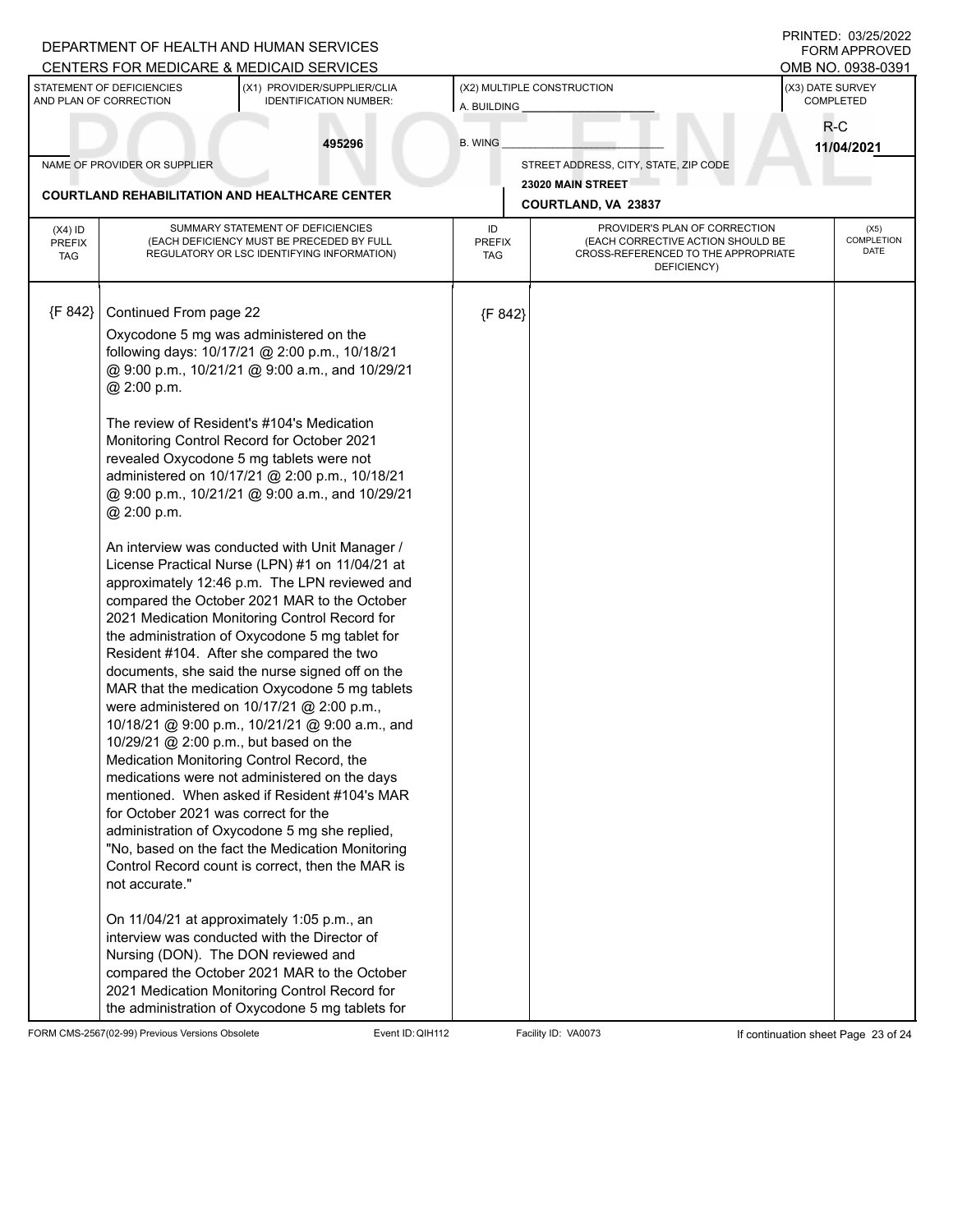|                                          |                                                                                                | DEPARTMENT OF HEALTH AND HUMAN SERVICES<br>CENTERS FOR MEDICARE & MEDICAID SERVICES                                                                                                                                                                                                                                                                                                                                                                                                                                                                                                                                                                                                                                                                                                                                                                                                                                                                                                                                                                                                                 |                                           |                                                                                                                          | PRINTED: 03/25/2022<br><b>FORM APPROVED</b><br>OMB NO. 0938-0391 |                            |
|------------------------------------------|------------------------------------------------------------------------------------------------|-----------------------------------------------------------------------------------------------------------------------------------------------------------------------------------------------------------------------------------------------------------------------------------------------------------------------------------------------------------------------------------------------------------------------------------------------------------------------------------------------------------------------------------------------------------------------------------------------------------------------------------------------------------------------------------------------------------------------------------------------------------------------------------------------------------------------------------------------------------------------------------------------------------------------------------------------------------------------------------------------------------------------------------------------------------------------------------------------------|-------------------------------------------|--------------------------------------------------------------------------------------------------------------------------|------------------------------------------------------------------|----------------------------|
|                                          | STATEMENT OF DEFICIENCIES<br>AND PLAN OF CORRECTION                                            | (X1) PROVIDER/SUPPLIER/CLIA<br><b>IDENTIFICATION NUMBER:</b>                                                                                                                                                                                                                                                                                                                                                                                                                                                                                                                                                                                                                                                                                                                                                                                                                                                                                                                                                                                                                                        | (X2) MULTIPLE CONSTRUCTION<br>A. BUILDING |                                                                                                                          | (X3) DATE SURVEY<br>COMPLETED                                    |                            |
|                                          |                                                                                                | 495296                                                                                                                                                                                                                                                                                                                                                                                                                                                                                                                                                                                                                                                                                                                                                                                                                                                                                                                                                                                                                                                                                              | <b>B. WING</b>                            |                                                                                                                          | R-C<br>11/04/2021                                                |                            |
|                                          | NAME OF PROVIDER OR SUPPLIER                                                                   |                                                                                                                                                                                                                                                                                                                                                                                                                                                                                                                                                                                                                                                                                                                                                                                                                                                                                                                                                                                                                                                                                                     |                                           | STREET ADDRESS, CITY, STATE, ZIP CODE                                                                                    |                                                                  |                            |
|                                          |                                                                                                | <b>COURTLAND REHABILITATION AND HEALTHCARE CENTER</b>                                                                                                                                                                                                                                                                                                                                                                                                                                                                                                                                                                                                                                                                                                                                                                                                                                                                                                                                                                                                                                               |                                           | 23020 MAIN STREET<br>COURTLAND, VA 23837                                                                                 |                                                                  |                            |
| $(X4)$ ID<br><b>PREFIX</b><br><b>TAG</b> |                                                                                                | SUMMARY STATEMENT OF DEFICIENCIES<br>(EACH DEFICIENCY MUST BE PRECEDED BY FULL<br>REGULATORY OR LSC IDENTIFYING INFORMATION)                                                                                                                                                                                                                                                                                                                                                                                                                                                                                                                                                                                                                                                                                                                                                                                                                                                                                                                                                                        | ID<br><b>PREFIX</b><br>TAG                | PROVIDER'S PLAN OF CORRECTION<br>(EACH CORRECTIVE ACTION SHOULD BE<br>CROSS-REFERENCED TO THE APPROPRIATE<br>DEFICIENCY) |                                                                  | (X5)<br>COMPLETION<br>DATE |
| {F 842}                                  | Continued From page 22<br>@ 2:00 p.m.<br>@ 2:00 p.m.<br>10/29/21 @ 2:00 p.m., but based on the | Oxycodone 5 mg was administered on the<br>following days: 10/17/21 @ 2:00 p.m., 10/18/21<br>@ 9:00 p.m., 10/21/21 @ 9:00 a.m., and 10/29/21<br>The review of Resident's #104's Medication<br>Monitoring Control Record for October 2021<br>revealed Oxycodone 5 mg tablets were not<br>administered on 10/17/21 @ 2:00 p.m., 10/18/21<br>@ 9:00 p.m., 10/21/21 @ 9:00 a.m., and 10/29/21<br>An interview was conducted with Unit Manager /<br>License Practical Nurse (LPN) #1 on 11/04/21 at<br>approximately 12:46 p.m. The LPN reviewed and<br>compared the October 2021 MAR to the October<br>2021 Medication Monitoring Control Record for<br>the administration of Oxycodone 5 mg tablet for<br>Resident #104. After she compared the two<br>documents, she said the nurse signed off on the<br>MAR that the medication Oxycodone 5 mg tablets<br>were administered on 10/17/21 @ 2:00 p.m.,<br>10/18/21 @ 9:00 p.m., 10/21/21 @ 9:00 a.m., and<br>Medication Monitoring Control Record, the<br>medications were not administered on the days<br>mentioned. When asked if Resident #104's MAR | {F 842}                                   |                                                                                                                          |                                                                  |                            |
|                                          | for October 2021 was correct for the<br>not accurate."<br>Nursing (DON). The DON reviewed and  | administration of Oxycodone 5 mg she replied,<br>"No, based on the fact the Medication Monitoring<br>Control Record count is correct, then the MAR is<br>On 11/04/21 at approximately 1:05 p.m., an<br>interview was conducted with the Director of<br>compared the October 2021 MAR to the October<br>2021 Medication Monitoring Control Record for<br>the administration of Oxycodone 5 mg tablets for                                                                                                                                                                                                                                                                                                                                                                                                                                                                                                                                                                                                                                                                                            |                                           |                                                                                                                          |                                                                  |                            |

FORM CMS-2567(02-99) Previous Versions Obsolete Event ID:QIH112 Facility ID: VA0073 If continuation sheet Page 23 of 24